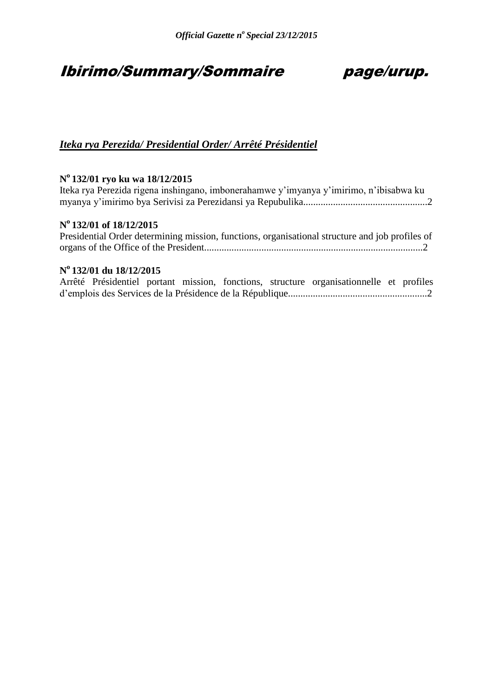# Ibirimo/Summary/Sommaire page/urup.

### *Iteka rya Perezida/ Presidential Order/ Arrêté Présidentiel*

### **N <sup>o</sup>132/01 ryo ku wa 18/12/2015**

Iteka rya Perezida rigena inshingano, imbonerahamwe y'imyanya y'imirimo, n'ibisabwa ku myanya y'imirimo bya Serivisi za Perezidansi ya Repubulika..................................................2

### **N <sup>o</sup>132/01 of 18/12/2015**

| Presidential Order determining mission, functions, organisational structure and job profiles of |  |  |  |
|-------------------------------------------------------------------------------------------------|--|--|--|
|                                                                                                 |  |  |  |

### **N o 132/01 du 18/12/2015**

|  |  |  | Arrêté Présidentiel portant mission, fonctions, structure organisationnelle et profiles |  |
|--|--|--|-----------------------------------------------------------------------------------------|--|
|  |  |  |                                                                                         |  |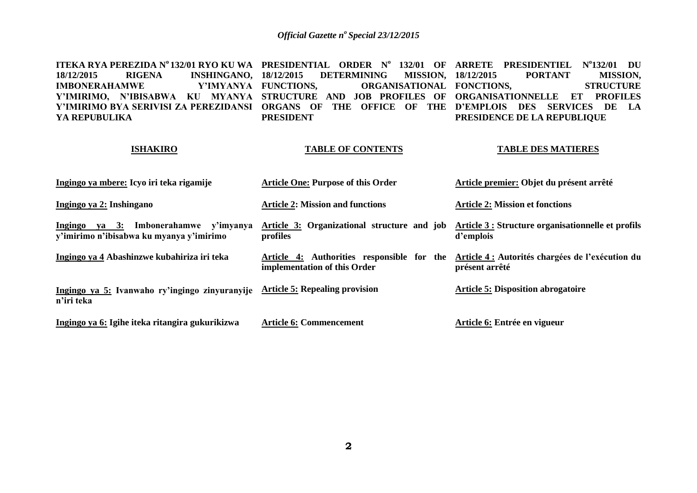**ITEKA RYA PEREZIDA N<sup>o</sup> 132/01 RYO KU WA PRESIDENTIAL ORDER N<sup>o</sup>132/01 OF ARRETE PRESIDENTIEL N<sup>o</sup> 132/01 DU**  18/12/2015 RIGENA INSHINGANO, 18/12/2015<br> **IMBONERAHAMWE** Y'IMYANYA FUNCTIONS. **IMBONERAHAMWE Y'IMIRIMO, N'IBISABWA KU MYANYA STRUCTURE AND JOB PROFILES OF ORGANISATIONNELLE ET PROFILES Y'IMIRIMO BYA SERIVISI ZA PEREZIDANSI ORGANS OF THE OFFICE OF THE D'EMPLOIS DES SERVICES DE LA YA REPUBULIKA 18/12/2015 DETERMINING MISSION, ORGANISATIONAL FONCTIONS. PRESIDENT 18/12/2015 PORTANT MISSION, STRUCTURE PRESIDENCE DE LA REPUBLIQUE** 

#### **ISHAKIRO**

#### **TABLE OF CONTENTS**

#### **TABLE DES MATIERES**

| Ingingo ya mbere: Icyo iri teka rigamije                                                | <b>Article One: Purpose of this Order</b>                                  | Article premier: Objet du présent arrêté                           |
|-----------------------------------------------------------------------------------------|----------------------------------------------------------------------------|--------------------------------------------------------------------|
| Ingingo ya 2: Inshingano                                                                | <b>Article 2: Mission and functions</b>                                    | <b>Article 2: Mission et fonctions</b>                             |
| Ingingo<br>Imbonerahamwe y'imyanya<br>ya 3:<br>y'imirimo n'ibisabwa ku myanya y'imirimo | Article 3: Organizational structure and job<br>profiles                    | Article 3 : Structure organisationnelle et profils<br>d'emplois    |
| Ingingo ya 4 Abashinzwe kubahiriza iri teka                                             | Article 4: Authorities responsible for the<br>implementation of this Order | Article 4 : Autorités chargées de l'exécution du<br>présent arrêté |
| Ingingo ya 5: Ivanwaho ry'ingingo zinyuranyije<br>n'iri teka                            | <b>Article 5: Repealing provision</b>                                      | <b>Article 5: Disposition abrogatoire</b>                          |
| Ingingo ya 6: Igihe iteka ritangira gukurikizwa                                         | <b>Article 6: Commencement</b>                                             | Article 6: Entrée en vigueur                                       |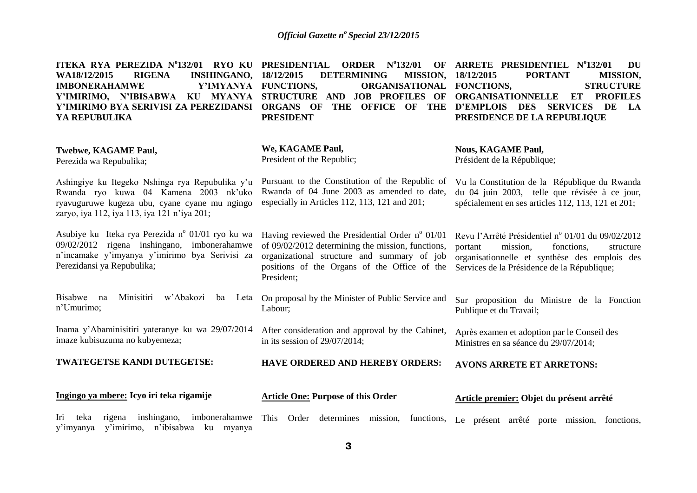| ITEKA RYA PEREZIDA Nº132/01 RYO KU PRESIDENTIAL<br><b>RIGENA</b><br>WA18/12/2015<br><b>INSHINGANO,</b><br><b>IMBONERAHAMWE</b><br>Y'IMYANYA FUNCTIONS,<br>Y'IMIRIMO, N'IBISABWA KU MYANYA<br>Y'IMIRIMO BYA SERIVISI ZA PEREZIDANSI<br>YA REPUBULIKA | $N^0$ 132/01<br><b>ORDER</b><br>OF<br>18/12/2015<br><b>DETERMINING</b><br><b>MISSION,</b><br><b>ORGANISATIONAL</b><br>STRUCTURE AND JOB PROFILES OF<br>THE OFFICE OF THE<br><b>ORGANS OF</b><br><b>PRESIDENT</b>           | ARRETE PRESIDENTIEL Nº132/01<br>DU<br>18/12/2015<br><b>PORTANT</b><br><b>MISSION,</b><br>FONCTIONS,<br><b>STRUCTURE</b><br><b>ORGANISATIONNELLE</b><br>ET<br><b>PROFILES</b><br><b>SERVICES</b><br><b>D'EMPLOIS</b><br><b>DES</b><br>DE<br>LA<br>PRESIDENCE DE LA REPUBLIQUE |  |  |
|-----------------------------------------------------------------------------------------------------------------------------------------------------------------------------------------------------------------------------------------------------|----------------------------------------------------------------------------------------------------------------------------------------------------------------------------------------------------------------------------|------------------------------------------------------------------------------------------------------------------------------------------------------------------------------------------------------------------------------------------------------------------------------|--|--|
| <b>Twebwe, KAGAME Paul,</b><br>Perezida wa Repubulika;                                                                                                                                                                                              | We, KAGAME Paul,<br>President of the Republic;                                                                                                                                                                             | <b>Nous, KAGAME Paul,</b><br>Président de la République;                                                                                                                                                                                                                     |  |  |
| Ashingiye ku Itegeko Nshinga rya Repubulika y'u<br>Rwanda ryo kuwa 04 Kamena 2003 nk'uko<br>ryavuguruwe kugeza ubu, cyane cyane mu ngingo<br>zaryo, iya 112, iya 113, iya 121 n'iya 201;                                                            | Pursuant to the Constitution of the Republic of<br>Rwanda of 04 June 2003 as amended to date,<br>especially in Articles 112, 113, 121 and 201;                                                                             | Vu la Constitution de la République du Rwanda<br>du 04 juin 2003, telle que révisée à ce jour,<br>spécialement en ses articles 112, 113, 121 et 201;                                                                                                                         |  |  |
| Asubiye ku Iteka rya Perezida nº 01/01 ryo ku wa<br>09/02/2012 rigena inshingano, imbonerahamwe<br>n'incamake y'imyanya y'imirimo bya Serivisi za<br>Perezidansi ya Repubulika;                                                                     | Having reviewed the Presidential Order $n^{\circ}$ 01/01<br>of 09/02/2012 determining the mission, functions,<br>organizational structure and summary of job<br>positions of the Organs of the Office of the<br>President; | Revu l'Arrêté Présidentiel nº 01/01 du 09/02/2012<br>portant<br>mission,<br>fonctions,<br>structure<br>organisationnelle et synthèse des emplois des<br>Services de la Présidence de la République;                                                                          |  |  |
| <b>Bisabwe</b><br>Minisitiri<br>w'Abakozi<br>na<br>ba<br>Leta<br>n'Umurimo;                                                                                                                                                                         | On proposal by the Minister of Public Service and<br>Labour;                                                                                                                                                               | Sur proposition du Ministre de la Fonction<br>Publique et du Travail;                                                                                                                                                                                                        |  |  |
| Inama y'Abaminisitiri yateranye ku wa 29/07/2014<br>imaze kubisuzuma no kubyemeza;                                                                                                                                                                  | After consideration and approval by the Cabinet,<br>in its session of $29/07/2014$ ;                                                                                                                                       | Après examen et adoption par le Conseil des<br>Ministres en sa séance du 29/07/2014;                                                                                                                                                                                         |  |  |
| TWATEGETSE KANDI DUTEGETSE:                                                                                                                                                                                                                         | <b>HAVE ORDERED AND HEREBY ORDERS:</b>                                                                                                                                                                                     | <b>AVONS ARRETE ET ARRETONS:</b>                                                                                                                                                                                                                                             |  |  |
| Ingingo ya mbere: Icyo iri teka rigamije                                                                                                                                                                                                            | <b>Article One: Purpose of this Order</b>                                                                                                                                                                                  | Article premier: Objet du présent arrêté                                                                                                                                                                                                                                     |  |  |
| inshingano, imbonerahamwe<br>Iri<br>teka<br>rigena<br>y'imirimo, n'ibisabwa ku myanya<br>y'imyanya                                                                                                                                                  | This<br>Order<br>determines<br>mission,<br>functions,                                                                                                                                                                      | Le présent arrêté porte mission, fonctions,                                                                                                                                                                                                                                  |  |  |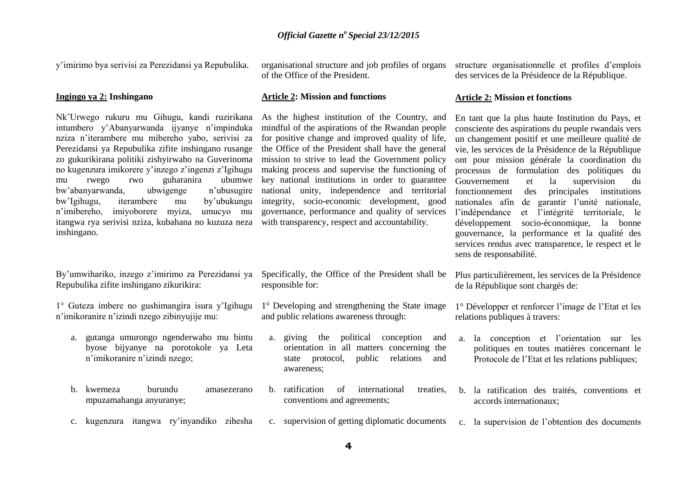y'imirimo bya serivisi za Perezidansi ya Repubulika.

#### **Ingingo ya 2: Inshingano**

Nk'Urwego rukuru mu Gihugu, kandi ruzirikana intumbero y'Abanyarwanda ijyanye n'impinduka nziza n'iterambere mu mibereho yabo, serivisi za Perezidansi ya Repubulika zifite inshingano rusange zo gukurikirana politiki zishyirwaho na Guverinoma no kugenzura imikorere y'inzego z'ingenzi z'Igihugu mu rwego rwo guharanira ubumwe bw'abanyarwanda, ubwigenge n'ubusugire bw'Igihugu, iterambere mu by'ubukungu n'imibereho, imiyoborere myiza, umucyo mu itangwa rya serivisi nziza, kubahana no kuzuza neza inshingano.

By'umwihariko, inzego z'imirimo za Perezidansi ya Repubulika zifite inshingano zikurikira:

1° Guteza imbere no gushimangira isura y'Igihugu n'imikoranire n'izindi nzego zibinyujije mu:

- a. gutanga umurongo ngenderwaho mu bintu byose bijyanye na porotokole ya Leta n'imikoranire n'izindi nzego;
- b. kwemeza burundu amasezerano mpuzamahanga anyuranye;
- c. kugenzura itangwa ry'inyandiko zihesha

organisational structure and job profiles of organs of the Office of the President.

#### **Article 2: Mission and functions**

As the highest institution of the Country, and mindful of the aspirations of the Rwandan people for positive change and improved quality of life, the Office of the President shall have the general mission to strive to lead the Government policy making process and supervise the functioning of key national institutions in order to guarantee national unity, independence and territorial integrity, socio-economic development, good governance, performance and quality of services with transparency, respect and accountability.

Specifically, the Office of the President shall be

1° Developing and strengthening the State image

a. giving the political conception and orientation in all matters concerning the state protocol, public relations and

b. ratification of international treaties,

c. supervision of getting diplomatic documents

and public relations awareness through:

conventions and agreements;

responsible for:

awareness;

structure organisationnelle et profiles d'emplois des services de la Présidence de la République.

#### **Article 2: Mission et fonctions**

En tant que la plus haute Institution du Pays, et consciente des aspirations du peuple rwandais vers un changement positif et une meilleure qualité de vie, les services de la Présidence de la République ont pour mission générale la coordination du processus de formulation des politiques du Gouvernement et la supervision du fonctionnement des principales institutions nationales afin de garantir l'unité nationale, l'indépendance et l'intégrité territoriale, le développement socio-économique, la bonne gouvernance, la performance et la qualité des services rendus avec transparence, le respect et le sens de responsabilité.

Plus particulièrement, les services de la Présidence de la République sont chargés de:

1° Développer et renforcer l'image de l'Etat et les relations publiques à travers:

- a. la conception et l'orientation sur les politiques en toutes matières concernant le Protocole de l'Etat et les relations publiques;
- b. la ratification des traités, conventions et accords internationaux;
- c. la supervision de l'obtention des documents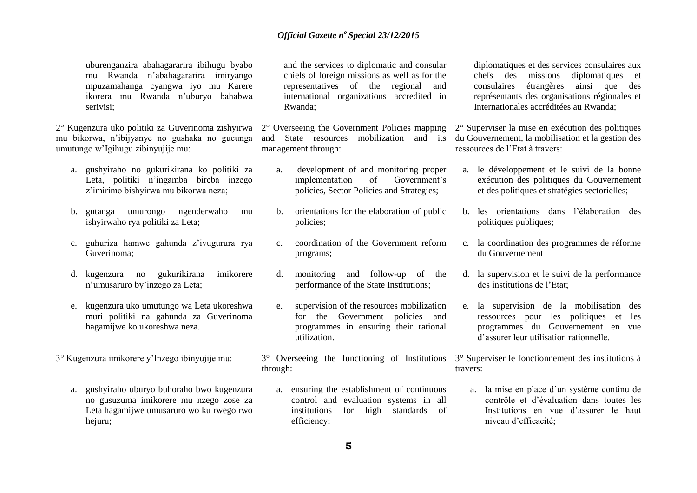uburenganzira abahagararira ibihugu byabo mu Rwanda n'abahagararira imiryango mpuzamahanga cyangwa iyo mu Karere ikorera mu Rwanda n'uburyo bahabwa serivisi;

2° Kugenzura uko politiki za Guverinoma zishyirwa mu bikorwa, n'ibijyanye no gushaka no gucunga umutungo w'Igihugu zibinyujije mu:

- a. gushyiraho no gukurikirana ko politiki za Leta, politiki n'ingamba bireba inzego z'imirimo bishyirwa mu bikorwa neza;
- b. gutanga umurongo ngenderwaho mu ishyirwaho rya politiki za Leta;
- c. guhuriza hamwe gahunda z'ivugurura rya Guverinoma;
- d. kugenzura no gukurikirana imikorere n'umusaruro by'inzego za Leta;
- e. kugenzura uko umutungo wa Leta ukoreshwa muri politiki na gahunda za Guverinoma hagamijwe ko ukoreshwa neza.
- 3° Kugenzura imikorere y'Inzego ibinyujije mu:
	- a. gushyiraho uburyo buhoraho bwo kugenzura no gusuzuma imikorere mu nzego zose za Leta hagamijwe umusaruro wo ku rwego rwo hejuru;

and the services to diplomatic and consular chiefs of foreign missions as well as for the representatives of the regional and international organizations accredited in Rwanda;

2° Overseeing the Government Policies mapping and State resources mobilization and its management through:

- a. development of and monitoring proper implementation of Government's policies, Sector Policies and Strategies;
- b. orientations for the elaboration of public policies;
- c. coordination of the Government reform programs;
- d. monitoring and follow-up of the performance of the State Institutions;
- e. supervision of the resources mobilization for the Government policies and programmes in ensuring their rational utilization.
- 3° Overseeing the functioning of Institutions through:
	- a. ensuring the establishment of continuous control and evaluation systems in all institutions for high standards of efficiency;

diplomatiques et des services consulaires aux chefs des missions diplomatiques et consulaires étrangères ainsi que des représentants des organisations régionales et Internationales accréditées au Rwanda;

2° Superviser la mise en exécution des politiques du Gouvernement, la mobilisation et la gestion des ressources de l'Etat à travers:

- a. le développement et le suivi de la bonne exécution des politiques du Gouvernement et des politiques et stratégies sectorielles;
- b. les orientations dans l'élaboration des politiques publiques;
- c. la coordination des programmes de réforme du Gouvernement
- d. la supervision et le suivi de la performance des institutions de l'Etat;
- e. la supervision de la mobilisation des ressources pour les politiques et les programmes du Gouvernement en vue d'assurer leur utilisation rationnelle.

3° Superviser le fonctionnement des institutions à travers:

a. la mise en place d'un système continu de contrôle et d'évaluation dans toutes les Institutions en vue d'assurer le haut niveau d'efficacité;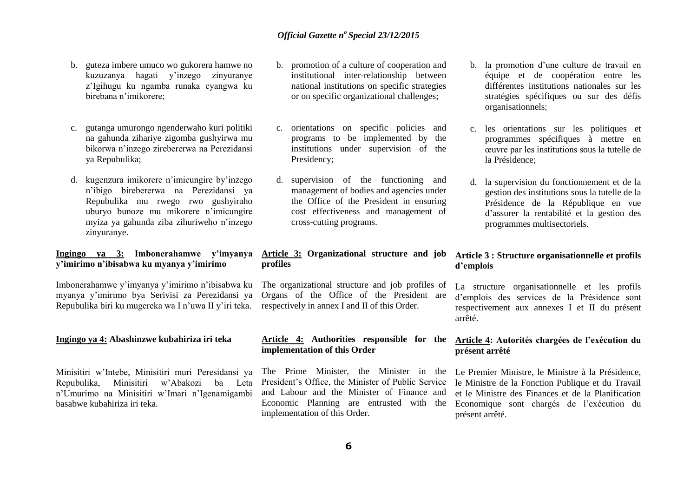- b. guteza imbere umuco wo gukorera hamwe no kuzuzanya hagati y'inzego zinyuranye z'Igihugu ku ngamba runaka cyangwa ku birebana n'imikorere;
- c. gutanga umurongo ngenderwaho kuri politiki na gahunda zihariye zigomba gushyirwa mu bikorwa n'inzego zirebererwa na Perezidansi ya Repubulika;
- d. kugenzura imikorere n'imicungire by'inzego n'ibigo birebererwa na Perezidansi ya Repubulika mu rwego rwo gushyiraho uburyo bunoze mu mikorere n'imicungire myiza ya gahunda ziba zihuriweho n'inzego zinyuranye.

#### **Ingingo ya 3: Imbonerahamwe y'imyanya y'imirimo n'ibisabwa ku myanya y'imirimo**

Imbonerahamwe y'imyanya y'imirimo n'ibisabwa ku myanya y'imirimo bya Serivisi za Perezidansi ya Repubulika biri ku mugereka wa I n'uwa II y'iri teka.

#### **Ingingo ya 4: Abashinzwe kubahiriza iri teka**

Minisitiri w'Intebe, Minisitiri muri Peresidansi ya Repubulika, Minisitiri w'Abakozi ba Leta n'Umurimo na Minisitiri w'Imari n'Igenamigambi basabwe kubahiriza iri teka.

- b. promotion of a culture of cooperation and institutional inter-relationship between national institutions on specific strategies or on specific organizational challenges;
- c. orientations on specific policies and programs to be implemented by the institutions under supervision of the Presidency;
- d. supervision of the functioning and management of bodies and agencies under the Office of the President in ensuring cost effectiveness and management of cross-cutting programs.

#### **Article 3: Organizational structure and job profiles**

The organizational structure and job profiles of Organs of the Office of the President are respectively in annex I and II of this Order.

#### **Article 4: Authorities responsible for the implementation of this Order**

The Prime Minister, the Minister in the President's Office, the Minister of Public Service and Labour and the Minister of Finance and Economic Planning are entrusted with the implementation of this Order.

- b. la promotion d'une culture de travail en équipe et de coopération entre les différentes institutions nationales sur les stratégies spécifiques ou sur des défis organisationnels;
- c. les orientations sur les politiques et programmes spécifiques à mettre en œuvre par les institutions sous la tutelle de la Présidence;
- d. la supervision du fonctionnement et de la gestion des institutions sous la tutelle de la Présidence de la République en vue d'assurer la rentabilité et la gestion des programmes multisectoriels.

#### **Article 3 : Structure organisationnelle et profils d'emplois**

La structure organisationnelle et les profils d'emplois des services de la Présidence sont respectivement aux annexes I et II du présent arrêté.

#### **Article 4: Autorités chargées de l'exécution du présent arrêté**

Le Premier Ministre, le Ministre à la Présidence, le Ministre de la Fonction Publique et du Travail et le Ministre des Finances et de la Planification Economique sont chargés de l'exécution du présent arrêté.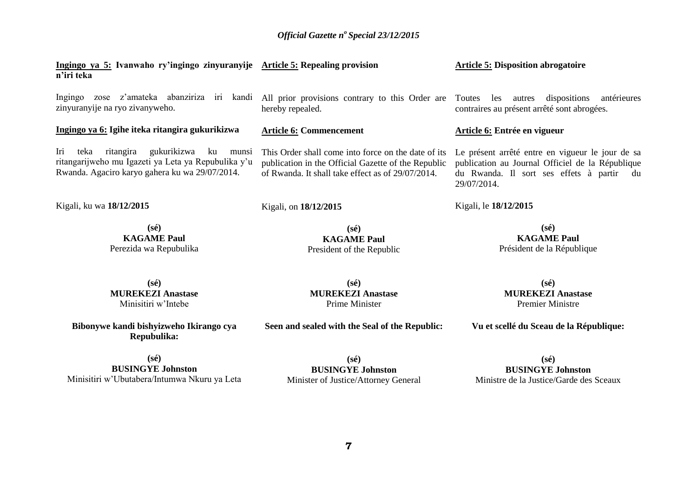| n'iri teka |  |  | Ingingo ya 5: Ivanwaho ry'ingingo zinyuranyije Article 5: Repealing provision                         |  |  |  |  | <b>Article 5: Disposition abrogatoire</b> |             |
|------------|--|--|-------------------------------------------------------------------------------------------------------|--|--|--|--|-------------------------------------------|-------------|
| Ingingo    |  |  | zose z'amateka abanziriza iri kandi All prior provisions contrary to this Order are Toutes les autres |  |  |  |  | dispositions                              | antérieures |

zinyuranyije na ryo zivanyweho.

#### **Ingingo ya 6: Igihe iteka ritangira gukurikizwa**

Iri teka ritangira gukurikizwa ku munsi ritangarijweho mu Igazeti ya Leta ya Repubulika y'u Rwanda. Agaciro karyo gahera ku wa 29/07/2014.

Kigali, ku wa **18/12/2015** 

**(sé) KAGAME Paul**  Perezida wa Repubulika hereby repealed.

#### **Article 6: Commencement**

Kigali, on **18/12/2015** 

This Order shall come into force on the date of its publication in the Official Gazette of the Republic of Rwanda. It shall take effect as of 29/07/2014.

> **(sé) KAGAME Paul**  President of the Republic

contraires au présent arrêté sont abrogées.

#### **Article 6: Entrée en vigueur**

Le présent arrêté entre en vigueur le jour de sa publication au Journal Officiel de la République du Rwanda. Il sort ses effets à partir du 29/07/2014.

#### Kigali, le **18/12/2015**

**(sé) KAGAME Paul**  Président de la République

**(sé) MUREKEZI Anastase** Premier Ministre

**Vu et scellé du Sceau de la République:**

**(sé) MUREKEZI Anastase**  Minisitiri w'Intebe

**Bibonywe kandi bishyizweho Ikirango cya Repubulika:**

**(sé) BUSINGYE Johnston** Minisitiri w'Ubutabera/Intumwa Nkuru ya Leta

**(sé) MUREKEZI Anastase** Prime Minister

**Seen and sealed with the Seal of the Republic:**

**(sé) BUSINGYE Johnston** Minister of Justice/Attorney General

**(sé) BUSINGYE Johnston** Ministre de la Justice/Garde des Sceaux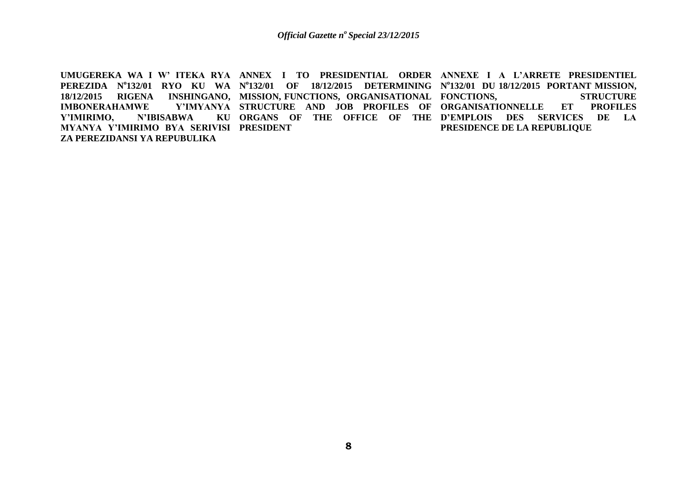UMUGEREKA WA I W' ITEKA RYA ANNEX I TO PRESIDENTIAL ORDER ANNEXE I A L'ARRETE PRESIDENTIEL **PEREZIDA N<sup>o</sup> 132/01 RYO KU WA N o 132/01 OF 18/12/2015 DETERMINING N o 132/01 DU 18/12/2015 PORTANT MISSION, 18/12/2015 RIGENA INSHINGANO, MISSION, FUNCTIONS, ORGANISATIONAL FONCTIONS, STRUCTURE IMBONERAHAMWE** Y'IMIRIMO, N'IBISABWA **MYANYA Y'IMIRIMO BYA SERIVISI PRESIDENT ZA PEREZIDANSI YA REPUBULIKA STRUCTURE AND JOB PROFILES OF ORGANISATIONNELLE ET PROFILES ORGANS OF THE OFFICE OF THE D'EMPLOIS DES SERVICES DE LA PRESIDENCE DE LA REPUBLIQUE**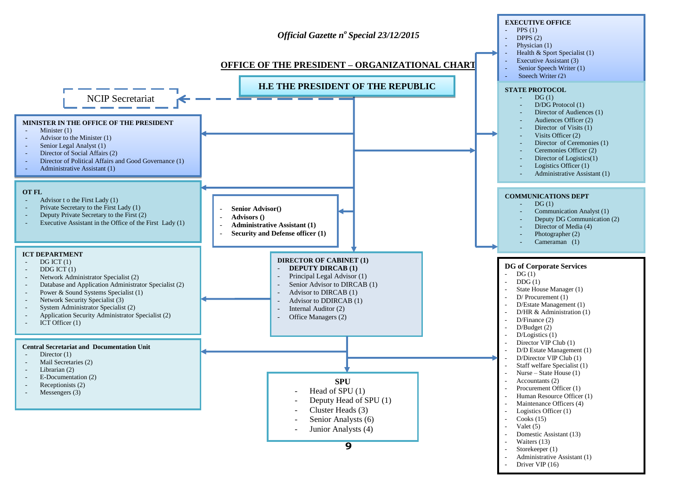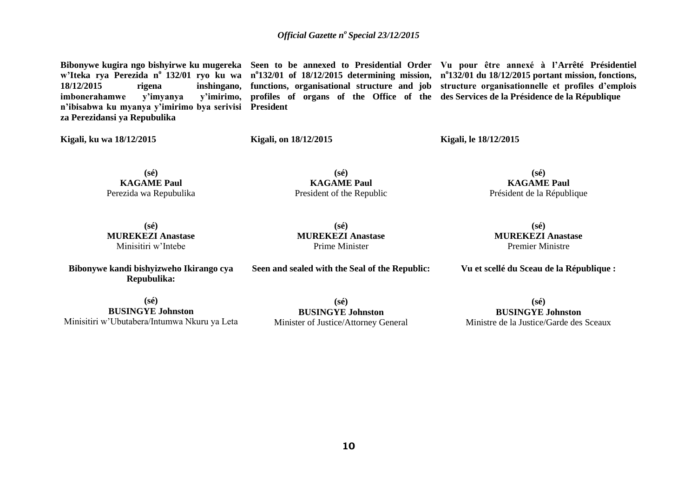**imbonerahamwe** v'imyanya **n'ibisabwa ku myanya y'imirimo bya serivisi President za Perezidansi ya Repubulika** 

**Bibonywe kugira ngo bishyirwe ku mugereka Seen to be annexed to Presidential Order Vu pour être annexé à l'Arrêté Présidentiel**  w'Iteka rya Perezida nº 132/01 ryo ku wa nº132/01 of 18/12/2015 determining mission, nº132/01 du 18/12/2015 portant mission, fonctions, **18/12/2015 rigena inshingano, functions, organisational structure and job structure organisationnelle et profiles d'emplois profiles of organs of the Office of the des Services de la Présidence de la République** 

**Kigali, ku wa 18/12/2015** 

**Kigali, on 18/12/2015** 

**Kigali, le 18/12/2015** 

**(sé) KAGAME Paul** Perezida wa Repubulika

**(sé) KAGAME Paul** President of the Republic

**(sé) KAGAME Paul** Président de la République

**(sé) MUREKEZI Anastase**  Minisitiri w'Intebe

**Bibonywe kandi bishyizweho Ikirango cya Repubulika:**

**(sé) MUREKEZI Anastase**  Prime Minister

**Seen and sealed with the Seal of the Republic:**

**(sé) MUREKEZI Anastase**  Premier Ministre

**Vu et scellé du Sceau de la République :**

**(sé) BUSINGYE Johnston** Minisitiri w'Ubutabera/Intumwa Nkuru ya Leta

**(sé) BUSINGYE Johnston** Minister of Justice/Attorney General

**(sé) BUSINGYE Johnston** Ministre de la Justice/Garde des Sceaux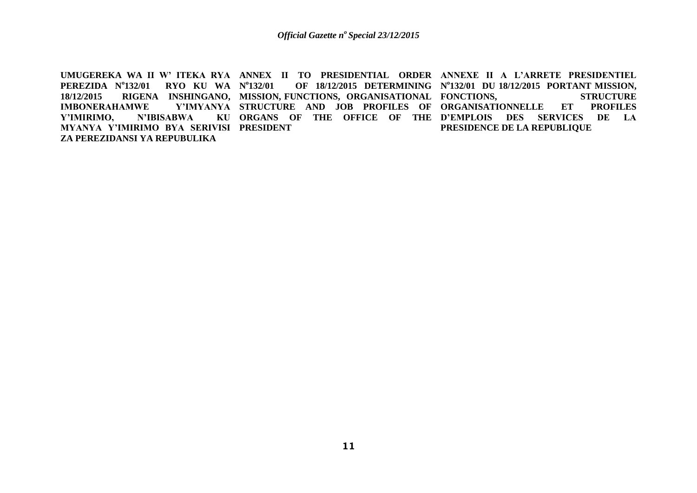UMUGEREKA WA II W' ITEKA RYA ANNEX II TO PRESIDENTIAL ORDER ANNEXE II A L'ARRETE PRESIDENTIEL **PEREZIDA N<sup>o</sup> 132/01 RYO KU WA N o** 18/12/2015 RIGENA INSHINGANO, MISSION,FUNCTIONS, ORGANISATIONAL FONCTIONS, STRUCTURE **IMBONERAHAMWE** Y'IMIRIMO, N'IBISABWA **MYANYA Y'IMIRIMO BYA SERIVISI PRESIDENT ZA PEREZIDANSI YA REPUBULIKA**  132/01 **OF 18/12/2015 DETERMINING** N°132/01 DU 18/12/2015 PORTANT MISSION, **STRUCTURE AND JOB PROFILES OF ORGANISATIONNELLE ET PROFILES ORGANS OF THE OFFICE OF THE D'EMPLOIS DES SERVICES DE LA PRESIDENCE DE LA REPUBLIQUE**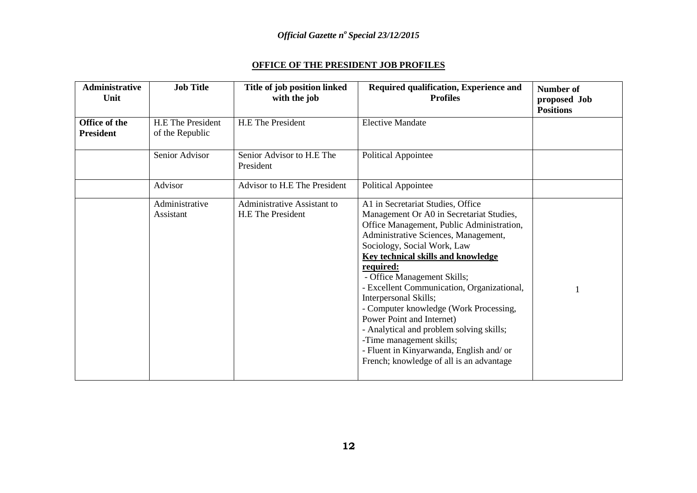### **OFFICE OF THE PRESIDENT JOB PROFILES**

| <b>Administrative</b><br>Unit     | <b>Job Title</b>                            | Title of job position linked<br>with the job            | Required qualification, Experience and<br><b>Profiles</b>                                                                                                                                                                                                                                                                                                                                                                                                                                                                                                                                                | <b>Number of</b><br>proposed Job<br><b>Positions</b> |
|-----------------------------------|---------------------------------------------|---------------------------------------------------------|----------------------------------------------------------------------------------------------------------------------------------------------------------------------------------------------------------------------------------------------------------------------------------------------------------------------------------------------------------------------------------------------------------------------------------------------------------------------------------------------------------------------------------------------------------------------------------------------------------|------------------------------------------------------|
| Office of the<br><b>President</b> | <b>H.E</b> The President<br>of the Republic | <b>H.E The President</b>                                | <b>Elective Mandate</b>                                                                                                                                                                                                                                                                                                                                                                                                                                                                                                                                                                                  |                                                      |
|                                   | Senior Advisor                              | Senior Advisor to H.E The<br>President                  | Political Appointee                                                                                                                                                                                                                                                                                                                                                                                                                                                                                                                                                                                      |                                                      |
|                                   | Advisor                                     | Advisor to H.E The President                            | Political Appointee                                                                                                                                                                                                                                                                                                                                                                                                                                                                                                                                                                                      |                                                      |
|                                   | Administrative<br>Assistant                 | Administrative Assistant to<br><b>H.E The President</b> | A1 in Secretariat Studies, Office<br>Management Or A0 in Secretariat Studies,<br>Office Management, Public Administration,<br>Administrative Sciences, Management,<br>Sociology, Social Work, Law<br><b>Key technical skills and knowledge</b><br>required:<br>- Office Management Skills;<br>- Excellent Communication, Organizational,<br>Interpersonal Skills;<br>- Computer knowledge (Work Processing,<br>Power Point and Internet)<br>- Analytical and problem solving skills;<br>-Time management skills;<br>- Fluent in Kinyarwanda, English and/ or<br>French; knowledge of all is an advantage |                                                      |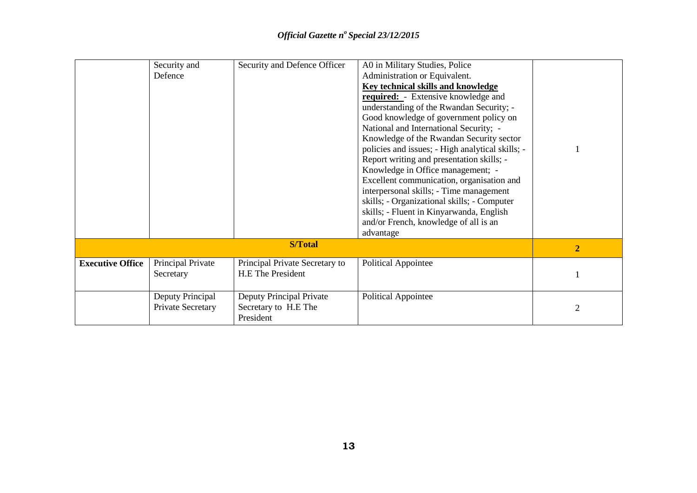|                         | Deputy Principal<br>Private Secretary | Secretary to H.E The<br>President                                               | Political Appointee                                                                                                                                                                                                                                                                                                                                                                                                                                                                                                                                                                                                                                                                 | 2              |
|-------------------------|---------------------------------------|---------------------------------------------------------------------------------|-------------------------------------------------------------------------------------------------------------------------------------------------------------------------------------------------------------------------------------------------------------------------------------------------------------------------------------------------------------------------------------------------------------------------------------------------------------------------------------------------------------------------------------------------------------------------------------------------------------------------------------------------------------------------------------|----------------|
| <b>Executive Office</b> | Principal Private<br>Secretary        | Principal Private Secretary to<br>H.E The President<br>Deputy Principal Private | <b>Political Appointee</b>                                                                                                                                                                                                                                                                                                                                                                                                                                                                                                                                                                                                                                                          |                |
|                         |                                       | <b>S/Total</b>                                                                  |                                                                                                                                                                                                                                                                                                                                                                                                                                                                                                                                                                                                                                                                                     | $\overline{2}$ |
|                         | Defence                               |                                                                                 | Administration or Equivalent.<br><b>Key technical skills and knowledge</b><br><b>required:</b> - Extensive knowledge and<br>understanding of the Rwandan Security; -<br>Good knowledge of government policy on<br>National and International Security; -<br>Knowledge of the Rwandan Security sector<br>policies and issues; - High analytical skills; -<br>Report writing and presentation skills; -<br>Knowledge in Office management; -<br>Excellent communication, organisation and<br>interpersonal skills; - Time management<br>skills; - Organizational skills; - Computer<br>skills; - Fluent in Kinyarwanda, English<br>and/or French, knowledge of all is an<br>advantage |                |
|                         | Security and                          | Security and Defence Officer                                                    | A0 in Military Studies, Police                                                                                                                                                                                                                                                                                                                                                                                                                                                                                                                                                                                                                                                      |                |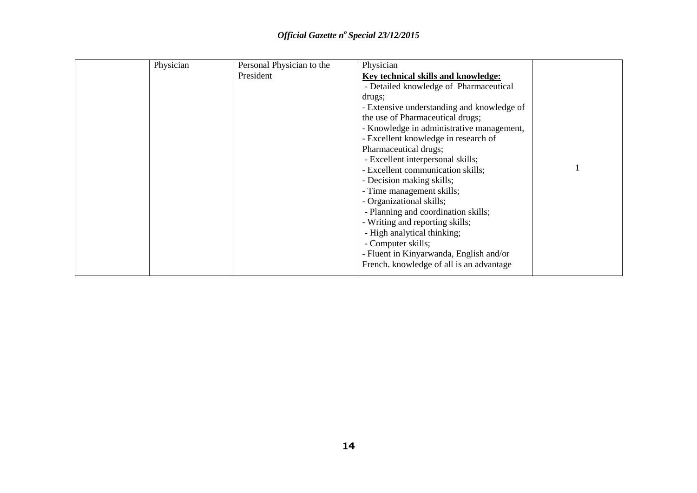| Physician | Personal Physician to the | Physician                                  |  |
|-----------|---------------------------|--------------------------------------------|--|
|           | President                 | Key technical skills and knowledge:        |  |
|           |                           | - Detailed knowledge of Pharmaceutical     |  |
|           |                           | drugs;                                     |  |
|           |                           | - Extensive understanding and knowledge of |  |
|           |                           | the use of Pharmaceutical drugs;           |  |
|           |                           | - Knowledge in administrative management,  |  |
|           |                           | - Excellent knowledge in research of       |  |
|           |                           | Pharmaceutical drugs;                      |  |
|           |                           | - Excellent interpersonal skills;          |  |
|           |                           | - Excellent communication skills;          |  |
|           |                           | - Decision making skills;                  |  |
|           |                           | - Time management skills;                  |  |
|           |                           | - Organizational skills;                   |  |
|           |                           | - Planning and coordination skills;        |  |
|           |                           | - Writing and reporting skills;            |  |
|           |                           | - High analytical thinking;                |  |
|           |                           | - Computer skills;                         |  |
|           |                           | - Fluent in Kinyarwanda, English and/or    |  |
|           |                           | French. knowledge of all is an advantage   |  |
|           |                           |                                            |  |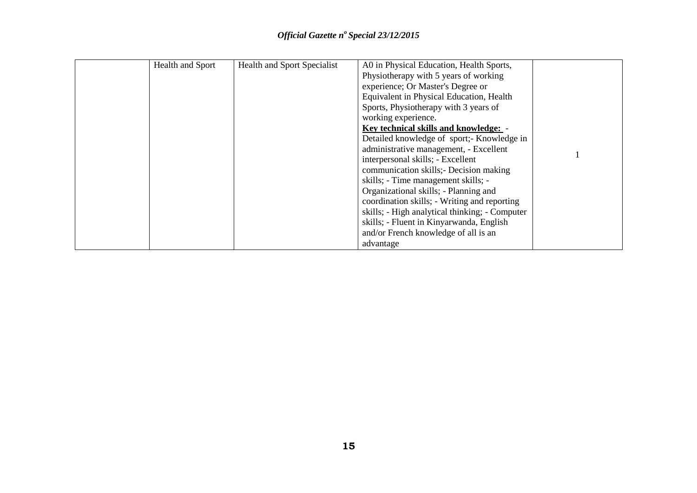| Health and Sport | <b>Health and Sport Specialist</b> | A0 in Physical Education, Health Sports,       |  |
|------------------|------------------------------------|------------------------------------------------|--|
|                  |                                    | Physiotherapy with 5 years of working          |  |
|                  |                                    | experience; Or Master's Degree or              |  |
|                  |                                    | Equivalent in Physical Education, Health       |  |
|                  |                                    | Sports, Physiotherapy with 3 years of          |  |
|                  |                                    | working experience.                            |  |
|                  |                                    | Key technical skills and knowledge: -          |  |
|                  |                                    | Detailed knowledge of sport;- Knowledge in     |  |
|                  |                                    | administrative management, - Excellent         |  |
|                  |                                    | interpersonal skills; - Excellent              |  |
|                  |                                    | communication skills; Decision making          |  |
|                  |                                    | skills; - Time management skills; -            |  |
|                  |                                    | Organizational skills; - Planning and          |  |
|                  |                                    | coordination skills; - Writing and reporting   |  |
|                  |                                    | skills; - High analytical thinking; - Computer |  |
|                  |                                    | skills; - Fluent in Kinyarwanda, English       |  |
|                  |                                    | and/or French knowledge of all is an           |  |
|                  |                                    | advantage                                      |  |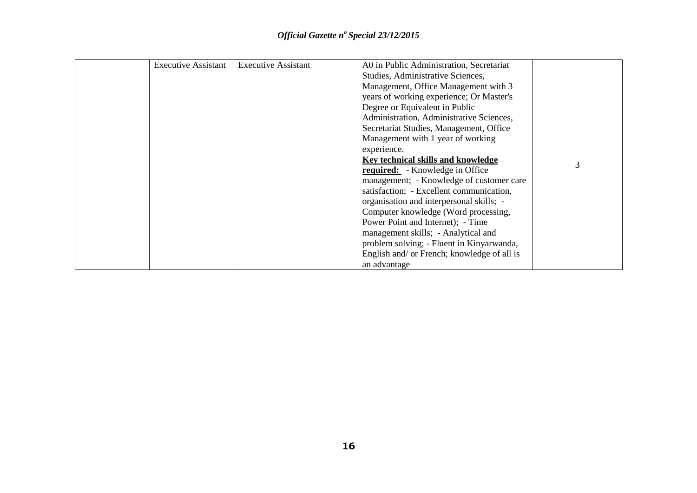| <b>Executive Assistant</b> | <b>Executive Assistant</b> | A0 in Public Administration, Secretariat    |   |
|----------------------------|----------------------------|---------------------------------------------|---|
|                            |                            | Studies, Administrative Sciences,           |   |
|                            |                            | Management, Office Management with 3        |   |
|                            |                            | years of working experience; Or Master's    |   |
|                            |                            | Degree or Equivalent in Public              |   |
|                            |                            | Administration, Administrative Sciences,    |   |
|                            |                            | Secretariat Studies, Management, Office     |   |
|                            |                            | Management with 1 year of working           |   |
|                            |                            | experience.                                 |   |
|                            |                            | Key technical skills and knowledge          |   |
|                            |                            | <b>required:</b> - Knowledge in Office      | 3 |
|                            |                            | management; - Knowledge of customer care    |   |
|                            |                            | satisfaction; - Excellent communication,    |   |
|                            |                            | organisation and interpersonal skills; -    |   |
|                            |                            | Computer knowledge (Word processing,        |   |
|                            |                            | Power Point and Internet); - Time           |   |
|                            |                            | management skills; - Analytical and         |   |
|                            |                            | problem solving; - Fluent in Kinyarwanda,   |   |
|                            |                            | English and/ or French; knowledge of all is |   |
|                            |                            | an advantage                                |   |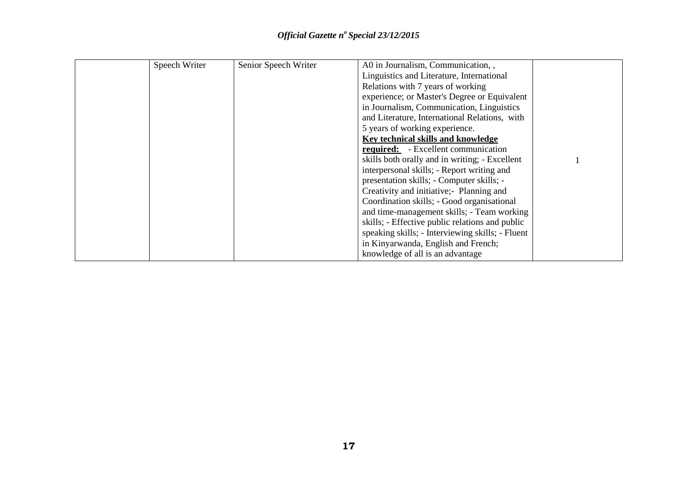| Speech Writer | Senior Speech Writer | A0 in Journalism, Communication, ,               |  |
|---------------|----------------------|--------------------------------------------------|--|
|               |                      | Linguistics and Literature, International        |  |
|               |                      | Relations with 7 years of working                |  |
|               |                      | experience; or Master's Degree or Equivalent     |  |
|               |                      | in Journalism, Communication, Linguistics        |  |
|               |                      | and Literature, International Relations, with    |  |
|               |                      | 5 years of working experience.                   |  |
|               |                      | Key technical skills and knowledge               |  |
|               |                      | <b>required:</b> - Excellent communication       |  |
|               |                      | skills both orally and in writing; - Excellent   |  |
|               |                      | interpersonal skills; - Report writing and       |  |
|               |                      | presentation skills; - Computer skills; -        |  |
|               |                      | Creativity and initiative; Planning and          |  |
|               |                      | Coordination skills; - Good organisational       |  |
|               |                      | and time-management skills; - Team working       |  |
|               |                      | skills; - Effective public relations and public  |  |
|               |                      | speaking skills; - Interviewing skills; - Fluent |  |
|               |                      | in Kinyarwanda, English and French;              |  |
|               |                      | knowledge of all is an advantage                 |  |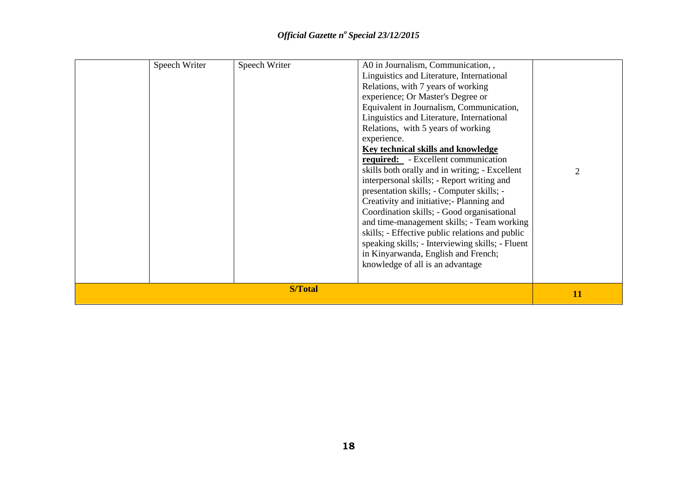| Speech Writer | Speech Writer  | A0 in Journalism, Communication, ,<br>Linguistics and Literature, International<br>Relations, with 7 years of working<br>experience; Or Master's Degree or<br>Equivalent in Journalism, Communication,<br>Linguistics and Literature, International<br>Relations, with 5 years of working<br>experience.<br><b>Key technical skills and knowledge</b><br><b>required:</b> - Excellent communication<br>skills both orally and in writing; - Excellent<br>interpersonal skills; - Report writing and<br>presentation skills; - Computer skills; -<br>Creativity and initiative; Planning and<br>Coordination skills; - Good organisational<br>and time-management skills; - Team working<br>skills; - Effective public relations and public<br>speaking skills; - Interviewing skills; - Fluent<br>in Kinyarwanda, English and French;<br>knowledge of all is an advantage |    |
|---------------|----------------|---------------------------------------------------------------------------------------------------------------------------------------------------------------------------------------------------------------------------------------------------------------------------------------------------------------------------------------------------------------------------------------------------------------------------------------------------------------------------------------------------------------------------------------------------------------------------------------------------------------------------------------------------------------------------------------------------------------------------------------------------------------------------------------------------------------------------------------------------------------------------|----|
|               | <b>S/Total</b> |                                                                                                                                                                                                                                                                                                                                                                                                                                                                                                                                                                                                                                                                                                                                                                                                                                                                           | 11 |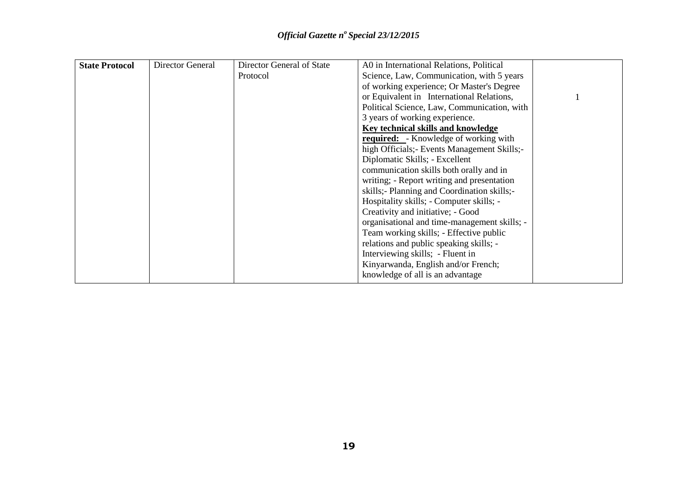| <b>State Protocol</b> | Director General | Director General of State | A0 in International Relations, Political     |  |
|-----------------------|------------------|---------------------------|----------------------------------------------|--|
|                       |                  | Protocol                  | Science, Law, Communication, with 5 years    |  |
|                       |                  |                           | of working experience; Or Master's Degree    |  |
|                       |                  |                           | or Equivalent in International Relations,    |  |
|                       |                  |                           | Political Science, Law, Communication, with  |  |
|                       |                  |                           | 3 years of working experience.               |  |
|                       |                  |                           | Key technical skills and knowledge           |  |
|                       |                  |                           | <b>required:</b> - Knowledge of working with |  |
|                       |                  |                           | high Officials; Events Management Skills;-   |  |
|                       |                  |                           | Diplomatic Skills; - Excellent               |  |
|                       |                  |                           | communication skills both orally and in      |  |
|                       |                  |                           | writing; - Report writing and presentation   |  |
|                       |                  |                           | skills;- Planning and Coordination skills;-  |  |
|                       |                  |                           | Hospitality skills; - Computer skills; -     |  |
|                       |                  |                           | Creativity and initiative; - Good            |  |
|                       |                  |                           | organisational and time-management skills; - |  |
|                       |                  |                           | Team working skills; - Effective public      |  |
|                       |                  |                           | relations and public speaking skills; -      |  |
|                       |                  |                           | Interviewing skills; - Fluent in             |  |
|                       |                  |                           | Kinyarwanda, English and/or French;          |  |
|                       |                  |                           | knowledge of all is an advantage             |  |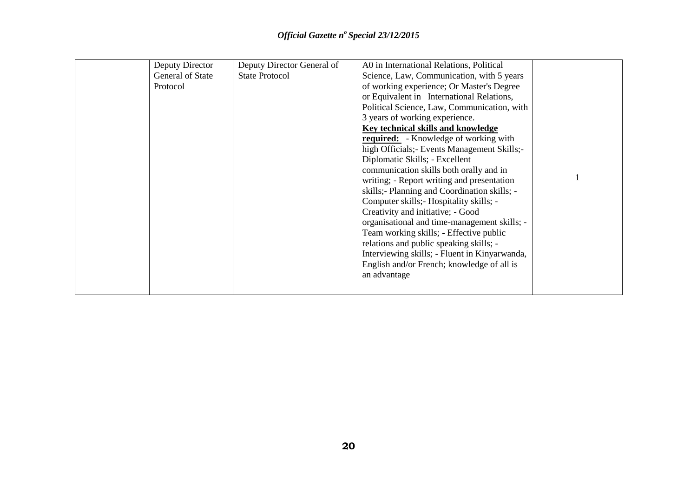| Deputy Director  | Deputy Director General of | A0 in International Relations, Political      |  |
|------------------|----------------------------|-----------------------------------------------|--|
| General of State | <b>State Protocol</b>      | Science, Law, Communication, with 5 years     |  |
| Protocol         |                            | of working experience; Or Master's Degree     |  |
|                  |                            | or Equivalent in International Relations,     |  |
|                  |                            | Political Science, Law, Communication, with   |  |
|                  |                            | 3 years of working experience.                |  |
|                  |                            | Key technical skills and knowledge            |  |
|                  |                            | <b>required:</b> - Knowledge of working with  |  |
|                  |                            | high Officials; Events Management Skills;     |  |
|                  |                            | Diplomatic Skills; - Excellent                |  |
|                  |                            | communication skills both orally and in       |  |
|                  |                            | writing; - Report writing and presentation    |  |
|                  |                            | skills; - Planning and Coordination skills; - |  |
|                  |                            | Computer skills; - Hospitality skills; -      |  |
|                  |                            | Creativity and initiative; - Good             |  |
|                  |                            | organisational and time-management skills; -  |  |
|                  |                            | Team working skills; - Effective public       |  |
|                  |                            | relations and public speaking skills; -       |  |
|                  |                            | Interviewing skills; - Fluent in Kinyarwanda, |  |
|                  |                            | English and/or French; knowledge of all is    |  |
|                  |                            | an advantage                                  |  |
|                  |                            |                                               |  |
|                  |                            |                                               |  |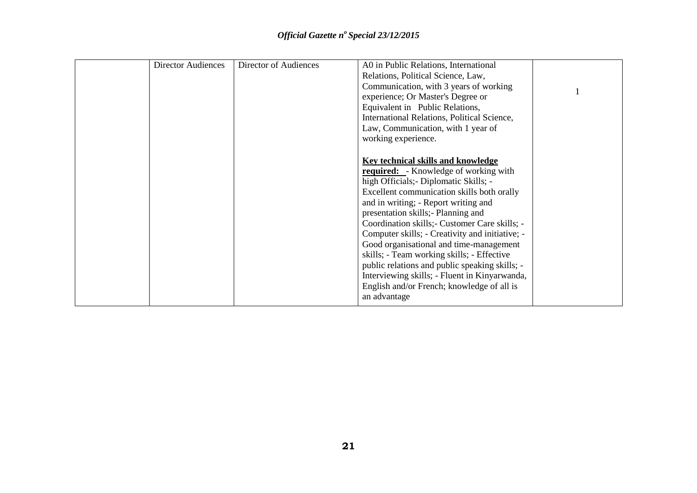| <b>Director Audiences</b> | Director of Audiences | A0 in Public Relations, International           |  |
|---------------------------|-----------------------|-------------------------------------------------|--|
|                           |                       | Relations, Political Science, Law,              |  |
|                           |                       | Communication, with 3 years of working          |  |
|                           |                       | experience; Or Master's Degree or               |  |
|                           |                       | Equivalent in Public Relations,                 |  |
|                           |                       | International Relations, Political Science,     |  |
|                           |                       | Law, Communication, with 1 year of              |  |
|                           |                       | working experience.                             |  |
|                           |                       |                                                 |  |
|                           |                       | <b>Key technical skills and knowledge</b>       |  |
|                           |                       | <b>required:</b> - Knowledge of working with    |  |
|                           |                       | high Officials; - Diplomatic Skills; -          |  |
|                           |                       |                                                 |  |
|                           |                       | Excellent communication skills both orally      |  |
|                           |                       | and in writing; - Report writing and            |  |
|                           |                       | presentation skills; Planning and               |  |
|                           |                       | Coordination skills; - Customer Care skills; -  |  |
|                           |                       | Computer skills; - Creativity and initiative; - |  |
|                           |                       | Good organisational and time-management         |  |
|                           |                       | skills; - Team working skills; - Effective      |  |
|                           |                       | public relations and public speaking skills; -  |  |
|                           |                       | Interviewing skills; - Fluent in Kinyarwanda,   |  |
|                           |                       | English and/or French; knowledge of all is      |  |
|                           |                       | an advantage                                    |  |
|                           |                       |                                                 |  |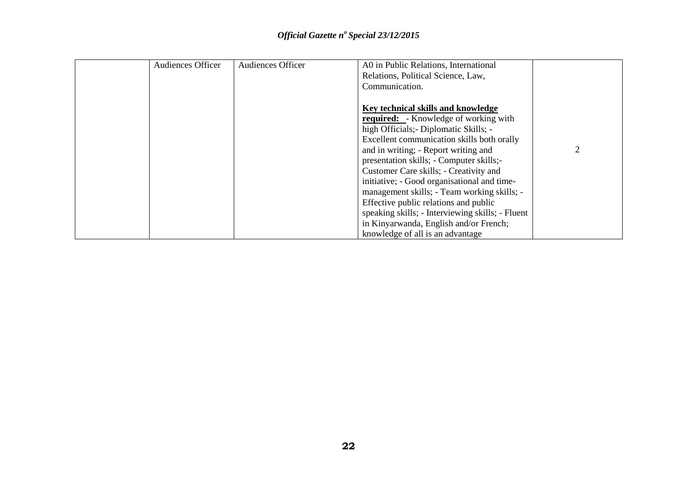| <b>Audiences Officer</b> | <b>Audiences Officer</b> | A0 in Public Relations, International            |                |
|--------------------------|--------------------------|--------------------------------------------------|----------------|
|                          |                          | Relations, Political Science, Law,               |                |
|                          |                          | Communication.                                   |                |
|                          |                          |                                                  |                |
|                          |                          | Key technical skills and knowledge               |                |
|                          |                          | <b>required:</b> - Knowledge of working with     |                |
|                          |                          | high Officials; - Diplomatic Skills; -           |                |
|                          |                          | Excellent communication skills both orally       |                |
|                          |                          | and in writing; - Report writing and             | $\overline{2}$ |
|                          |                          | presentation skills; - Computer skills;-         |                |
|                          |                          | Customer Care skills; - Creativity and           |                |
|                          |                          | initiative; - Good organisational and time-      |                |
|                          |                          | management skills; - Team working skills; -      |                |
|                          |                          | Effective public relations and public            |                |
|                          |                          | speaking skills; - Interviewing skills; - Fluent |                |
|                          |                          | in Kinyarwanda, English and/or French;           |                |
|                          |                          | knowledge of all is an advantage                 |                |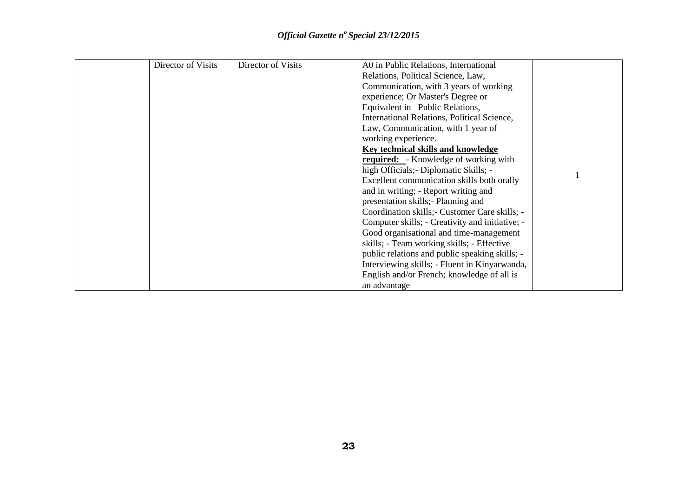| Director of Visits | Director of Visits | A0 in Public Relations, International           |  |
|--------------------|--------------------|-------------------------------------------------|--|
|                    |                    | Relations, Political Science, Law,              |  |
|                    |                    | Communication, with 3 years of working          |  |
|                    |                    | experience; Or Master's Degree or               |  |
|                    |                    | Equivalent in Public Relations,                 |  |
|                    |                    | International Relations, Political Science,     |  |
|                    |                    | Law, Communication, with 1 year of              |  |
|                    |                    | working experience.                             |  |
|                    |                    | Key technical skills and knowledge              |  |
|                    |                    | <b>required:</b> - Knowledge of working with    |  |
|                    |                    | high Officials; - Diplomatic Skills; -          |  |
|                    |                    | Excellent communication skills both orally      |  |
|                    |                    | and in writing; - Report writing and            |  |
|                    |                    | presentation skills; Planning and               |  |
|                    |                    | Coordination skills; - Customer Care skills; -  |  |
|                    |                    | Computer skills; - Creativity and initiative; - |  |
|                    |                    | Good organisational and time-management         |  |
|                    |                    | skills; - Team working skills; - Effective      |  |
|                    |                    | public relations and public speaking skills; -  |  |
|                    |                    | Interviewing skills; - Fluent in Kinyarwanda,   |  |
|                    |                    | English and/or French; knowledge of all is      |  |
|                    |                    | an advantage                                    |  |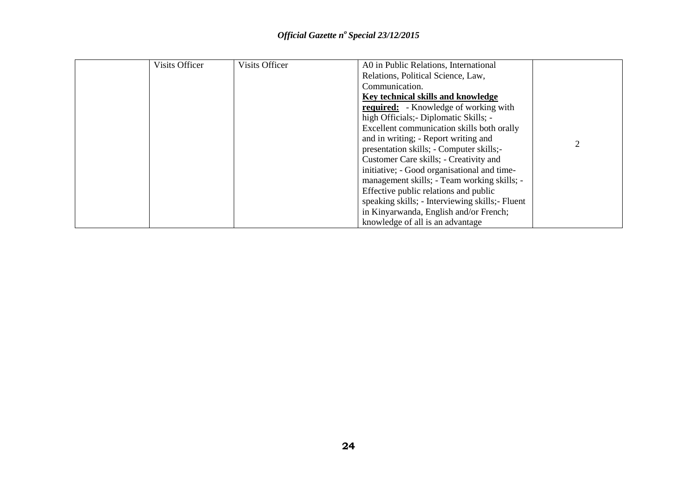| Visits Officer | Visits Officer | A0 in Public Relations, International            |  |
|----------------|----------------|--------------------------------------------------|--|
|                |                | Relations, Political Science, Law,               |  |
|                |                | Communication.                                   |  |
|                |                | Key technical skills and knowledge               |  |
|                |                | <b>required:</b> - Knowledge of working with     |  |
|                |                | high Officials; - Diplomatic Skills; -           |  |
|                |                | Excellent communication skills both orally       |  |
|                |                | and in writing; - Report writing and             |  |
|                |                | presentation skills; - Computer skills;-         |  |
|                |                | Customer Care skills; - Creativity and           |  |
|                |                | initiative; - Good organisational and time-      |  |
|                |                | management skills; - Team working skills; -      |  |
|                |                | Effective public relations and public            |  |
|                |                | speaking skills; - Interviewing skills; - Fluent |  |
|                |                | in Kinyarwanda, English and/or French;           |  |
|                |                | knowledge of all is an advantage                 |  |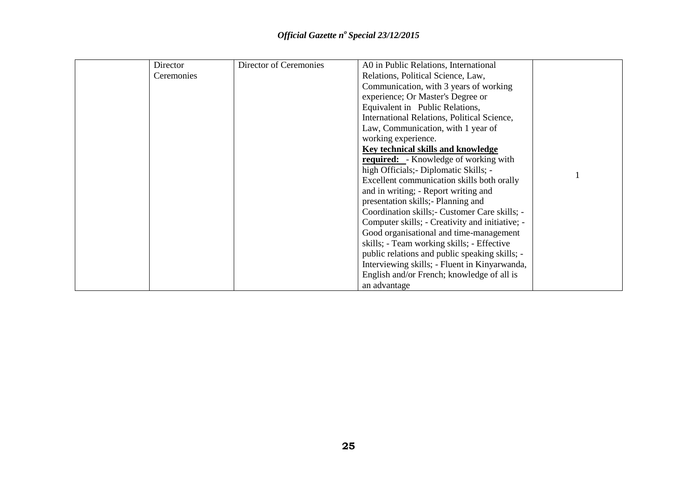| Director   | Director of Ceremonies | A0 in Public Relations, International           |  |
|------------|------------------------|-------------------------------------------------|--|
| Ceremonies |                        | Relations, Political Science, Law,              |  |
|            |                        | Communication, with 3 years of working          |  |
|            |                        | experience; Or Master's Degree or               |  |
|            |                        | Equivalent in Public Relations,                 |  |
|            |                        | International Relations, Political Science,     |  |
|            |                        | Law, Communication, with 1 year of              |  |
|            |                        | working experience.                             |  |
|            |                        | Key technical skills and knowledge              |  |
|            |                        | <b>required:</b> - Knowledge of working with    |  |
|            |                        | high Officials; - Diplomatic Skills; -          |  |
|            |                        | Excellent communication skills both orally      |  |
|            |                        | and in writing; - Report writing and            |  |
|            |                        | presentation skills; - Planning and             |  |
|            |                        | Coordination skills; - Customer Care skills; -  |  |
|            |                        | Computer skills; - Creativity and initiative; - |  |
|            |                        | Good organisational and time-management         |  |
|            |                        | skills; - Team working skills; - Effective      |  |
|            |                        | public relations and public speaking skills; -  |  |
|            |                        | Interviewing skills; - Fluent in Kinyarwanda,   |  |
|            |                        | English and/or French; knowledge of all is      |  |
|            |                        | an advantage                                    |  |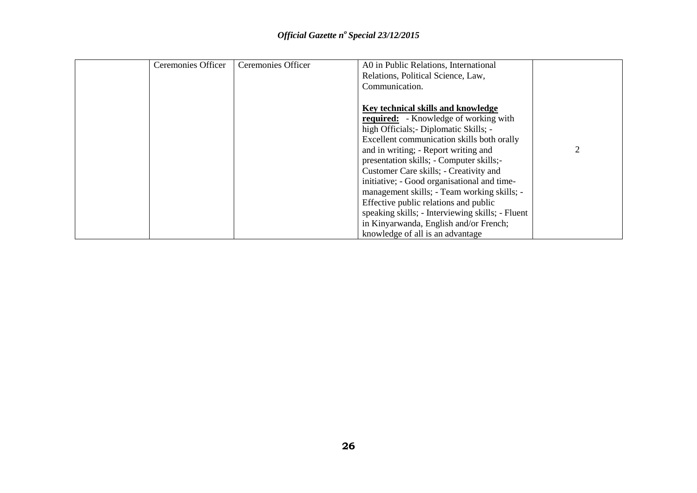| Ceremonies Officer | Ceremonies Officer | A0 in Public Relations, International            |   |
|--------------------|--------------------|--------------------------------------------------|---|
|                    |                    | Relations, Political Science, Law,               |   |
|                    |                    | Communication.                                   |   |
|                    |                    |                                                  |   |
|                    |                    | Key technical skills and knowledge               |   |
|                    |                    | <b>required:</b> - Knowledge of working with     |   |
|                    |                    | high Officials; - Diplomatic Skills; -           |   |
|                    |                    | Excellent communication skills both orally       |   |
|                    |                    | and in writing; - Report writing and             | 2 |
|                    |                    | presentation skills; - Computer skills;-         |   |
|                    |                    | Customer Care skills; - Creativity and           |   |
|                    |                    | initiative; - Good organisational and time-      |   |
|                    |                    | management skills; - Team working skills; -      |   |
|                    |                    | Effective public relations and public            |   |
|                    |                    | speaking skills; - Interviewing skills; - Fluent |   |
|                    |                    | in Kinyarwanda, English and/or French;           |   |
|                    |                    | knowledge of all is an advantage                 |   |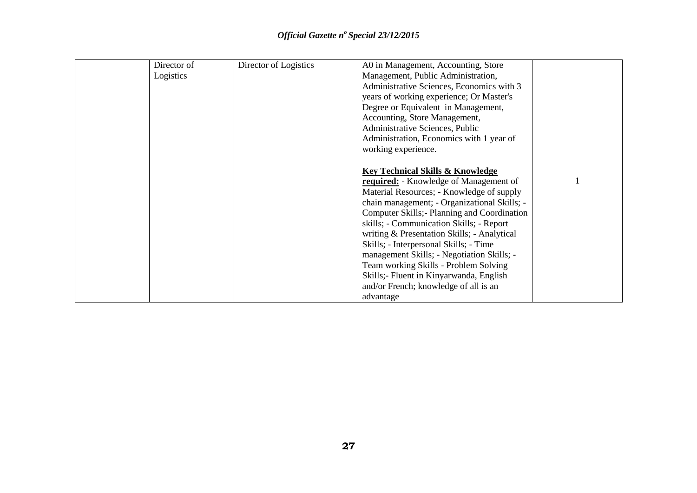| Director of | Director of Logistics | A0 in Management, Accounting, Store           |  |
|-------------|-----------------------|-----------------------------------------------|--|
| Logistics   |                       | Management, Public Administration,            |  |
|             |                       | Administrative Sciences, Economics with 3     |  |
|             |                       | years of working experience; Or Master's      |  |
|             |                       | Degree or Equivalent in Management,           |  |
|             |                       | Accounting, Store Management,                 |  |
|             |                       | Administrative Sciences, Public               |  |
|             |                       | Administration, Economics with 1 year of      |  |
|             |                       | working experience.                           |  |
|             |                       |                                               |  |
|             |                       | <b>Key Technical Skills &amp; Knowledge</b>   |  |
|             |                       | <b>required:</b> - Knowledge of Management of |  |
|             |                       | Material Resources; - Knowledge of supply     |  |
|             |                       | chain management; - Organizational Skills; -  |  |
|             |                       | Computer Skills; - Planning and Coordination  |  |
|             |                       | skills; - Communication Skills; - Report      |  |
|             |                       | writing & Presentation Skills; - Analytical   |  |
|             |                       | Skills; - Interpersonal Skills; - Time        |  |
|             |                       | management Skills; - Negotiation Skills; -    |  |
|             |                       | Team working Skills - Problem Solving         |  |
|             |                       | Skills;- Fluent in Kinyarwanda, English       |  |
|             |                       | and/or French; knowledge of all is an         |  |
|             |                       | advantage                                     |  |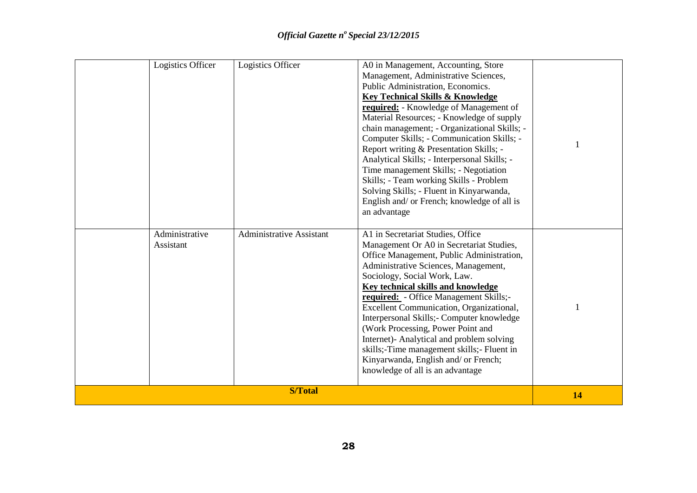| Logistics Officer           | Logistics Officer               | A0 in Management, Accounting, Store<br>Management, Administrative Sciences,<br>Public Administration, Economics.<br><b>Key Technical Skills &amp; Knowledge</b><br>required: - Knowledge of Management of<br>Material Resources; - Knowledge of supply<br>chain management; - Organizational Skills; -<br>Computer Skills; - Communication Skills; -<br>Report writing & Presentation Skills; -<br>Analytical Skills; - Interpersonal Skills; -<br>Time management Skills; - Negotiation<br>Skills; - Team working Skills - Problem<br>Solving Skills; - Fluent in Kinyarwanda,<br>English and/ or French; knowledge of all is<br>an advantage |    |
|-----------------------------|---------------------------------|------------------------------------------------------------------------------------------------------------------------------------------------------------------------------------------------------------------------------------------------------------------------------------------------------------------------------------------------------------------------------------------------------------------------------------------------------------------------------------------------------------------------------------------------------------------------------------------------------------------------------------------------|----|
| Administrative<br>Assistant | <b>Administrative Assistant</b> | A1 in Secretariat Studies, Office<br>Management Or A0 in Secretariat Studies,<br>Office Management, Public Administration,<br>Administrative Sciences, Management,<br>Sociology, Social Work, Law.<br>Key technical skills and knowledge<br>required: - Office Management Skills;-<br>Excellent Communication, Organizational,<br>Interpersonal Skills;- Computer knowledge<br>(Work Processing, Power Point and<br>Internet)- Analytical and problem solving<br>skills;-Time management skills;- Fluent in<br>Kinyarwanda, English and/ or French;<br>knowledge of all is an advantage                                                        |    |
|                             | <b>S/Total</b>                  |                                                                                                                                                                                                                                                                                                                                                                                                                                                                                                                                                                                                                                                | 14 |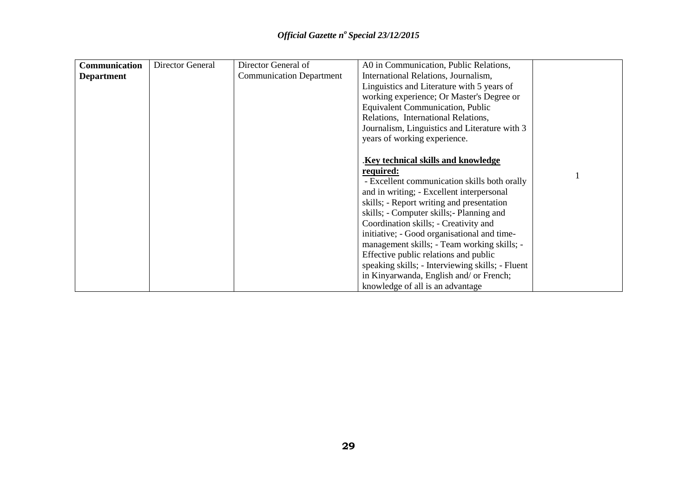| <b>Communication</b> | <b>Director General</b> | Director General of             | A0 in Communication, Public Relations,           |  |
|----------------------|-------------------------|---------------------------------|--------------------------------------------------|--|
| <b>Department</b>    |                         | <b>Communication Department</b> | International Relations, Journalism,             |  |
|                      |                         |                                 | Linguistics and Literature with 5 years of       |  |
|                      |                         |                                 | working experience; Or Master's Degree or        |  |
|                      |                         |                                 | <b>Equivalent Communication, Public</b>          |  |
|                      |                         |                                 | Relations, International Relations,              |  |
|                      |                         |                                 | Journalism, Linguistics and Literature with 3    |  |
|                      |                         |                                 | years of working experience.                     |  |
|                      |                         |                                 |                                                  |  |
|                      |                         |                                 | Key technical skills and knowledge               |  |
|                      |                         |                                 | required:                                        |  |
|                      |                         |                                 | - Excellent communication skills both orally     |  |
|                      |                         |                                 | and in writing; - Excellent interpersonal        |  |
|                      |                         |                                 | skills; - Report writing and presentation        |  |
|                      |                         |                                 | skills; - Computer skills; - Planning and        |  |
|                      |                         |                                 | Coordination skills; - Creativity and            |  |
|                      |                         |                                 | initiative; - Good organisational and time-      |  |
|                      |                         |                                 | management skills; - Team working skills; -      |  |
|                      |                         |                                 | Effective public relations and public            |  |
|                      |                         |                                 | speaking skills; - Interviewing skills; - Fluent |  |
|                      |                         |                                 | in Kinyarwanda, English and/ or French;          |  |
|                      |                         |                                 | knowledge of all is an advantage                 |  |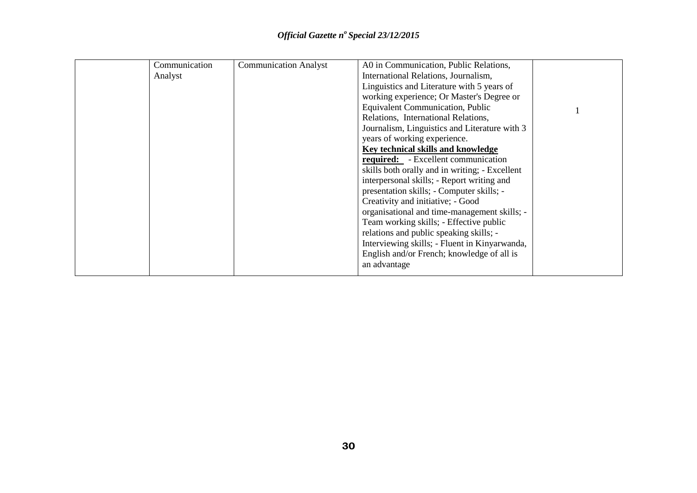| Communication | <b>Communication Analyst</b> | A0 in Communication, Public Relations,         |  |
|---------------|------------------------------|------------------------------------------------|--|
| Analyst       |                              | International Relations, Journalism,           |  |
|               |                              | Linguistics and Literature with 5 years of     |  |
|               |                              | working experience; Or Master's Degree or      |  |
|               |                              | <b>Equivalent Communication, Public</b>        |  |
|               |                              | Relations, International Relations,            |  |
|               |                              | Journalism, Linguistics and Literature with 3  |  |
|               |                              | years of working experience.                   |  |
|               |                              | Key technical skills and knowledge             |  |
|               |                              | required: - Excellent communication            |  |
|               |                              | skills both orally and in writing; - Excellent |  |
|               |                              | interpersonal skills; - Report writing and     |  |
|               |                              | presentation skills; - Computer skills; -      |  |
|               |                              | Creativity and initiative; - Good              |  |
|               |                              | organisational and time-management skills; -   |  |
|               |                              | Team working skills; - Effective public        |  |
|               |                              | relations and public speaking skills; -        |  |
|               |                              | Interviewing skills; - Fluent in Kinyarwanda,  |  |
|               |                              | English and/or French; knowledge of all is     |  |
|               |                              | an advantage                                   |  |
|               |                              |                                                |  |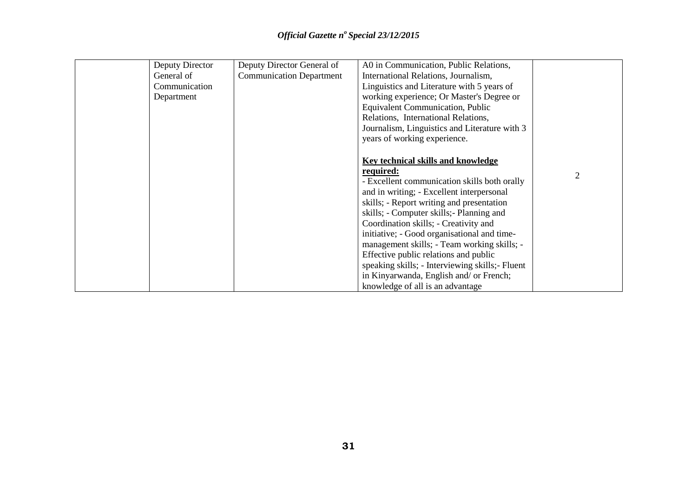| Deputy Director | Deputy Director General of      | A0 in Communication, Public Relations,           |                |
|-----------------|---------------------------------|--------------------------------------------------|----------------|
| General of      | <b>Communication Department</b> | International Relations, Journalism,             |                |
| Communication   |                                 | Linguistics and Literature with 5 years of       |                |
| Department      |                                 | working experience; Or Master's Degree or        |                |
|                 |                                 | <b>Equivalent Communication, Public</b>          |                |
|                 |                                 | Relations, International Relations,              |                |
|                 |                                 | Journalism, Linguistics and Literature with 3    |                |
|                 |                                 | years of working experience.                     |                |
|                 |                                 |                                                  |                |
|                 |                                 | <b>Key technical skills and knowledge</b>        |                |
|                 |                                 | required:                                        | $\overline{2}$ |
|                 |                                 | - Excellent communication skills both orally     |                |
|                 |                                 | and in writing; - Excellent interpersonal        |                |
|                 |                                 | skills; - Report writing and presentation        |                |
|                 |                                 | skills; - Computer skills; - Planning and        |                |
|                 |                                 | Coordination skills; - Creativity and            |                |
|                 |                                 | initiative; - Good organisational and time-      |                |
|                 |                                 | management skills; - Team working skills; -      |                |
|                 |                                 | Effective public relations and public            |                |
|                 |                                 | speaking skills; - Interviewing skills; - Fluent |                |
|                 |                                 | in Kinyarwanda, English and/ or French;          |                |
|                 |                                 | knowledge of all is an advantage                 |                |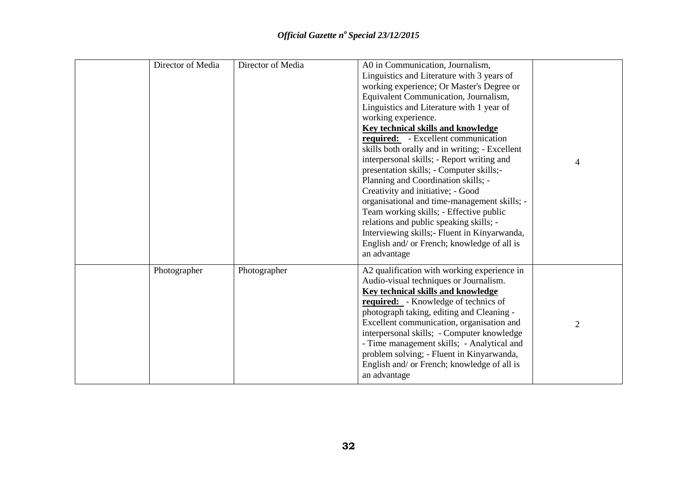| Director of Media | Director of Media | A0 in Communication, Journalism,<br>Linguistics and Literature with 3 years of<br>working experience; Or Master's Degree or<br>Equivalent Communication, Journalism,<br>Linguistics and Literature with 1 year of<br>working experience.<br><b>Key technical skills and knowledge</b><br>required: - Excellent communication<br>skills both orally and in writing; - Excellent<br>interpersonal skills; - Report writing and<br>presentation skills; - Computer skills;-<br>Planning and Coordination skills; -<br>Creativity and initiative; - Good<br>organisational and time-management skills; -<br>Team working skills; - Effective public<br>relations and public speaking skills; -<br>Interviewing skills; - Fluent in Kinyarwanda,<br>English and/ or French; knowledge of all is<br>an advantage | 4              |
|-------------------|-------------------|------------------------------------------------------------------------------------------------------------------------------------------------------------------------------------------------------------------------------------------------------------------------------------------------------------------------------------------------------------------------------------------------------------------------------------------------------------------------------------------------------------------------------------------------------------------------------------------------------------------------------------------------------------------------------------------------------------------------------------------------------------------------------------------------------------|----------------|
| Photographer      | Photographer      | A2 qualification with working experience in<br>Audio-visual techniques or Journalism.<br><b>Key technical skills and knowledge</b><br><b>required:</b> - Knowledge of technics of<br>photograph taking, editing and Cleaning -<br>Excellent communication, organisation and<br>interpersonal skills; - Computer knowledge<br>- Time management skills; - Analytical and<br>problem solving; - Fluent in Kinyarwanda,<br>English and/ or French; knowledge of all is<br>an advantage                                                                                                                                                                                                                                                                                                                        | $\overline{2}$ |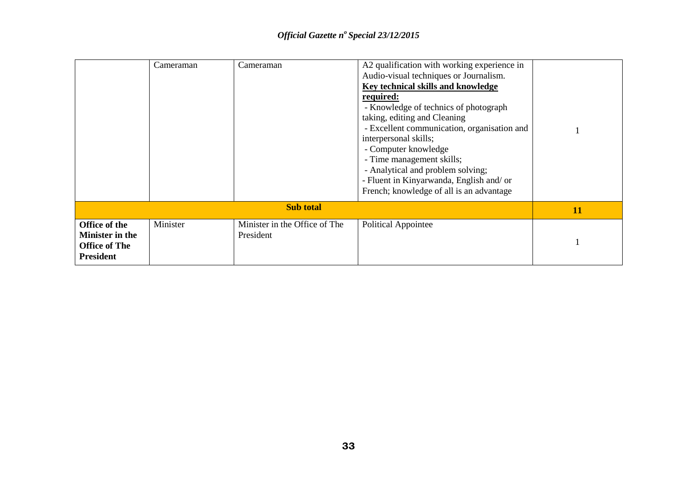|                                                                              | Cameraman | Cameraman                                  | A2 qualification with working experience in<br>Audio-visual techniques or Journalism.<br>Key technical skills and knowledge<br>required:<br>- Knowledge of technics of photograph<br>taking, editing and Cleaning<br>- Excellent communication, organisation and<br>interpersonal skills;<br>- Computer knowledge<br>- Time management skills;<br>- Analytical and problem solving;<br>- Fluent in Kinyarwanda, English and/ or<br>French; knowledge of all is an advantage |    |
|------------------------------------------------------------------------------|-----------|--------------------------------------------|-----------------------------------------------------------------------------------------------------------------------------------------------------------------------------------------------------------------------------------------------------------------------------------------------------------------------------------------------------------------------------------------------------------------------------------------------------------------------------|----|
| <b>Sub total</b>                                                             |           |                                            |                                                                                                                                                                                                                                                                                                                                                                                                                                                                             | 11 |
| Office of the<br>Minister in the<br><b>Office of The</b><br><b>President</b> | Minister  | Minister in the Office of The<br>President | <b>Political Appointee</b>                                                                                                                                                                                                                                                                                                                                                                                                                                                  |    |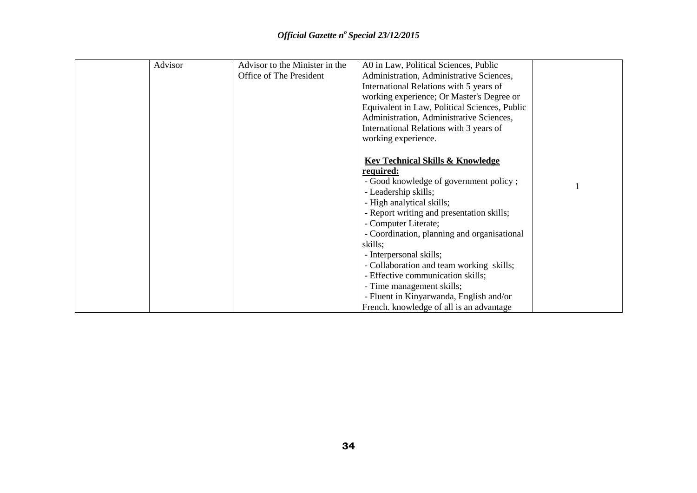| Advisor | Advisor to the Minister in the | A0 in Law, Political Sciences, Public         |  |
|---------|--------------------------------|-----------------------------------------------|--|
|         | Office of The President        | Administration, Administrative Sciences,      |  |
|         |                                | International Relations with 5 years of       |  |
|         |                                | working experience; Or Master's Degree or     |  |
|         |                                | Equivalent in Law, Political Sciences, Public |  |
|         |                                | Administration, Administrative Sciences,      |  |
|         |                                | International Relations with 3 years of       |  |
|         |                                | working experience.                           |  |
|         |                                |                                               |  |
|         |                                | <b>Key Technical Skills &amp; Knowledge</b>   |  |
|         |                                | required:                                     |  |
|         |                                | - Good knowledge of government policy;        |  |
|         |                                | - Leadership skills;                          |  |
|         |                                | - High analytical skills;                     |  |
|         |                                | - Report writing and presentation skills;     |  |
|         |                                | - Computer Literate;                          |  |
|         |                                | - Coordination, planning and organisational   |  |
|         |                                | skills;                                       |  |
|         |                                | - Interpersonal skills;                       |  |
|         |                                | - Collaboration and team working skills;      |  |
|         |                                | - Effective communication skills;             |  |
|         |                                | - Time management skills;                     |  |
|         |                                | - Fluent in Kinyarwanda, English and/or       |  |
|         |                                | French. knowledge of all is an advantage      |  |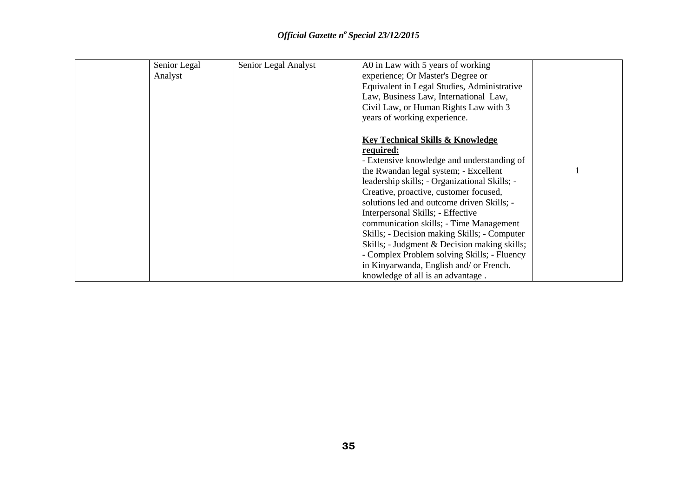| Senior Legal | Senior Legal Analyst | A0 in Law with 5 years of working             |  |
|--------------|----------------------|-----------------------------------------------|--|
| Analyst      |                      | experience; Or Master's Degree or             |  |
|              |                      | Equivalent in Legal Studies, Administrative   |  |
|              |                      | Law, Business Law, International Law,         |  |
|              |                      | Civil Law, or Human Rights Law with 3         |  |
|              |                      | years of working experience.                  |  |
|              |                      |                                               |  |
|              |                      | <b>Key Technical Skills &amp; Knowledge</b>   |  |
|              |                      | required:                                     |  |
|              |                      | - Extensive knowledge and understanding of    |  |
|              |                      | the Rwandan legal system; - Excellent         |  |
|              |                      | leadership skills; - Organizational Skills; - |  |
|              |                      | Creative, proactive, customer focused,        |  |
|              |                      | solutions led and outcome driven Skills; -    |  |
|              |                      | Interpersonal Skills; - Effective             |  |
|              |                      | communication skills; - Time Management       |  |
|              |                      | Skills; - Decision making Skills; - Computer  |  |
|              |                      | Skills; - Judgment & Decision making skills;  |  |
|              |                      | - Complex Problem solving Skills; - Fluency   |  |
|              |                      | in Kinyarwanda, English and/ or French.       |  |
|              |                      | knowledge of all is an advantage.             |  |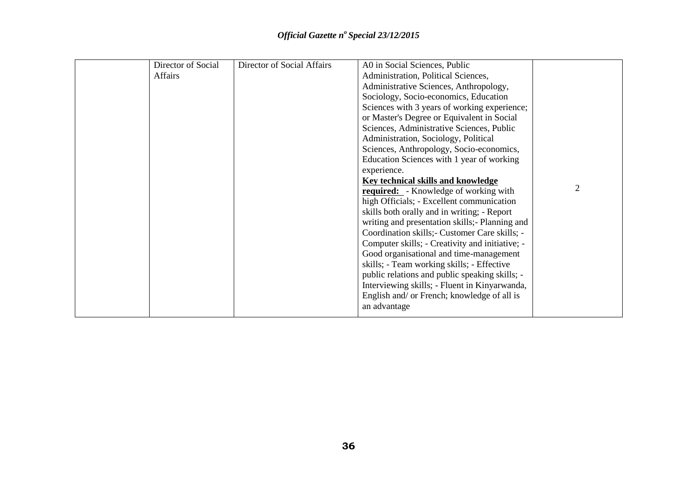| Director of Social | Director of Social Affairs | A0 in Social Sciences, Public                   |                |
|--------------------|----------------------------|-------------------------------------------------|----------------|
| <b>Affairs</b>     |                            | Administration, Political Sciences,             |                |
|                    |                            | Administrative Sciences, Anthropology,          |                |
|                    |                            | Sociology, Socio-economics, Education           |                |
|                    |                            | Sciences with 3 years of working experience;    |                |
|                    |                            | or Master's Degree or Equivalent in Social      |                |
|                    |                            | Sciences, Administrative Sciences, Public       |                |
|                    |                            | Administration, Sociology, Political            |                |
|                    |                            | Sciences, Anthropology, Socio-economics,        |                |
|                    |                            | Education Sciences with 1 year of working       |                |
|                    |                            | experience.                                     |                |
|                    |                            | <b>Key technical skills and knowledge</b>       |                |
|                    |                            | <b>required:</b> - Knowledge of working with    | $\overline{2}$ |
|                    |                            | high Officials; - Excellent communication       |                |
|                    |                            | skills both orally and in writing; - Report     |                |
|                    |                            | writing and presentation skills; - Planning and |                |
|                    |                            | Coordination skills; - Customer Care skills; -  |                |
|                    |                            | Computer skills; - Creativity and initiative; - |                |
|                    |                            | Good organisational and time-management         |                |
|                    |                            | skills; - Team working skills; - Effective      |                |
|                    |                            | public relations and public speaking skills; -  |                |
|                    |                            | Interviewing skills; - Fluent in Kinyarwanda,   |                |
|                    |                            | English and/ or French; knowledge of all is     |                |
|                    |                            | an advantage                                    |                |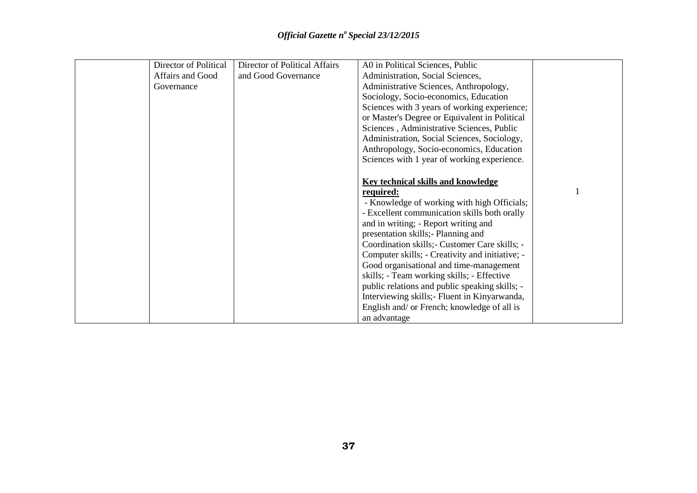| Director of Political | Director of Political Affairs | A0 in Political Sciences, Public                |  |
|-----------------------|-------------------------------|-------------------------------------------------|--|
| Affairs and Good      | and Good Governance           | Administration, Social Sciences,                |  |
| Governance            |                               | Administrative Sciences, Anthropology,          |  |
|                       |                               | Sociology, Socio-economics, Education           |  |
|                       |                               | Sciences with 3 years of working experience;    |  |
|                       |                               | or Master's Degree or Equivalent in Political   |  |
|                       |                               | Sciences, Administrative Sciences, Public       |  |
|                       |                               | Administration, Social Sciences, Sociology,     |  |
|                       |                               | Anthropology, Socio-economics, Education        |  |
|                       |                               | Sciences with 1 year of working experience.     |  |
|                       |                               |                                                 |  |
|                       |                               | <b>Key technical skills and knowledge</b>       |  |
|                       |                               | required:                                       |  |
|                       |                               | - Knowledge of working with high Officials;     |  |
|                       |                               | - Excellent communication skills both orally    |  |
|                       |                               | and in writing; - Report writing and            |  |
|                       |                               | presentation skills; Planning and               |  |
|                       |                               | Coordination skills; - Customer Care skills; -  |  |
|                       |                               | Computer skills; - Creativity and initiative; - |  |
|                       |                               | Good organisational and time-management         |  |
|                       |                               | skills; - Team working skills; - Effective      |  |
|                       |                               | public relations and public speaking skills; -  |  |
|                       |                               | Interviewing skills; Fluent in Kinyarwanda,     |  |
|                       |                               | English and/ or French; knowledge of all is     |  |
|                       |                               | an advantage                                    |  |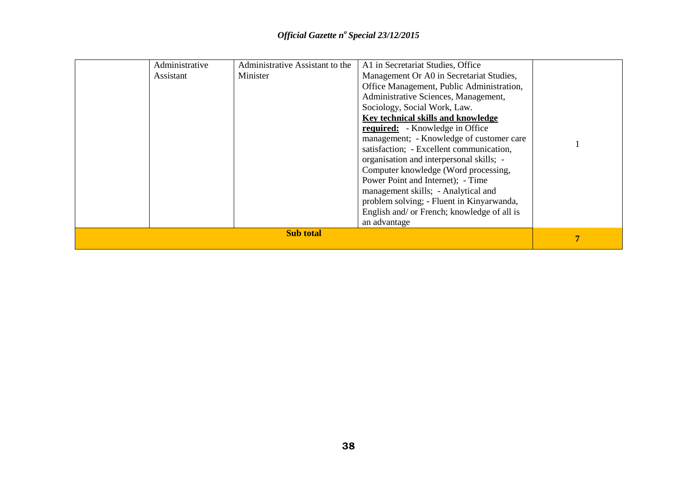|  | Administrative<br>Assistant | Administrative Assistant to the<br>Minister | A1 in Secretariat Studies, Office<br>Management Or A0 in Secretariat Studies,<br>Office Management, Public Administration,<br>Administrative Sciences, Management,<br>Sociology, Social Work, Law.<br>Key technical skills and knowledge<br><b>required:</b> - Knowledge in Office<br>management; - Knowledge of customer care<br>satisfaction; - Excellent communication,<br>organisation and interpersonal skills; -<br>Computer knowledge (Word processing,<br>Power Point and Internet); - Time<br>management skills; - Analytical and<br>problem solving; - Fluent in Kinyarwanda, |  |
|--|-----------------------------|---------------------------------------------|-----------------------------------------------------------------------------------------------------------------------------------------------------------------------------------------------------------------------------------------------------------------------------------------------------------------------------------------------------------------------------------------------------------------------------------------------------------------------------------------------------------------------------------------------------------------------------------------|--|
|  |                             |                                             | English and/ or French; knowledge of all is<br>an advantage                                                                                                                                                                                                                                                                                                                                                                                                                                                                                                                             |  |
|  | 7                           |                                             |                                                                                                                                                                                                                                                                                                                                                                                                                                                                                                                                                                                         |  |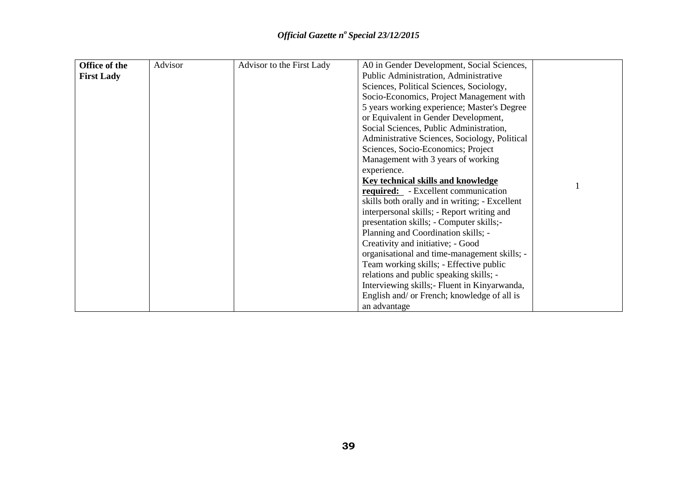| Office of the     | Advisor | Advisor to the First Lady | A0 in Gender Development, Social Sciences,     |  |
|-------------------|---------|---------------------------|------------------------------------------------|--|
| <b>First Lady</b> |         |                           | Public Administration, Administrative          |  |
|                   |         |                           | Sciences, Political Sciences, Sociology,       |  |
|                   |         |                           | Socio-Economics, Project Management with       |  |
|                   |         |                           | 5 years working experience; Master's Degree    |  |
|                   |         |                           | or Equivalent in Gender Development,           |  |
|                   |         |                           | Social Sciences, Public Administration,        |  |
|                   |         |                           | Administrative Sciences, Sociology, Political  |  |
|                   |         |                           | Sciences, Socio-Economics; Project             |  |
|                   |         |                           | Management with 3 years of working             |  |
|                   |         |                           | experience.                                    |  |
|                   |         |                           | <b>Key technical skills and knowledge</b>      |  |
|                   |         |                           | <b>required:</b> - Excellent communication     |  |
|                   |         |                           | skills both orally and in writing; - Excellent |  |
|                   |         |                           | interpersonal skills; - Report writing and     |  |
|                   |         |                           | presentation skills; - Computer skills;-       |  |
|                   |         |                           | Planning and Coordination skills; -            |  |
|                   |         |                           | Creativity and initiative; - Good              |  |
|                   |         |                           | organisational and time-management skills; -   |  |
|                   |         |                           | Team working skills; - Effective public        |  |
|                   |         |                           | relations and public speaking skills; -        |  |
|                   |         |                           | Interviewing skills; Fluent in Kinyarwanda,    |  |
|                   |         |                           | English and/ or French; knowledge of all is    |  |
|                   |         |                           | an advantage                                   |  |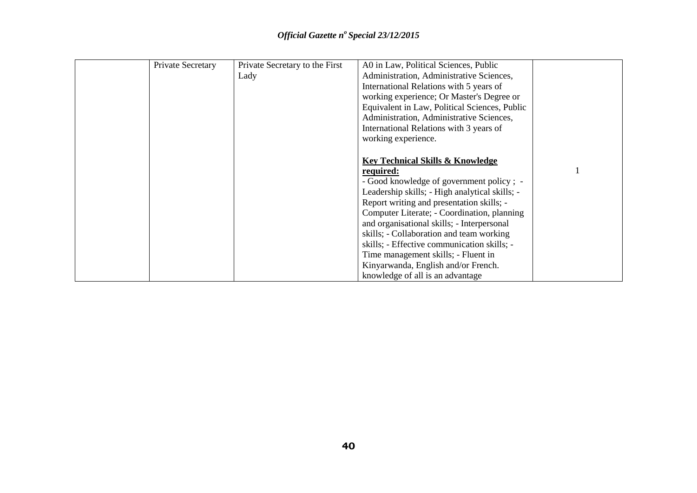| Private Secretary | Private Secretary to the First | A0 in Law, Political Sciences, Public          |  |
|-------------------|--------------------------------|------------------------------------------------|--|
|                   | Lady                           | Administration, Administrative Sciences,       |  |
|                   |                                | International Relations with 5 years of        |  |
|                   |                                | working experience; Or Master's Degree or      |  |
|                   |                                | Equivalent in Law, Political Sciences, Public  |  |
|                   |                                | Administration, Administrative Sciences,       |  |
|                   |                                | International Relations with 3 years of        |  |
|                   |                                | working experience.                            |  |
|                   |                                |                                                |  |
|                   |                                | <b>Key Technical Skills &amp; Knowledge</b>    |  |
|                   |                                |                                                |  |
|                   |                                | required:                                      |  |
|                   |                                | - Good knowledge of government policy; -       |  |
|                   |                                | Leadership skills; - High analytical skills; - |  |
|                   |                                | Report writing and presentation skills; -      |  |
|                   |                                | Computer Literate; - Coordination, planning    |  |
|                   |                                | and organisational skills; - Interpersonal     |  |
|                   |                                | skills; - Collaboration and team working       |  |
|                   |                                | skills; - Effective communication skills; -    |  |
|                   |                                | Time management skills; - Fluent in            |  |
|                   |                                | Kinyarwanda, English and/or French.            |  |
|                   |                                | knowledge of all is an advantage               |  |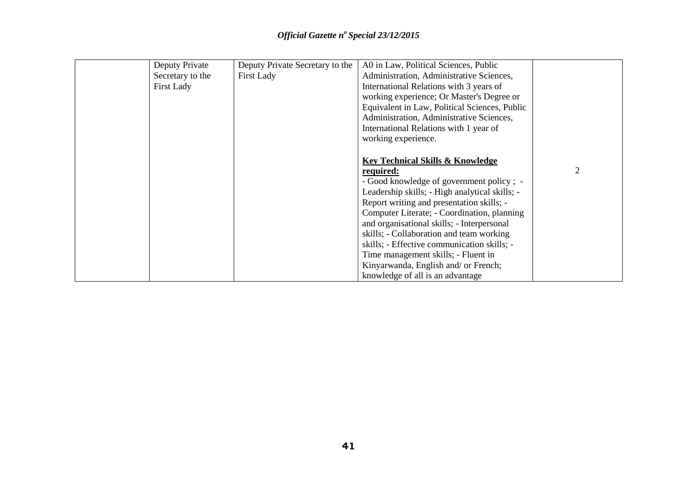| Deputy Private    | Deputy Private Secretary to the | A0 in Law, Political Sciences, Public          |                |
|-------------------|---------------------------------|------------------------------------------------|----------------|
| Secretary to the  | <b>First Lady</b>               | Administration, Administrative Sciences,       |                |
| <b>First Lady</b> |                                 | International Relations with 3 years of        |                |
|                   |                                 | working experience; Or Master's Degree or      |                |
|                   |                                 | Equivalent in Law, Political Sciences, Public  |                |
|                   |                                 | Administration, Administrative Sciences,       |                |
|                   |                                 | International Relations with 1 year of         |                |
|                   |                                 | working experience.                            |                |
|                   |                                 |                                                |                |
|                   |                                 | <b>Key Technical Skills &amp; Knowledge</b>    |                |
|                   |                                 | required:                                      | $\overline{2}$ |
|                   |                                 | - Good knowledge of government policy; -       |                |
|                   |                                 | Leadership skills; - High analytical skills; - |                |
|                   |                                 | Report writing and presentation skills; -      |                |
|                   |                                 | Computer Literate; - Coordination, planning    |                |
|                   |                                 | and organisational skills; - Interpersonal     |                |
|                   |                                 | skills; - Collaboration and team working       |                |
|                   |                                 | skills; - Effective communication skills; -    |                |
|                   |                                 | Time management skills; - Fluent in            |                |
|                   |                                 | Kinyarwanda, English and/ or French;           |                |
|                   |                                 | knowledge of all is an advantage               |                |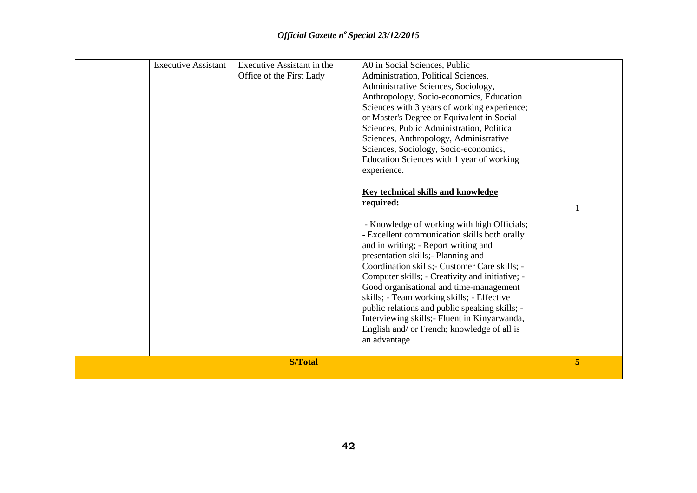|  | <b>Executive Assistant</b> | Executive Assistant in the<br>Office of the First Lady | A0 in Social Sciences, Public<br>Administration, Political Sciences,<br>Administrative Sciences, Sociology,                                                                                                                                                                                                                                                                                                                                                                                                                               |   |
|--|----------------------------|--------------------------------------------------------|-------------------------------------------------------------------------------------------------------------------------------------------------------------------------------------------------------------------------------------------------------------------------------------------------------------------------------------------------------------------------------------------------------------------------------------------------------------------------------------------------------------------------------------------|---|
|  |                            |                                                        | Anthropology, Socio-economics, Education                                                                                                                                                                                                                                                                                                                                                                                                                                                                                                  |   |
|  |                            |                                                        | Sciences with 3 years of working experience;<br>or Master's Degree or Equivalent in Social                                                                                                                                                                                                                                                                                                                                                                                                                                                |   |
|  |                            |                                                        | Sciences, Public Administration, Political                                                                                                                                                                                                                                                                                                                                                                                                                                                                                                |   |
|  |                            |                                                        | Sciences, Anthropology, Administrative                                                                                                                                                                                                                                                                                                                                                                                                                                                                                                    |   |
|  |                            |                                                        | Sciences, Sociology, Socio-economics,                                                                                                                                                                                                                                                                                                                                                                                                                                                                                                     |   |
|  |                            |                                                        | Education Sciences with 1 year of working                                                                                                                                                                                                                                                                                                                                                                                                                                                                                                 |   |
|  |                            |                                                        | experience.                                                                                                                                                                                                                                                                                                                                                                                                                                                                                                                               |   |
|  |                            |                                                        | <b>Key technical skills and knowledge</b>                                                                                                                                                                                                                                                                                                                                                                                                                                                                                                 |   |
|  |                            |                                                        | required:                                                                                                                                                                                                                                                                                                                                                                                                                                                                                                                                 |   |
|  |                            |                                                        | - Knowledge of working with high Officials;<br>- Excellent communication skills both orally<br>and in writing; - Report writing and<br>presentation skills;- Planning and<br>Coordination skills; - Customer Care skills; -<br>Computer skills; - Creativity and initiative; -<br>Good organisational and time-management<br>skills; - Team working skills; - Effective<br>public relations and public speaking skills; -<br>Interviewing skills; - Fluent in Kinyarwanda,<br>English and/ or French; knowledge of all is<br>an advantage |   |
|  |                            | <b>S/Total</b>                                         |                                                                                                                                                                                                                                                                                                                                                                                                                                                                                                                                           | 5 |
|  |                            |                                                        |                                                                                                                                                                                                                                                                                                                                                                                                                                                                                                                                           |   |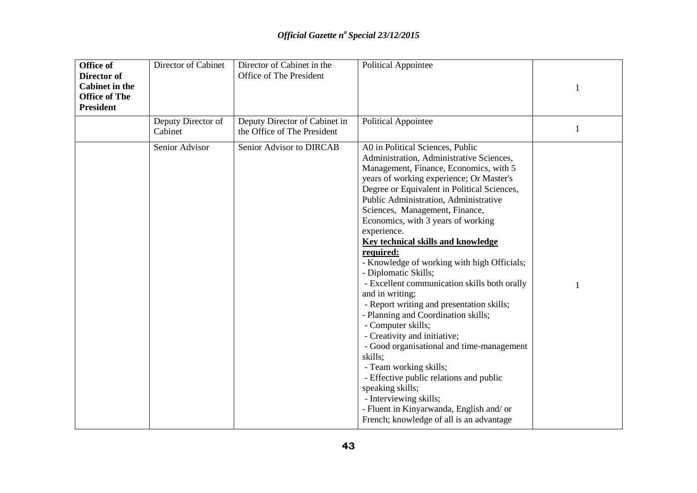| <b>Office of</b><br>Director of<br><b>Cabinet in the</b><br><b>Office of The</b><br><b>President</b> | Director of Cabinet           | Director of Cabinet in the<br>Office of The President        | <b>Political Appointee</b>                                                                                                                                                                                                                                                                                                                                                                                                                                                                                                                                                                                                                                                                                                                                                                                                                                                                                                                                  | 1 |
|------------------------------------------------------------------------------------------------------|-------------------------------|--------------------------------------------------------------|-------------------------------------------------------------------------------------------------------------------------------------------------------------------------------------------------------------------------------------------------------------------------------------------------------------------------------------------------------------------------------------------------------------------------------------------------------------------------------------------------------------------------------------------------------------------------------------------------------------------------------------------------------------------------------------------------------------------------------------------------------------------------------------------------------------------------------------------------------------------------------------------------------------------------------------------------------------|---|
|                                                                                                      | Deputy Director of<br>Cabinet | Deputy Director of Cabinet in<br>the Office of The President | <b>Political Appointee</b>                                                                                                                                                                                                                                                                                                                                                                                                                                                                                                                                                                                                                                                                                                                                                                                                                                                                                                                                  | 1 |
|                                                                                                      | Senior Advisor                | Senior Advisor to DIRCAB                                     | A0 in Political Sciences, Public<br>Administration, Administrative Sciences,<br>Management, Finance, Economics, with 5<br>years of working experience; Or Master's<br>Degree or Equivalent in Political Sciences,<br>Public Administration, Administrative<br>Sciences, Management, Finance,<br>Economics, with 3 years of working<br>experience.<br>Key technical skills and knowledge<br>required:<br>- Knowledge of working with high Officials;<br>- Diplomatic Skills;<br>- Excellent communication skills both orally<br>and in writing;<br>- Report writing and presentation skills;<br>- Planning and Coordination skills;<br>- Computer skills;<br>- Creativity and initiative;<br>- Good organisational and time-management<br>skills;<br>- Team working skills;<br>- Effective public relations and public<br>speaking skills;<br>- Interviewing skills;<br>- Fluent in Kinyarwanda, English and/ or<br>French; knowledge of all is an advantage |   |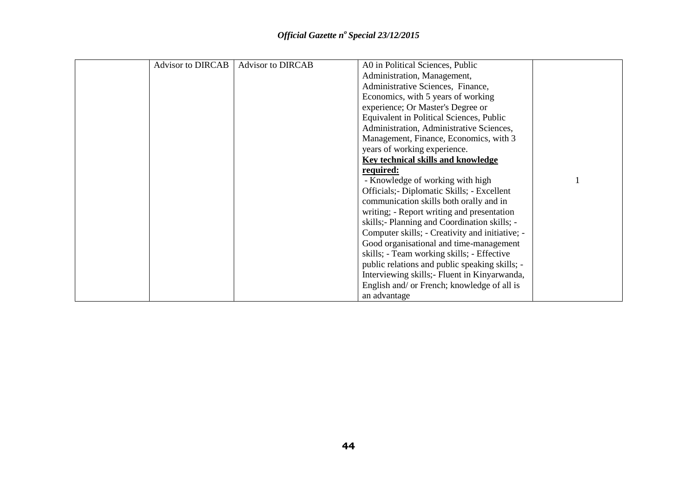| <b>Advisor to DIRCAB</b> | <b>Advisor to DIRCAB</b> | A0 in Political Sciences, Public                |  |
|--------------------------|--------------------------|-------------------------------------------------|--|
|                          |                          | Administration, Management,                     |  |
|                          |                          | Administrative Sciences, Finance,               |  |
|                          |                          | Economics, with 5 years of working              |  |
|                          |                          | experience; Or Master's Degree or               |  |
|                          |                          | Equivalent in Political Sciences, Public        |  |
|                          |                          | Administration, Administrative Sciences,        |  |
|                          |                          | Management, Finance, Economics, with 3          |  |
|                          |                          | years of working experience.                    |  |
|                          |                          | Key technical skills and knowledge              |  |
|                          |                          | required:                                       |  |
|                          |                          | - Knowledge of working with high                |  |
|                          |                          | Officials; - Diplomatic Skills; - Excellent     |  |
|                          |                          | communication skills both orally and in         |  |
|                          |                          | writing; - Report writing and presentation      |  |
|                          |                          | skills; - Planning and Coordination skills; -   |  |
|                          |                          | Computer skills; - Creativity and initiative; - |  |
|                          |                          | Good organisational and time-management         |  |
|                          |                          | skills; - Team working skills; - Effective      |  |
|                          |                          | public relations and public speaking skills; -  |  |
|                          |                          | Interviewing skills; Fluent in Kinyarwanda,     |  |
|                          |                          | English and/ or French; knowledge of all is     |  |
|                          |                          | an advantage                                    |  |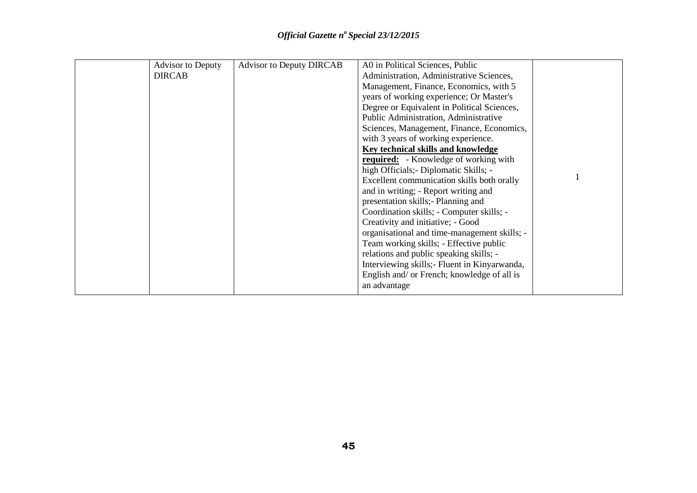| <b>Advisor to Deputy</b> | <b>Advisor to Deputy DIRCAB</b> | A0 in Political Sciences, Public             |  |
|--------------------------|---------------------------------|----------------------------------------------|--|
| <b>DIRCAB</b>            |                                 | Administration, Administrative Sciences,     |  |
|                          |                                 | Management, Finance, Economics, with 5       |  |
|                          |                                 | years of working experience; Or Master's     |  |
|                          |                                 | Degree or Equivalent in Political Sciences,  |  |
|                          |                                 | Public Administration, Administrative        |  |
|                          |                                 | Sciences, Management, Finance, Economics,    |  |
|                          |                                 | with 3 years of working experience.          |  |
|                          |                                 | Key technical skills and knowledge           |  |
|                          |                                 | <b>required:</b> - Knowledge of working with |  |
|                          |                                 | high Officials; - Diplomatic Skills; -       |  |
|                          |                                 | Excellent communication skills both orally   |  |
|                          |                                 | and in writing; - Report writing and         |  |
|                          |                                 | presentation skills; - Planning and          |  |
|                          |                                 | Coordination skills; - Computer skills; -    |  |
|                          |                                 | Creativity and initiative; - Good            |  |
|                          |                                 | organisational and time-management skills; - |  |
|                          |                                 | Team working skills; - Effective public      |  |
|                          |                                 | relations and public speaking skills; -      |  |
|                          |                                 | Interviewing skills; Fluent in Kinyarwanda,  |  |
|                          |                                 | English and/ or French; knowledge of all is  |  |
|                          |                                 | an advantage                                 |  |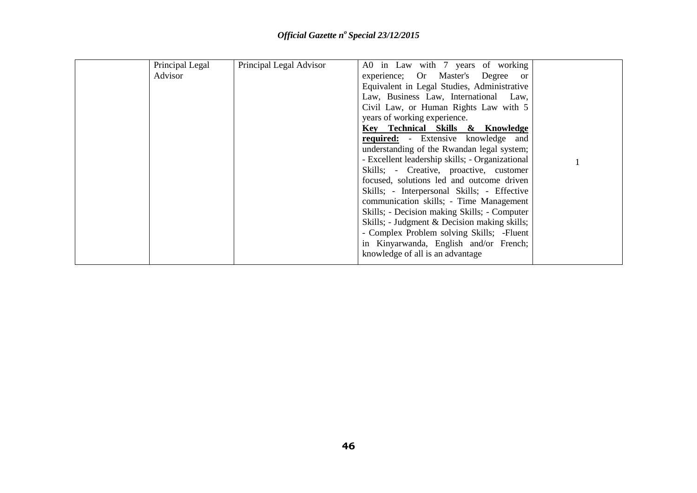| Principal Legal | Principal Legal Advisor | A0 in Law with 7 years of working               |  |
|-----------------|-------------------------|-------------------------------------------------|--|
| Advisor         |                         | experience; Or Master's Degree or               |  |
|                 |                         | Equivalent in Legal Studies, Administrative     |  |
|                 |                         | Law, Business Law, International Law,           |  |
|                 |                         | Civil Law, or Human Rights Law with 5           |  |
|                 |                         | years of working experience.                    |  |
|                 |                         | Key Technical Skills & Knowledge                |  |
|                 |                         | <b>required:</b> - Extensive knowledge and      |  |
|                 |                         | understanding of the Rwandan legal system;      |  |
|                 |                         | - Excellent leadership skills; - Organizational |  |
|                 |                         | Skills; - Creative, proactive, customer         |  |
|                 |                         | focused, solutions led and outcome driven       |  |
|                 |                         | Skills; - Interpersonal Skills; - Effective     |  |
|                 |                         | communication skills; - Time Management         |  |
|                 |                         | Skills; - Decision making Skills; - Computer    |  |
|                 |                         | Skills; - Judgment & Decision making skills;    |  |
|                 |                         | - Complex Problem solving Skills; -Fluent       |  |
|                 |                         | in Kinyarwanda, English and/or French;          |  |
|                 |                         | knowledge of all is an advantage                |  |
|                 |                         |                                                 |  |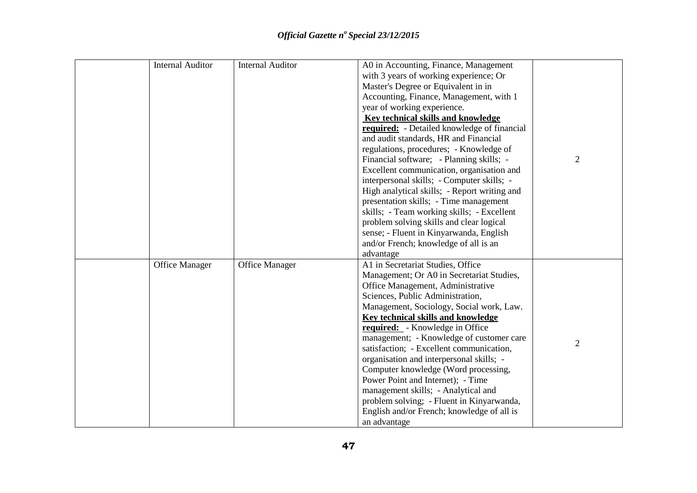| <b>Internal Auditor</b> | <b>Internal Auditor</b> | A0 in Accounting, Finance, Management        |                |
|-------------------------|-------------------------|----------------------------------------------|----------------|
|                         |                         | with 3 years of working experience; Or       |                |
|                         |                         | Master's Degree or Equivalent in in          |                |
|                         |                         | Accounting, Finance, Management, with 1      |                |
|                         |                         | year of working experience.                  |                |
|                         |                         | <b>Key technical skills and knowledge</b>    |                |
|                         |                         | required: - Detailed knowledge of financial  |                |
|                         |                         | and audit standards, HR and Financial        |                |
|                         |                         | regulations, procedures; - Knowledge of      |                |
|                         |                         | Financial software; - Planning skills; -     | $\overline{2}$ |
|                         |                         | Excellent communication, organisation and    |                |
|                         |                         | interpersonal skills; - Computer skills; -   |                |
|                         |                         | High analytical skills; - Report writing and |                |
|                         |                         | presentation skills; - Time management       |                |
|                         |                         | skills; - Team working skills; - Excellent   |                |
|                         |                         | problem solving skills and clear logical     |                |
|                         |                         | sense; - Fluent in Kinyarwanda, English      |                |
|                         |                         | and/or French; knowledge of all is an        |                |
|                         |                         | advantage                                    |                |
| <b>Office Manager</b>   | <b>Office Manager</b>   | A1 in Secretariat Studies, Office            |                |
|                         |                         | Management; Or A0 in Secretariat Studies,    |                |
|                         |                         | Office Management, Administrative            |                |
|                         |                         | Sciences, Public Administration,             |                |
|                         |                         | Management, Sociology, Social work, Law.     |                |
|                         |                         | <b>Key technical skills and knowledge</b>    |                |
|                         |                         | required: - Knowledge in Office              |                |
|                         |                         | management; - Knowledge of customer care     | $\overline{2}$ |
|                         |                         | satisfaction; - Excellent communication,     |                |
|                         |                         | organisation and interpersonal skills; -     |                |
|                         |                         | Computer knowledge (Word processing,         |                |
|                         |                         | Power Point and Internet); - Time            |                |
|                         |                         | management skills; - Analytical and          |                |
|                         |                         | problem solving; - Fluent in Kinyarwanda,    |                |
|                         |                         | English and/or French; knowledge of all is   |                |
|                         |                         | an advantage                                 |                |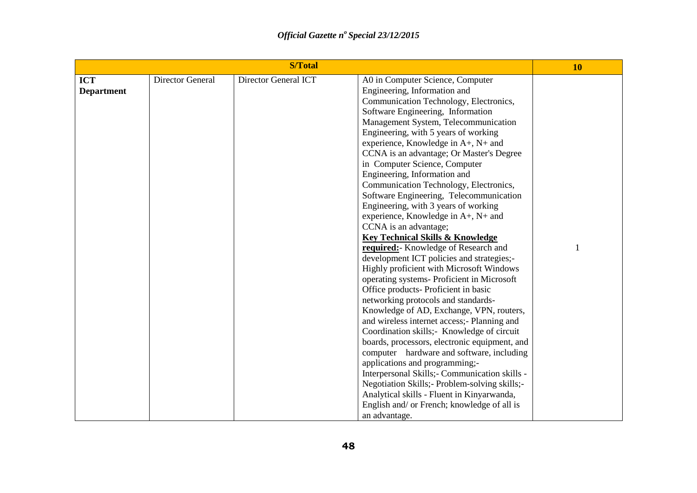|                   |                  | <b>S/Total</b>       |                                                 |  |  |  |  |
|-------------------|------------------|----------------------|-------------------------------------------------|--|--|--|--|
| <b>ICT</b>        | Director General | Director General ICT | A0 in Computer Science, Computer                |  |  |  |  |
| <b>Department</b> |                  |                      | Engineering, Information and                    |  |  |  |  |
|                   |                  |                      | Communication Technology, Electronics,          |  |  |  |  |
|                   |                  |                      | Software Engineering, Information               |  |  |  |  |
|                   |                  |                      | Management System, Telecommunication            |  |  |  |  |
|                   |                  |                      | Engineering, with 5 years of working            |  |  |  |  |
|                   |                  |                      | experience, Knowledge in A+, N+ and             |  |  |  |  |
|                   |                  |                      | CCNA is an advantage; Or Master's Degree        |  |  |  |  |
|                   |                  |                      | in Computer Science, Computer                   |  |  |  |  |
|                   |                  |                      | Engineering, Information and                    |  |  |  |  |
|                   |                  |                      | Communication Technology, Electronics,          |  |  |  |  |
|                   |                  |                      | Software Engineering, Telecommunication         |  |  |  |  |
|                   |                  |                      | Engineering, with 3 years of working            |  |  |  |  |
|                   |                  |                      | experience, Knowledge in A+, N+ and             |  |  |  |  |
|                   |                  |                      | CCNA is an advantage;                           |  |  |  |  |
|                   |                  |                      | <b>Key Technical Skills &amp; Knowledge</b>     |  |  |  |  |
|                   |                  |                      | required: Knowledge of Research and             |  |  |  |  |
|                   |                  |                      | development ICT policies and strategies;-       |  |  |  |  |
|                   |                  |                      | Highly proficient with Microsoft Windows        |  |  |  |  |
|                   |                  |                      | operating systems- Proficient in Microsoft      |  |  |  |  |
|                   |                  |                      | Office products- Proficient in basic            |  |  |  |  |
|                   |                  |                      | networking protocols and standards-             |  |  |  |  |
|                   |                  |                      | Knowledge of AD, Exchange, VPN, routers,        |  |  |  |  |
|                   |                  |                      | and wireless internet access;- Planning and     |  |  |  |  |
|                   |                  |                      | Coordination skills; Knowledge of circuit       |  |  |  |  |
|                   |                  |                      | boards, processors, electronic equipment, and   |  |  |  |  |
|                   |                  |                      | computer hardware and software, including       |  |  |  |  |
|                   |                  |                      | applications and programming;-                  |  |  |  |  |
|                   |                  |                      | Interpersonal Skills; - Communication skills -  |  |  |  |  |
|                   |                  |                      | Negotiation Skills; - Problem-solving skills; - |  |  |  |  |
|                   |                  |                      | Analytical skills - Fluent in Kinyarwanda,      |  |  |  |  |
|                   |                  |                      | English and/ or French; knowledge of all is     |  |  |  |  |
|                   |                  |                      | an advantage.                                   |  |  |  |  |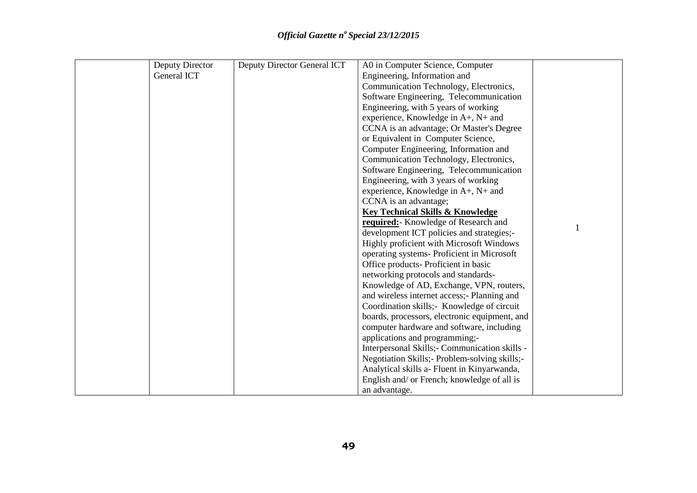| Deputy Director | Deputy Director General ICT | A0 in Computer Science, Computer                |  |
|-----------------|-----------------------------|-------------------------------------------------|--|
| General ICT     |                             | Engineering, Information and                    |  |
|                 |                             | Communication Technology, Electronics,          |  |
|                 |                             | Software Engineering, Telecommunication         |  |
|                 |                             | Engineering, with 5 years of working            |  |
|                 |                             | experience, Knowledge in A+, N+ and             |  |
|                 |                             | CCNA is an advantage; Or Master's Degree        |  |
|                 |                             | or Equivalent in Computer Science,              |  |
|                 |                             | Computer Engineering, Information and           |  |
|                 |                             | Communication Technology, Electronics,          |  |
|                 |                             | Software Engineering, Telecommunication         |  |
|                 |                             | Engineering, with 3 years of working            |  |
|                 |                             | experience, Knowledge in A+, N+ and             |  |
|                 |                             | CCNA is an advantage;                           |  |
|                 |                             | <b>Key Technical Skills &amp; Knowledge</b>     |  |
|                 |                             | required: Knowledge of Research and             |  |
|                 |                             | development ICT policies and strategies;-       |  |
|                 |                             | Highly proficient with Microsoft Windows        |  |
|                 |                             | operating systems-Proficient in Microsoft       |  |
|                 |                             | Office products- Proficient in basic            |  |
|                 |                             | networking protocols and standards-             |  |
|                 |                             | Knowledge of AD, Exchange, VPN, routers,        |  |
|                 |                             | and wireless internet access;- Planning and     |  |
|                 |                             | Coordination skills; Knowledge of circuit       |  |
|                 |                             | boards, processors, electronic equipment, and   |  |
|                 |                             | computer hardware and software, including       |  |
|                 |                             | applications and programming;-                  |  |
|                 |                             | Interpersonal Skills; - Communication skills -  |  |
|                 |                             | Negotiation Skills; - Problem-solving skills; - |  |
|                 |                             | Analytical skills a- Fluent in Kinyarwanda,     |  |
|                 |                             | English and/ or French; knowledge of all is     |  |
|                 |                             | an advantage.                                   |  |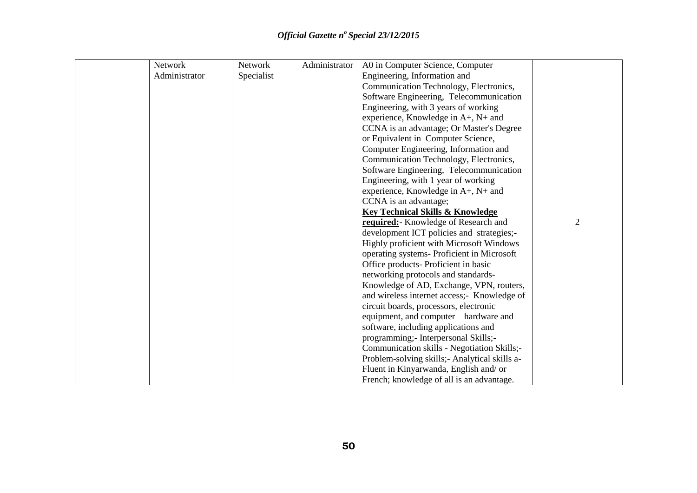| Network       | Network    | Administrator | A0 in Computer Science, Computer              |   |
|---------------|------------|---------------|-----------------------------------------------|---|
| Administrator | Specialist |               | Engineering, Information and                  |   |
|               |            |               | Communication Technology, Electronics,        |   |
|               |            |               | Software Engineering, Telecommunication       |   |
|               |            |               | Engineering, with 3 years of working          |   |
|               |            |               | experience, Knowledge in A+, N+ and           |   |
|               |            |               | CCNA is an advantage; Or Master's Degree      |   |
|               |            |               | or Equivalent in Computer Science,            |   |
|               |            |               | Computer Engineering, Information and         |   |
|               |            |               | Communication Technology, Electronics,        |   |
|               |            |               | Software Engineering, Telecommunication       |   |
|               |            |               | Engineering, with 1 year of working           |   |
|               |            |               | experience, Knowledge in A+, N+ and           |   |
|               |            |               | CCNA is an advantage;                         |   |
|               |            |               | <b>Key Technical Skills &amp; Knowledge</b>   |   |
|               |            |               | required: Knowledge of Research and           | 2 |
|               |            |               | development ICT policies and strategies;-     |   |
|               |            |               | Highly proficient with Microsoft Windows      |   |
|               |            |               | operating systems-Proficient in Microsoft     |   |
|               |            |               | Office products- Proficient in basic          |   |
|               |            |               | networking protocols and standards-           |   |
|               |            |               | Knowledge of AD, Exchange, VPN, routers,      |   |
|               |            |               | and wireless internet access;- Knowledge of   |   |
|               |            |               | circuit boards, processors, electronic        |   |
|               |            |               | equipment, and computer hardware and          |   |
|               |            |               | software, including applications and          |   |
|               |            |               | programming; - Interpersonal Skills; -        |   |
|               |            |               | Communication skills - Negotiation Skills;-   |   |
|               |            |               | Problem-solving skills;- Analytical skills a- |   |
|               |            |               | Fluent in Kinyarwanda, English and/ or        |   |
|               |            |               | French; knowledge of all is an advantage.     |   |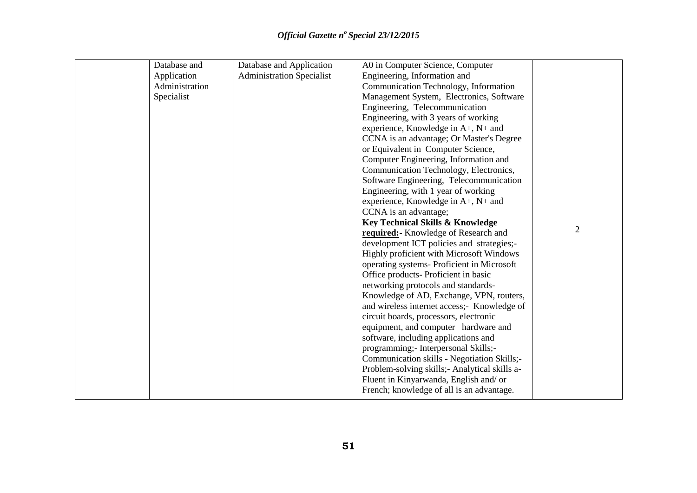| Database and   | Database and Application         | A0 in Computer Science, Computer             |                |
|----------------|----------------------------------|----------------------------------------------|----------------|
| Application    | <b>Administration Specialist</b> | Engineering, Information and                 |                |
| Administration |                                  | Communication Technology, Information        |                |
| Specialist     |                                  | Management System, Electronics, Software     |                |
|                |                                  | Engineering, Telecommunication               |                |
|                |                                  | Engineering, with 3 years of working         |                |
|                |                                  | experience, Knowledge in $A+$ , $N+$ and     |                |
|                |                                  | CCNA is an advantage; Or Master's Degree     |                |
|                |                                  | or Equivalent in Computer Science,           |                |
|                |                                  | Computer Engineering, Information and        |                |
|                |                                  | Communication Technology, Electronics,       |                |
|                |                                  | Software Engineering, Telecommunication      |                |
|                |                                  | Engineering, with 1 year of working          |                |
|                |                                  | experience, Knowledge in A+, N+ and          |                |
|                |                                  | CCNA is an advantage;                        |                |
|                |                                  | <b>Key Technical Skills &amp; Knowledge</b>  |                |
|                |                                  | required: Knowledge of Research and          | $\overline{2}$ |
|                |                                  | development ICT policies and strategies;-    |                |
|                |                                  | Highly proficient with Microsoft Windows     |                |
|                |                                  | operating systems- Proficient in Microsoft   |                |
|                |                                  | Office products- Proficient in basic         |                |
|                |                                  | networking protocols and standards-          |                |
|                |                                  | Knowledge of AD, Exchange, VPN, routers,     |                |
|                |                                  | and wireless internet access;- Knowledge of  |                |
|                |                                  | circuit boards, processors, electronic       |                |
|                |                                  | equipment, and computer hardware and         |                |
|                |                                  | software, including applications and         |                |
|                |                                  | programming;- Interpersonal Skills;-         |                |
|                |                                  | Communication skills - Negotiation Skills;-  |                |
|                |                                  | Problem-solving skills; Analytical skills a- |                |
|                |                                  | Fluent in Kinyarwanda, English and/ or       |                |
|                |                                  | French; knowledge of all is an advantage.    |                |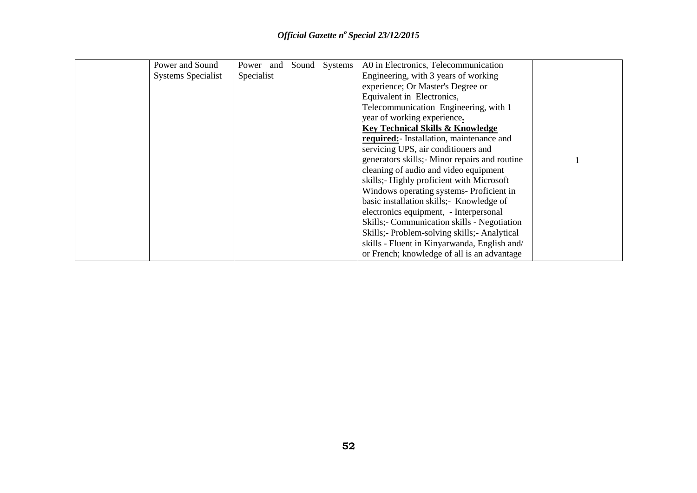| Power and Sound           | Power and Sound Systems |  | A0 in Electronics, Telecommunication         |  |
|---------------------------|-------------------------|--|----------------------------------------------|--|
| <b>Systems Specialist</b> | Specialist              |  | Engineering, with 3 years of working         |  |
|                           |                         |  | experience; Or Master's Degree or            |  |
|                           |                         |  | Equivalent in Electronics,                   |  |
|                           |                         |  | Telecommunication Engineering, with 1        |  |
|                           |                         |  | year of working experience.                  |  |
|                           |                         |  | <b>Key Technical Skills &amp; Knowledge</b>  |  |
|                           |                         |  | required: Installation, maintenance and      |  |
|                           |                         |  | servicing UPS, air conditioners and          |  |
|                           |                         |  | generators skills; Minor repairs and routine |  |
|                           |                         |  | cleaning of audio and video equipment        |  |
|                           |                         |  | skills;- Highly proficient with Microsoft    |  |
|                           |                         |  | Windows operating systems-Proficient in      |  |
|                           |                         |  | basic installation skills;- Knowledge of     |  |
|                           |                         |  | electronics equipment, - Interpersonal       |  |
|                           |                         |  | Skills; Communication skills - Negotiation   |  |
|                           |                         |  | Skills;- Problem-solving skills;- Analytical |  |
|                           |                         |  | skills - Fluent in Kinyarwanda, English and/ |  |
|                           |                         |  | or French; knowledge of all is an advantage  |  |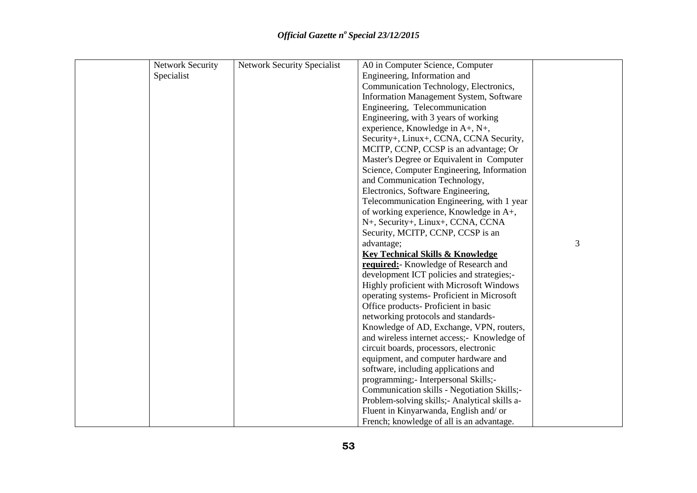| <b>Network Security</b> | <b>Network Security Specialist</b> | A0 in Computer Science, Computer               |   |
|-------------------------|------------------------------------|------------------------------------------------|---|
| Specialist              |                                    | Engineering, Information and                   |   |
|                         |                                    | Communication Technology, Electronics,         |   |
|                         |                                    | Information Management System, Software        |   |
|                         |                                    | Engineering, Telecommunication                 |   |
|                         |                                    | Engineering, with 3 years of working           |   |
|                         |                                    | experience, Knowledge in A+, N+,               |   |
|                         |                                    | Security+, Linux+, CCNA, CCNA Security,        |   |
|                         |                                    | MCITP, CCNP, CCSP is an advantage; Or          |   |
|                         |                                    | Master's Degree or Equivalent in Computer      |   |
|                         |                                    | Science, Computer Engineering, Information     |   |
|                         |                                    | and Communication Technology,                  |   |
|                         |                                    | Electronics, Software Engineering,             |   |
|                         |                                    | Telecommunication Engineering, with 1 year     |   |
|                         |                                    | of working experience, Knowledge in A+,        |   |
|                         |                                    | N+, Security+, Linux+, CCNA, CCNA              |   |
|                         |                                    | Security, MCITP, CCNP, CCSP is an              |   |
|                         |                                    | advantage;                                     | 3 |
|                         |                                    | <b>Key Technical Skills &amp; Knowledge</b>    |   |
|                         |                                    | required: Knowledge of Research and            |   |
|                         |                                    | development ICT policies and strategies;-      |   |
|                         |                                    | Highly proficient with Microsoft Windows       |   |
|                         |                                    | operating systems- Proficient in Microsoft     |   |
|                         |                                    | Office products- Proficient in basic           |   |
|                         |                                    | networking protocols and standards-            |   |
|                         |                                    | Knowledge of AD, Exchange, VPN, routers,       |   |
|                         |                                    | and wireless internet access;- Knowledge of    |   |
|                         |                                    | circuit boards, processors, electronic         |   |
|                         |                                    | equipment, and computer hardware and           |   |
|                         |                                    | software, including applications and           |   |
|                         |                                    | programming; - Interpersonal Skills; -         |   |
|                         |                                    | Communication skills - Negotiation Skills;-    |   |
|                         |                                    | Problem-solving skills; - Analytical skills a- |   |
|                         |                                    | Fluent in Kinyarwanda, English and/ or         |   |
|                         |                                    | French; knowledge of all is an advantage.      |   |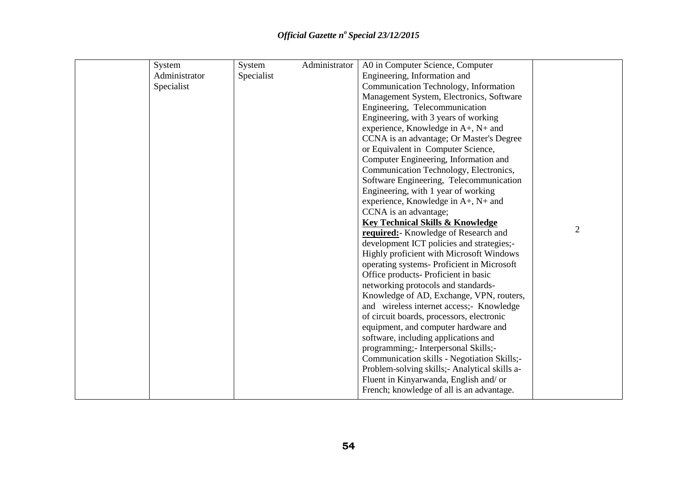| System        | System     | Administrator | A0 in Computer Science, Computer             |                |
|---------------|------------|---------------|----------------------------------------------|----------------|
| Administrator | Specialist |               | Engineering, Information and                 |                |
| Specialist    |            |               | Communication Technology, Information        |                |
|               |            |               | Management System, Electronics, Software     |                |
|               |            |               | Engineering, Telecommunication               |                |
|               |            |               | Engineering, with 3 years of working         |                |
|               |            |               | experience, Knowledge in A+, N+ and          |                |
|               |            |               | CCNA is an advantage; Or Master's Degree     |                |
|               |            |               | or Equivalent in Computer Science,           |                |
|               |            |               | Computer Engineering, Information and        |                |
|               |            |               | Communication Technology, Electronics,       |                |
|               |            |               | Software Engineering, Telecommunication      |                |
|               |            |               | Engineering, with 1 year of working          |                |
|               |            |               | experience, Knowledge in A+, N+ and          |                |
|               |            |               | CCNA is an advantage;                        |                |
|               |            |               | <b>Key Technical Skills &amp; Knowledge</b>  |                |
|               |            |               | required: Knowledge of Research and          | $\overline{2}$ |
|               |            |               | development ICT policies and strategies;-    |                |
|               |            |               | Highly proficient with Microsoft Windows     |                |
|               |            |               | operating systems- Proficient in Microsoft   |                |
|               |            |               | Office products- Proficient in basic         |                |
|               |            |               | networking protocols and standards-          |                |
|               |            |               | Knowledge of AD, Exchange, VPN, routers,     |                |
|               |            |               | and wireless internet access;- Knowledge     |                |
|               |            |               | of circuit boards, processors, electronic    |                |
|               |            |               | equipment, and computer hardware and         |                |
|               |            |               | software, including applications and         |                |
|               |            |               | programming;- Interpersonal Skills;-         |                |
|               |            |               | Communication skills - Negotiation Skills;-  |                |
|               |            |               | Problem-solving skills; Analytical skills a- |                |
|               |            |               | Fluent in Kinyarwanda, English and/ or       |                |
|               |            |               | French; knowledge of all is an advantage.    |                |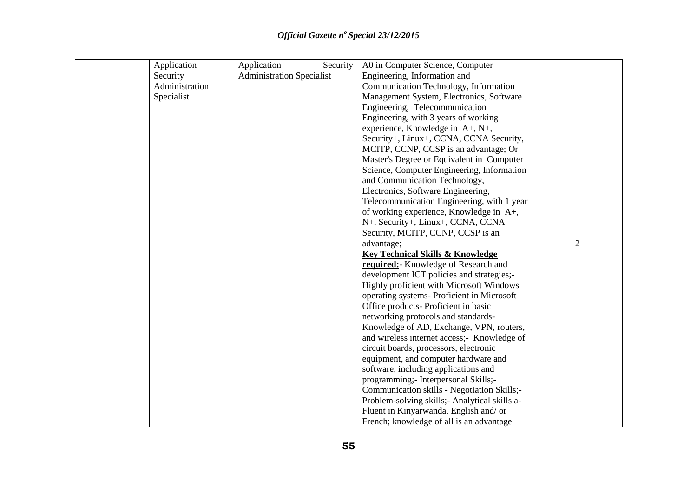| Application    | Application<br>Security          | A0 in Computer Science, Computer               |                |
|----------------|----------------------------------|------------------------------------------------|----------------|
| Security       | <b>Administration Specialist</b> | Engineering, Information and                   |                |
| Administration |                                  | Communication Technology, Information          |                |
| Specialist     |                                  | Management System, Electronics, Software       |                |
|                |                                  | Engineering, Telecommunication                 |                |
|                |                                  | Engineering, with 3 years of working           |                |
|                |                                  | experience, Knowledge in A+, N+,               |                |
|                |                                  | Security+, Linux+, CCNA, CCNA Security,        |                |
|                |                                  | MCITP, CCNP, CCSP is an advantage; Or          |                |
|                |                                  | Master's Degree or Equivalent in Computer      |                |
|                |                                  | Science, Computer Engineering, Information     |                |
|                |                                  | and Communication Technology,                  |                |
|                |                                  | Electronics, Software Engineering,             |                |
|                |                                  | Telecommunication Engineering, with 1 year     |                |
|                |                                  | of working experience, Knowledge in A+,        |                |
|                |                                  | N+, Security+, Linux+, CCNA, CCNA              |                |
|                |                                  | Security, MCITP, CCNP, CCSP is an              |                |
|                |                                  | advantage;                                     | $\overline{2}$ |
|                |                                  | <b>Key Technical Skills &amp; Knowledge</b>    |                |
|                |                                  | required: Knowledge of Research and            |                |
|                |                                  | development ICT policies and strategies;-      |                |
|                |                                  | Highly proficient with Microsoft Windows       |                |
|                |                                  | operating systems- Proficient in Microsoft     |                |
|                |                                  | Office products- Proficient in basic           |                |
|                |                                  | networking protocols and standards-            |                |
|                |                                  | Knowledge of AD, Exchange, VPN, routers,       |                |
|                |                                  | and wireless internet access;- Knowledge of    |                |
|                |                                  | circuit boards, processors, electronic         |                |
|                |                                  | equipment, and computer hardware and           |                |
|                |                                  | software, including applications and           |                |
|                |                                  | programming;- Interpersonal Skills;-           |                |
|                |                                  | Communication skills - Negotiation Skills;-    |                |
|                |                                  | Problem-solving skills; - Analytical skills a- |                |
|                |                                  | Fluent in Kinyarwanda, English and/ or         |                |
|                |                                  | French; knowledge of all is an advantage       |                |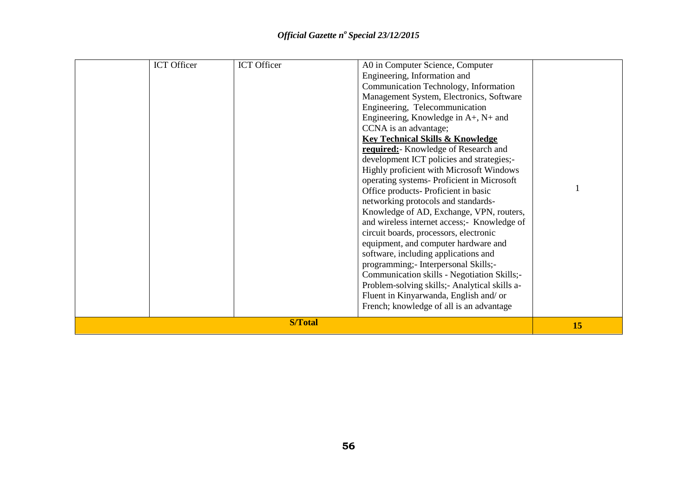|  |                    | 15                 |                                                                                                                                                                                                                                                                                                                                                                                                                                                                                                                                                                                                                                                                        |  |
|--|--------------------|--------------------|------------------------------------------------------------------------------------------------------------------------------------------------------------------------------------------------------------------------------------------------------------------------------------------------------------------------------------------------------------------------------------------------------------------------------------------------------------------------------------------------------------------------------------------------------------------------------------------------------------------------------------------------------------------------|--|
|  |                    | <b>S/Total</b>     | development ICT policies and strategies;-<br>Highly proficient with Microsoft Windows<br>operating systems- Proficient in Microsoft<br>Office products- Proficient in basic<br>networking protocols and standards-<br>Knowledge of AD, Exchange, VPN, routers,<br>and wireless internet access;- Knowledge of<br>circuit boards, processors, electronic<br>equipment, and computer hardware and<br>software, including applications and<br>programming;- Interpersonal Skills;-<br>Communication skills - Negotiation Skills;-<br>Problem-solving skills; - Analytical skills a-<br>Fluent in Kinyarwanda, English and/ or<br>French; knowledge of all is an advantage |  |
|  | <b>ICT</b> Officer | <b>ICT</b> Officer | A0 in Computer Science, Computer<br>Engineering, Information and<br>Communication Technology, Information<br>Management System, Electronics, Software<br>Engineering, Telecommunication<br>Engineering, Knowledge in $A+$ , $N+$ and<br>CCNA is an advantage;<br><b>Key Technical Skills &amp; Knowledge</b><br>required: Knowledge of Research and                                                                                                                                                                                                                                                                                                                    |  |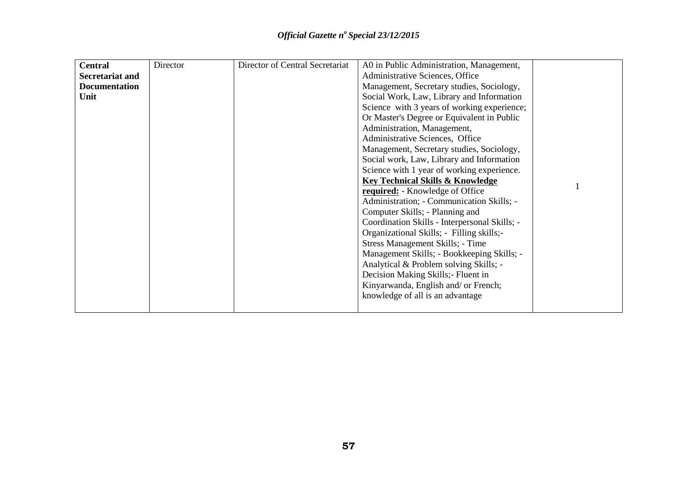| <b>Central</b>         | Director | Director of Central Secretariat | A0 in Public Administration, Management,      |  |
|------------------------|----------|---------------------------------|-----------------------------------------------|--|
| <b>Secretariat and</b> |          |                                 | Administrative Sciences, Office               |  |
| <b>Documentation</b>   |          |                                 | Management, Secretary studies, Sociology,     |  |
| Unit                   |          |                                 | Social Work, Law, Library and Information     |  |
|                        |          |                                 | Science with 3 years of working experience;   |  |
|                        |          |                                 | Or Master's Degree or Equivalent in Public    |  |
|                        |          |                                 | Administration, Management,                   |  |
|                        |          |                                 | Administrative Sciences, Office               |  |
|                        |          |                                 | Management, Secretary studies, Sociology,     |  |
|                        |          |                                 | Social work, Law, Library and Information     |  |
|                        |          |                                 | Science with 1 year of working experience.    |  |
|                        |          |                                 | <b>Key Technical Skills &amp; Knowledge</b>   |  |
|                        |          |                                 | required: - Knowledge of Office               |  |
|                        |          |                                 | Administration; - Communication Skills; -     |  |
|                        |          |                                 | Computer Skills; - Planning and               |  |
|                        |          |                                 | Coordination Skills - Interpersonal Skills; - |  |
|                        |          |                                 | Organizational Skills; - Filling skills;-     |  |
|                        |          |                                 | Stress Management Skills; - Time              |  |
|                        |          |                                 | Management Skills; - Bookkeeping Skills; -    |  |
|                        |          |                                 | Analytical & Problem solving Skills; -        |  |
|                        |          |                                 | Decision Making Skills;- Fluent in            |  |
|                        |          |                                 | Kinyarwanda, English and/ or French;          |  |
|                        |          |                                 | knowledge of all is an advantage              |  |
|                        |          |                                 |                                               |  |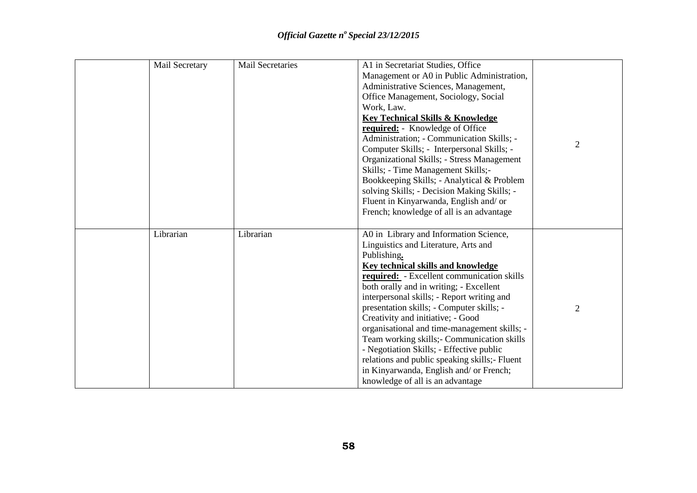| Mail Secretary | <b>Mail Secretaries</b> | A1 in Secretariat Studies, Office<br>Management or A0 in Public Administration,<br>Administrative Sciences, Management,<br>Office Management, Sociology, Social<br>Work, Law.<br><b>Key Technical Skills &amp; Knowledge</b><br>required: - Knowledge of Office<br>Administration; - Communication Skills; -<br>Computer Skills; - Interpersonal Skills; -<br><b>Organizational Skills; - Stress Management</b><br>Skills; - Time Management Skills;-<br>Bookkeeping Skills; - Analytical & Problem<br>solving Skills; - Decision Making Skills; -<br>Fluent in Kinyarwanda, English and/ or<br>French; knowledge of all is an advantage       | $\overline{2}$ |
|----------------|-------------------------|------------------------------------------------------------------------------------------------------------------------------------------------------------------------------------------------------------------------------------------------------------------------------------------------------------------------------------------------------------------------------------------------------------------------------------------------------------------------------------------------------------------------------------------------------------------------------------------------------------------------------------------------|----------------|
| Librarian      | Librarian               | A0 in Library and Information Science,<br>Linguistics and Literature, Arts and<br>Publishing.<br><b>Key technical skills and knowledge</b><br>required: - Excellent communication skills<br>both orally and in writing; - Excellent<br>interpersonal skills; - Report writing and<br>presentation skills; - Computer skills; -<br>Creativity and initiative; - Good<br>organisational and time-management skills; -<br>Team working skills; - Communication skills<br>- Negotiation Skills; - Effective public<br>relations and public speaking skills;- Fluent<br>in Kinyarwanda, English and/ or French;<br>knowledge of all is an advantage | $\overline{2}$ |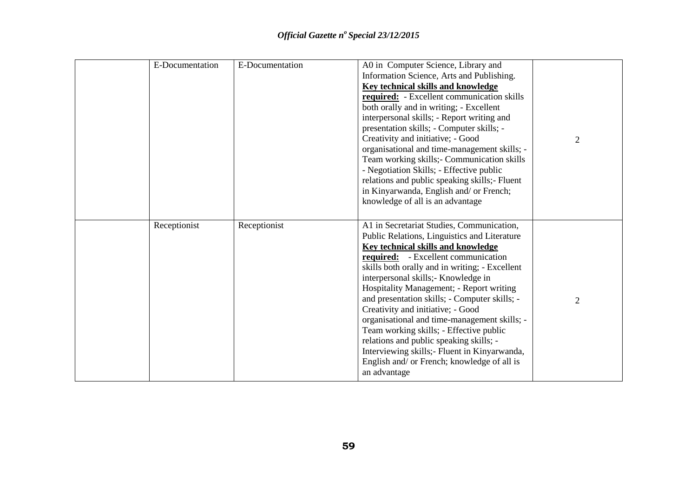| E-Documentation | E-Documentation | A0 in Computer Science, Library and<br>Information Science, Arts and Publishing.<br><b>Key technical skills and knowledge</b><br>required: - Excellent communication skills<br>both orally and in writing; - Excellent<br>interpersonal skills; - Report writing and<br>presentation skills; - Computer skills; -<br>Creativity and initiative; - Good<br>organisational and time-management skills; -<br>Team working skills; - Communication skills<br>- Negotiation Skills; - Effective public<br>relations and public speaking skills;- Fluent<br>in Kinyarwanda, English and/ or French;<br>knowledge of all is an advantage                             | $\overline{2}$ |
|-----------------|-----------------|---------------------------------------------------------------------------------------------------------------------------------------------------------------------------------------------------------------------------------------------------------------------------------------------------------------------------------------------------------------------------------------------------------------------------------------------------------------------------------------------------------------------------------------------------------------------------------------------------------------------------------------------------------------|----------------|
| Receptionist    | Receptionist    | A1 in Secretariat Studies, Communication,<br>Public Relations, Linguistics and Literature<br><b>Key technical skills and knowledge</b><br>required: - Excellent communication<br>skills both orally and in writing; - Excellent<br>interpersonal skills; Knowledge in<br>Hospitality Management; - Report writing<br>and presentation skills; - Computer skills; -<br>Creativity and initiative; - Good<br>organisational and time-management skills; -<br>Team working skills; - Effective public<br>relations and public speaking skills; -<br>Interviewing skills; - Fluent in Kinyarwanda,<br>English and/ or French; knowledge of all is<br>an advantage | $\overline{2}$ |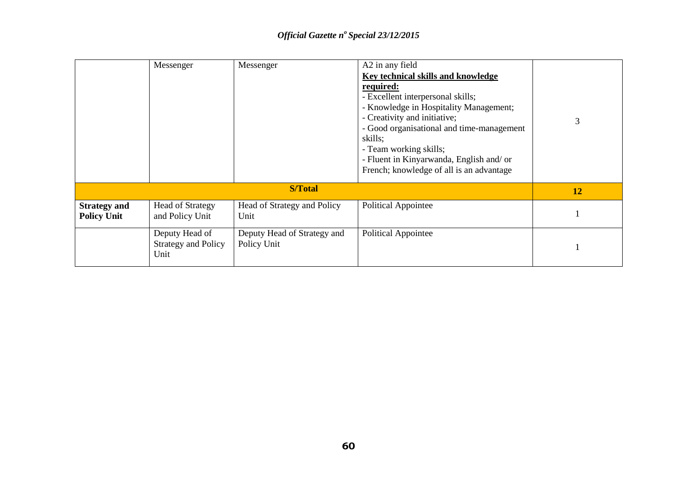|                                           | Messenger                                            | Messenger                                  | A2 in any field<br>Key technical skills and knowledge<br>required:<br>- Excellent interpersonal skills;<br>- Knowledge in Hospitality Management;<br>- Creativity and initiative;<br>- Good organisational and time-management<br>skills;<br>- Team working skills;<br>- Fluent in Kinyarwanda, English and/ or<br>French; knowledge of all is an advantage | 3  |
|-------------------------------------------|------------------------------------------------------|--------------------------------------------|-------------------------------------------------------------------------------------------------------------------------------------------------------------------------------------------------------------------------------------------------------------------------------------------------------------------------------------------------------------|----|
|                                           |                                                      | <b>S/Total</b>                             |                                                                                                                                                                                                                                                                                                                                                             | 12 |
| <b>Strategy and</b><br><b>Policy Unit</b> | <b>Head of Strategy</b><br>and Policy Unit           | Head of Strategy and Policy<br>Unit        | <b>Political Appointee</b>                                                                                                                                                                                                                                                                                                                                  |    |
|                                           | Deputy Head of<br><b>Strategy and Policy</b><br>Unit | Deputy Head of Strategy and<br>Policy Unit | Political Appointee                                                                                                                                                                                                                                                                                                                                         |    |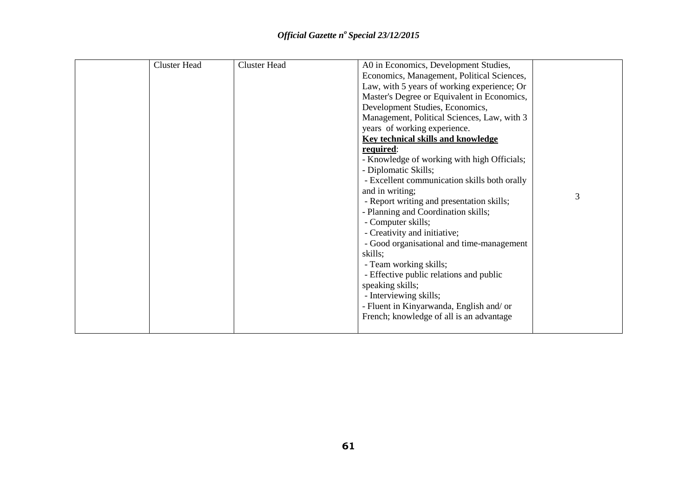| <b>Cluster Head</b> | <b>Cluster Head</b> | A0 in Economics, Development Studies,        |   |
|---------------------|---------------------|----------------------------------------------|---|
|                     |                     | Economics, Management, Political Sciences,   |   |
|                     |                     | Law, with 5 years of working experience; Or  |   |
|                     |                     | Master's Degree or Equivalent in Economics,  |   |
|                     |                     | Development Studies, Economics,              |   |
|                     |                     | Management, Political Sciences, Law, with 3  |   |
|                     |                     | years of working experience.                 |   |
|                     |                     | <b>Key technical skills and knowledge</b>    |   |
|                     |                     | required:                                    |   |
|                     |                     | - Knowledge of working with high Officials;  |   |
|                     |                     | - Diplomatic Skills;                         |   |
|                     |                     | - Excellent communication skills both orally |   |
|                     |                     | and in writing;                              |   |
|                     |                     | - Report writing and presentation skills;    | 3 |
|                     |                     | - Planning and Coordination skills;          |   |
|                     |                     | - Computer skills;                           |   |
|                     |                     | - Creativity and initiative;                 |   |
|                     |                     | - Good organisational and time-management    |   |
|                     |                     | skills;                                      |   |
|                     |                     | - Team working skills;                       |   |
|                     |                     | - Effective public relations and public      |   |
|                     |                     | speaking skills;                             |   |
|                     |                     | - Interviewing skills;                       |   |
|                     |                     | - Fluent in Kinyarwanda, English and/ or     |   |
|                     |                     | French; knowledge of all is an advantage     |   |
|                     |                     |                                              |   |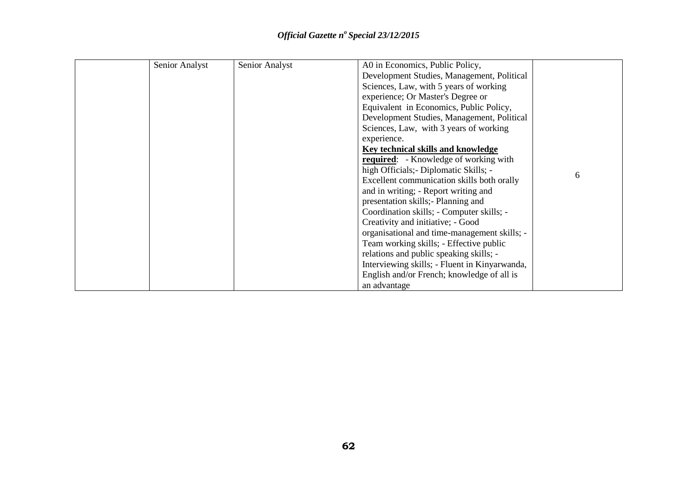| Senior Analyst | Senior Analyst | A0 in Economics, Public Policy,               |   |
|----------------|----------------|-----------------------------------------------|---|
|                |                | Development Studies, Management, Political    |   |
|                |                | Sciences, Law, with 5 years of working        |   |
|                |                | experience; Or Master's Degree or             |   |
|                |                | Equivalent in Economics, Public Policy,       |   |
|                |                | Development Studies, Management, Political    |   |
|                |                | Sciences, Law, with 3 years of working        |   |
|                |                | experience.                                   |   |
|                |                | Key technical skills and knowledge            |   |
|                |                | <b>required:</b> - Knowledge of working with  |   |
|                |                | high Officials; - Diplomatic Skills; -        | 6 |
|                |                | Excellent communication skills both orally    |   |
|                |                | and in writing; - Report writing and          |   |
|                |                | presentation skills; Planning and             |   |
|                |                | Coordination skills; - Computer skills; -     |   |
|                |                | Creativity and initiative; - Good             |   |
|                |                | organisational and time-management skills; -  |   |
|                |                | Team working skills; - Effective public       |   |
|                |                | relations and public speaking skills; -       |   |
|                |                | Interviewing skills; - Fluent in Kinyarwanda, |   |
|                |                | English and/or French; knowledge of all is    |   |
|                |                | an advantage                                  |   |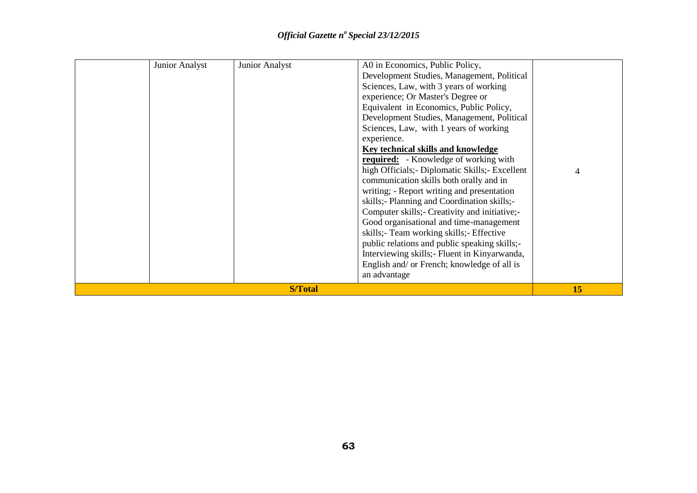| <b>Junior Analyst</b> | Junior Analyst | A0 in Economics, Public Policy,<br>Development Studies, Management, Political<br>Sciences, Law, with 3 years of working<br>experience; Or Master's Degree or<br>Equivalent in Economics, Public Policy,<br>Development Studies, Management, Political<br>Sciences, Law, with 1 years of working<br>experience.<br><b>Key technical skills and knowledge</b><br><b>required:</b> - Knowledge of working with<br>high Officials; - Diplomatic Skills; - Excellent<br>communication skills both orally and in<br>writing; - Report writing and presentation<br>skills;- Planning and Coordination skills;-<br>Computer skills;- Creativity and initiative;-<br>Good organisational and time-management<br>skills;- Team working skills;- Effective<br>public relations and public speaking skills;-<br>Interviewing skills; Fluent in Kinyarwanda,<br>English and/ or French; knowledge of all is<br>an advantage | $\overline{4}$ |
|-----------------------|----------------|----------------------------------------------------------------------------------------------------------------------------------------------------------------------------------------------------------------------------------------------------------------------------------------------------------------------------------------------------------------------------------------------------------------------------------------------------------------------------------------------------------------------------------------------------------------------------------------------------------------------------------------------------------------------------------------------------------------------------------------------------------------------------------------------------------------------------------------------------------------------------------------------------------------|----------------|
|                       | <b>S/Total</b> |                                                                                                                                                                                                                                                                                                                                                                                                                                                                                                                                                                                                                                                                                                                                                                                                                                                                                                                | 15             |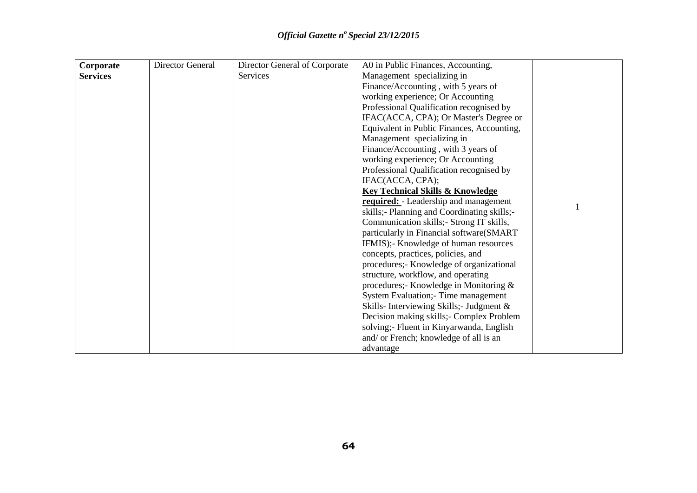| Corporate       | Director General | Director General of Corporate | A0 in Public Finances, Accounting,           |  |
|-----------------|------------------|-------------------------------|----------------------------------------------|--|
| <b>Services</b> |                  | <b>Services</b>               | Management specializing in                   |  |
|                 |                  |                               | Finance/Accounting, with 5 years of          |  |
|                 |                  |                               | working experience; Or Accounting            |  |
|                 |                  |                               | Professional Qualification recognised by     |  |
|                 |                  |                               | IFAC(ACCA, CPA); Or Master's Degree or       |  |
|                 |                  |                               | Equivalent in Public Finances, Accounting,   |  |
|                 |                  |                               | Management specializing in                   |  |
|                 |                  |                               | Finance/Accounting, with 3 years of          |  |
|                 |                  |                               | working experience; Or Accounting            |  |
|                 |                  |                               | Professional Qualification recognised by     |  |
|                 |                  |                               | IFAC(ACCA, CPA);                             |  |
|                 |                  |                               | <b>Key Technical Skills &amp; Knowledge</b>  |  |
|                 |                  |                               | <b>required:</b> - Leadership and management |  |
|                 |                  |                               | skills;- Planning and Coordinating skills;-  |  |
|                 |                  |                               | Communication skills; - Strong IT skills,    |  |
|                 |                  |                               | particularly in Financial software(SMART     |  |
|                 |                  |                               | IFMIS);- Knowledge of human resources        |  |
|                 |                  |                               | concepts, practices, policies, and           |  |
|                 |                  |                               | procedures;- Knowledge of organizational     |  |
|                 |                  |                               | structure, workflow, and operating           |  |
|                 |                  |                               | procedures;- Knowledge in Monitoring &       |  |
|                 |                  |                               | System Evaluation; Time management           |  |
|                 |                  |                               | Skills-Interviewing Skills;- Judgment &      |  |
|                 |                  |                               | Decision making skills;- Complex Problem     |  |
|                 |                  |                               | solving;- Fluent in Kinyarwanda, English     |  |
|                 |                  |                               | and/ or French; knowledge of all is an       |  |
|                 |                  |                               | advantage                                    |  |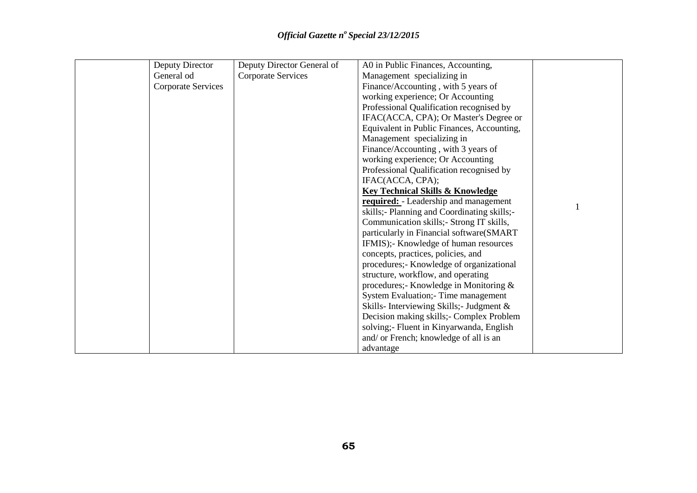| Deputy Director           | Deputy Director General of | A0 in Public Finances, Accounting,           |  |
|---------------------------|----------------------------|----------------------------------------------|--|
| General od                | <b>Corporate Services</b>  | Management specializing in                   |  |
| <b>Corporate Services</b> |                            | Finance/Accounting, with 5 years of          |  |
|                           |                            | working experience; Or Accounting            |  |
|                           |                            | Professional Qualification recognised by     |  |
|                           |                            | IFAC(ACCA, CPA); Or Master's Degree or       |  |
|                           |                            | Equivalent in Public Finances, Accounting,   |  |
|                           |                            | Management specializing in                   |  |
|                           |                            | Finance/Accounting, with 3 years of          |  |
|                           |                            | working experience; Or Accounting            |  |
|                           |                            | Professional Qualification recognised by     |  |
|                           |                            | IFAC(ACCA, CPA);                             |  |
|                           |                            | <b>Key Technical Skills &amp; Knowledge</b>  |  |
|                           |                            | <b>required:</b> - Leadership and management |  |
|                           |                            | skills;- Planning and Coordinating skills;-  |  |
|                           |                            | Communication skills; - Strong IT skills,    |  |
|                           |                            | particularly in Financial software(SMART     |  |
|                           |                            | IFMIS);- Knowledge of human resources        |  |
|                           |                            | concepts, practices, policies, and           |  |
|                           |                            | procedures;- Knowledge of organizational     |  |
|                           |                            | structure, workflow, and operating           |  |
|                           |                            | procedures;- Knowledge in Monitoring &       |  |
|                           |                            | System Evaluation; - Time management         |  |
|                           |                            | Skills-Interviewing Skills;- Judgment &      |  |
|                           |                            | Decision making skills; - Complex Problem    |  |
|                           |                            | solving;- Fluent in Kinyarwanda, English     |  |
|                           |                            | and/ or French; knowledge of all is an       |  |
|                           |                            | advantage                                    |  |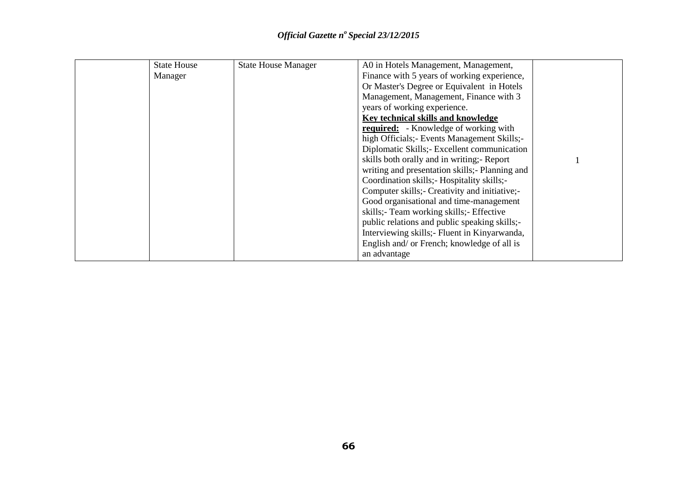| <b>State House</b> | <b>State House Manager</b> | A0 in Hotels Management, Management,            |  |
|--------------------|----------------------------|-------------------------------------------------|--|
| Manager            |                            | Finance with 5 years of working experience,     |  |
|                    |                            | Or Master's Degree or Equivalent in Hotels      |  |
|                    |                            | Management, Management, Finance with 3          |  |
|                    |                            | years of working experience.                    |  |
|                    |                            | Key technical skills and knowledge              |  |
|                    |                            | <b>required:</b> - Knowledge of working with    |  |
|                    |                            | high Officials; Events Management Skills;-      |  |
|                    |                            | Diplomatic Skills; Excellent communication      |  |
|                    |                            | skills both orally and in writing; - Report     |  |
|                    |                            | writing and presentation skills; - Planning and |  |
|                    |                            | Coordination skills; Hospitality skills;-       |  |
|                    |                            | Computer skills;- Creativity and initiative;-   |  |
|                    |                            | Good organisational and time-management         |  |
|                    |                            | skills; Team working skills; Effective          |  |
|                    |                            | public relations and public speaking skills;-   |  |
|                    |                            | Interviewing skills; Fluent in Kinyarwanda,     |  |
|                    |                            | English and/ or French; knowledge of all is     |  |
|                    |                            | an advantage                                    |  |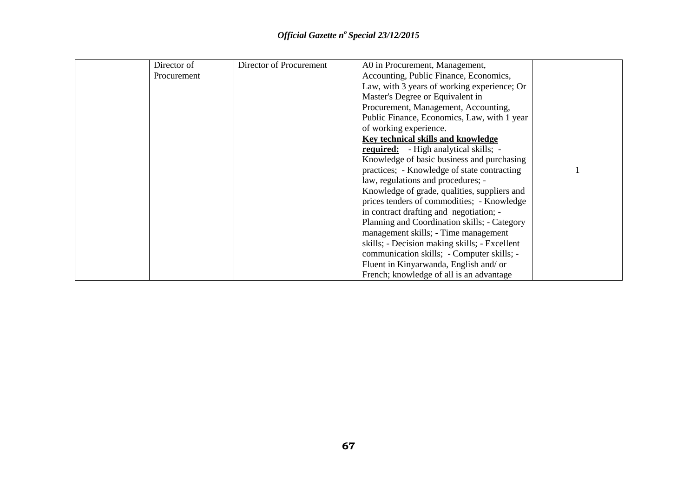| Director of | Director of Procurement | A0 in Procurement, Management,                |  |
|-------------|-------------------------|-----------------------------------------------|--|
| Procurement |                         | Accounting, Public Finance, Economics,        |  |
|             |                         | Law, with 3 years of working experience; Or   |  |
|             |                         | Master's Degree or Equivalent in              |  |
|             |                         | Procurement, Management, Accounting,          |  |
|             |                         | Public Finance, Economics, Law, with 1 year   |  |
|             |                         | of working experience.                        |  |
|             |                         | Key technical skills and knowledge            |  |
|             |                         | <b>required:</b> - High analytical skills; -  |  |
|             |                         | Knowledge of basic business and purchasing    |  |
|             |                         | practices; - Knowledge of state contracting   |  |
|             |                         | law, regulations and procedures; -            |  |
|             |                         | Knowledge of grade, qualities, suppliers and  |  |
|             |                         | prices tenders of commodities; - Knowledge    |  |
|             |                         | in contract drafting and negotiation; -       |  |
|             |                         | Planning and Coordination skills; - Category  |  |
|             |                         | management skills; - Time management          |  |
|             |                         | skills; - Decision making skills; - Excellent |  |
|             |                         | communication skills; - Computer skills; -    |  |
|             |                         | Fluent in Kinyarwanda, English and/ or        |  |
|             |                         | French; knowledge of all is an advantage      |  |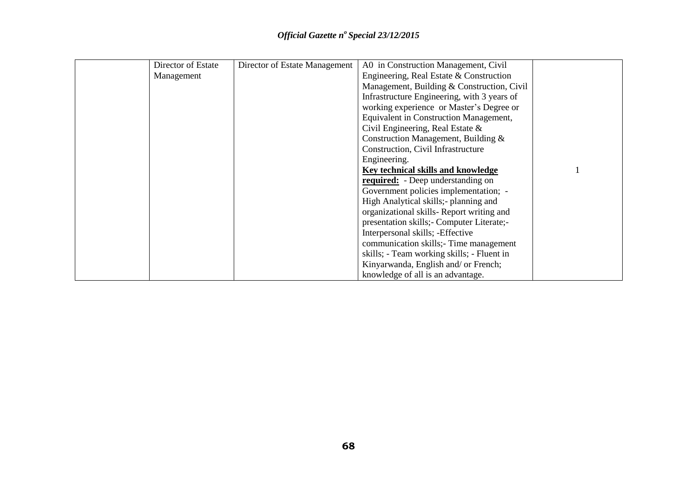| Director of Estate | Director of Estate Management | A0 in Construction Management, Civil        |  |
|--------------------|-------------------------------|---------------------------------------------|--|
| Management         |                               | Engineering, Real Estate & Construction     |  |
|                    |                               | Management, Building & Construction, Civil  |  |
|                    |                               | Infrastructure Engineering, with 3 years of |  |
|                    |                               | working experience or Master's Degree or    |  |
|                    |                               | Equivalent in Construction Management,      |  |
|                    |                               | Civil Engineering, Real Estate $\&$         |  |
|                    |                               | Construction Management, Building &         |  |
|                    |                               | Construction, Civil Infrastructure          |  |
|                    |                               | Engineering.                                |  |
|                    |                               | Key technical skills and knowledge          |  |
|                    |                               | <b>required:</b> - Deep understanding on    |  |
|                    |                               | Government policies implementation; -       |  |
|                    |                               | High Analytical skills; - planning and      |  |
|                    |                               | organizational skills-Report writing and    |  |
|                    |                               | presentation skills; - Computer Literate;-  |  |
|                    |                               | Interpersonal skills; -Effective            |  |
|                    |                               | communication skills;- Time management      |  |
|                    |                               | skills; - Team working skills; - Fluent in  |  |
|                    |                               | Kinyarwanda, English and/ or French;        |  |
|                    |                               | knowledge of all is an advantage.           |  |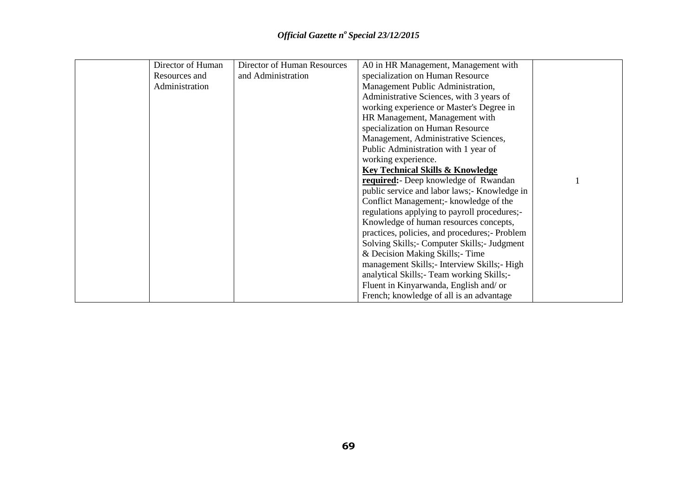| Director of Human | Director of Human Resources | A0 in HR Management, Management with          |  |
|-------------------|-----------------------------|-----------------------------------------------|--|
| Resources and     | and Administration          | specialization on Human Resource              |  |
| Administration    |                             | Management Public Administration,             |  |
|                   |                             | Administrative Sciences, with 3 years of      |  |
|                   |                             | working experience or Master's Degree in      |  |
|                   |                             | HR Management, Management with                |  |
|                   |                             | specialization on Human Resource              |  |
|                   |                             | Management, Administrative Sciences,          |  |
|                   |                             | Public Administration with 1 year of          |  |
|                   |                             | working experience.                           |  |
|                   |                             | <b>Key Technical Skills &amp; Knowledge</b>   |  |
|                   |                             | <b>required:</b> Deep knowledge of Rwandan    |  |
|                   |                             | public service and labor laws; Knowledge in   |  |
|                   |                             | Conflict Management; - knowledge of the       |  |
|                   |                             | regulations applying to payroll procedures;-  |  |
|                   |                             | Knowledge of human resources concepts,        |  |
|                   |                             | practices, policies, and procedures;- Problem |  |
|                   |                             | Solving Skills; - Computer Skills; - Judgment |  |
|                   |                             | & Decision Making Skills; Time                |  |
|                   |                             | management Skills; - Interview Skills; - High |  |
|                   |                             | analytical Skills; Team working Skills;-      |  |
|                   |                             | Fluent in Kinyarwanda, English and/ or        |  |
|                   |                             | French; knowledge of all is an advantage      |  |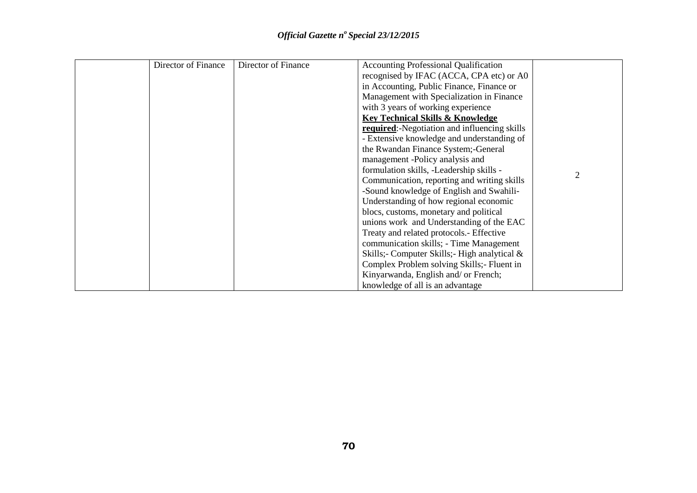| Director of Finance | Director of Finance | <b>Accounting Professional Qualification</b>         |                |
|---------------------|---------------------|------------------------------------------------------|----------------|
|                     |                     | recognised by IFAC (ACCA, CPA etc) or A0             |                |
|                     |                     | in Accounting, Public Finance, Finance or            |                |
|                     |                     | Management with Specialization in Finance            |                |
|                     |                     | with 3 years of working experience                   |                |
|                     |                     | <b>Key Technical Skills &amp; Knowledge</b>          |                |
|                     |                     | <b>required:</b> -Negotiation and influencing skills |                |
|                     |                     | - Extensive knowledge and understanding of           |                |
|                     |                     | the Rwandan Finance System; - General                |                |
|                     |                     | management -Policy analysis and                      |                |
|                     |                     | formulation skills, -Leadership skills -             | $\overline{2}$ |
|                     |                     | Communication, reporting and writing skills          |                |
|                     |                     | -Sound knowledge of English and Swahili-             |                |
|                     |                     | Understanding of how regional economic               |                |
|                     |                     | blocs, customs, monetary and political               |                |
|                     |                     | unions work and Understanding of the EAC             |                |
|                     |                     | Treaty and related protocols.- Effective             |                |
|                     |                     | communication skills; - Time Management              |                |
|                     |                     | Skills;- Computer Skills;- High analytical &         |                |
|                     |                     | Complex Problem solving Skills; - Fluent in          |                |
|                     |                     | Kinyarwanda, English and/ or French;                 |                |
|                     |                     | knowledge of all is an advantage                     |                |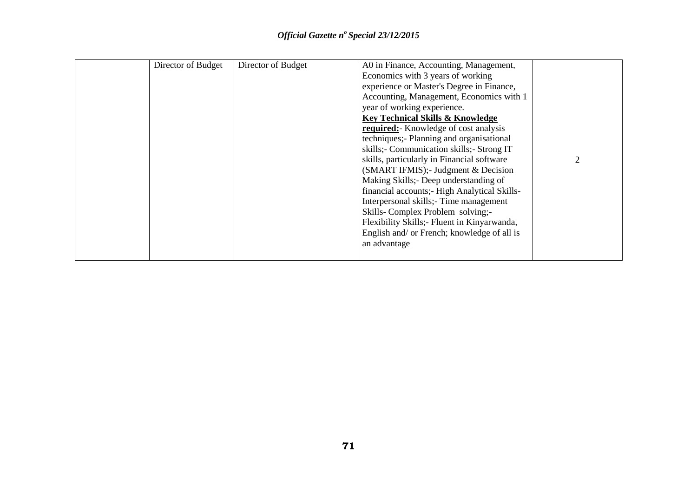| Director of Budget | Director of Budget | A0 in Finance, Accounting, Management,<br>Economics with 3 years of working<br>experience or Master's Degree in Finance,<br>Accounting, Management, Economics with 1<br>year of working experience.<br><b>Key Technical Skills &amp; Knowledge</b><br>required: Knowledge of cost analysis<br>techniques;- Planning and organisational<br>skills;- Communication skills;- Strong IT<br>skills, particularly in Financial software<br>(SMART IFMIS); Judgment & Decision<br>Making Skills; Deep understanding of<br>financial accounts; High Analytical Skills-<br>Interpersonal skills; Time management<br>Skills-Complex Problem solving;- |  |
|--------------------|--------------------|---------------------------------------------------------------------------------------------------------------------------------------------------------------------------------------------------------------------------------------------------------------------------------------------------------------------------------------------------------------------------------------------------------------------------------------------------------------------------------------------------------------------------------------------------------------------------------------------------------------------------------------------|--|
|                    |                    |                                                                                                                                                                                                                                                                                                                                                                                                                                                                                                                                                                                                                                             |  |
|                    |                    | Flexibility Skills; Fluent in Kinyarwanda,<br>English and/ or French; knowledge of all is<br>an advantage                                                                                                                                                                                                                                                                                                                                                                                                                                                                                                                                   |  |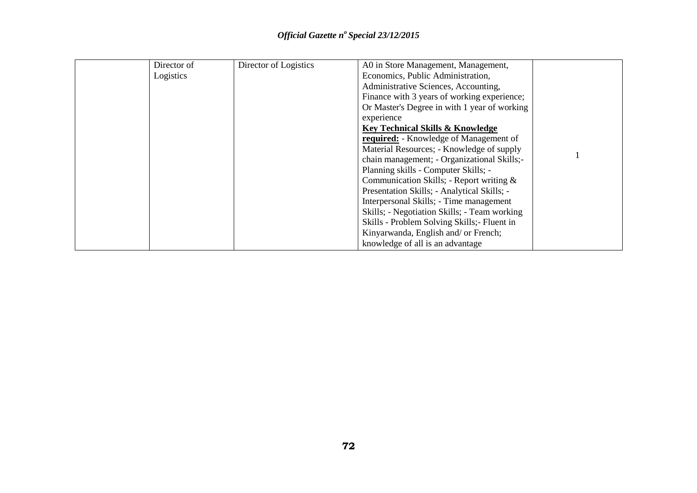| Director of | Director of Logistics | A0 in Store Management, Management,           |  |
|-------------|-----------------------|-----------------------------------------------|--|
| Logistics   |                       | Economics, Public Administration,             |  |
|             |                       | Administrative Sciences, Accounting,          |  |
|             |                       | Finance with 3 years of working experience;   |  |
|             |                       | Or Master's Degree in with 1 year of working  |  |
|             |                       | experience                                    |  |
|             |                       | <b>Key Technical Skills &amp; Knowledge</b>   |  |
|             |                       | <b>required:</b> - Knowledge of Management of |  |
|             |                       | Material Resources; - Knowledge of supply     |  |
|             |                       | chain management; - Organizational Skills;-   |  |
|             |                       | Planning skills - Computer Skills; -          |  |
|             |                       | Communication Skills; - Report writing $\&$   |  |
|             |                       | Presentation Skills; - Analytical Skills; -   |  |
|             |                       | Interpersonal Skills; - Time management       |  |
|             |                       | Skills; - Negotiation Skills; - Team working  |  |
|             |                       | Skills - Problem Solving Skills; - Fluent in  |  |
|             |                       | Kinyarwanda, English and/ or French;          |  |
|             |                       | knowledge of all is an advantage              |  |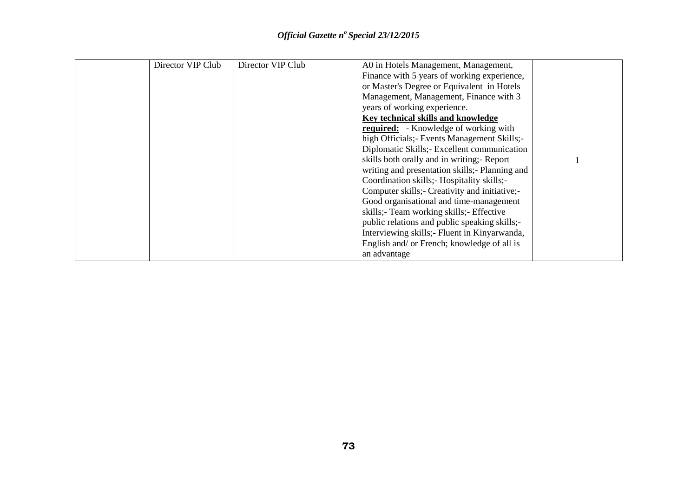| Director VIP Club | Director VIP Club | A0 in Hotels Management, Management,           |  |
|-------------------|-------------------|------------------------------------------------|--|
|                   |                   | Finance with 5 years of working experience,    |  |
|                   |                   | or Master's Degree or Equivalent in Hotels     |  |
|                   |                   | Management, Management, Finance with 3         |  |
|                   |                   | years of working experience.                   |  |
|                   |                   | Key technical skills and knowledge             |  |
|                   |                   | <b>required:</b> - Knowledge of working with   |  |
|                   |                   | high Officials; Events Management Skills;-     |  |
|                   |                   | Diplomatic Skills; Excellent communication     |  |
|                   |                   | skills both orally and in writing; - Report    |  |
|                   |                   | writing and presentation skills;- Planning and |  |
|                   |                   | Coordination skills; Hospitality skills;-      |  |
|                   |                   | Computer skills; Creativity and initiative;-   |  |
|                   |                   | Good organisational and time-management        |  |
|                   |                   | skills; Team working skills; Effective         |  |
|                   |                   | public relations and public speaking skills;-  |  |
|                   |                   | Interviewing skills; Fluent in Kinyarwanda,    |  |
|                   |                   | English and/ or French; knowledge of all is    |  |
|                   |                   | an advantage                                   |  |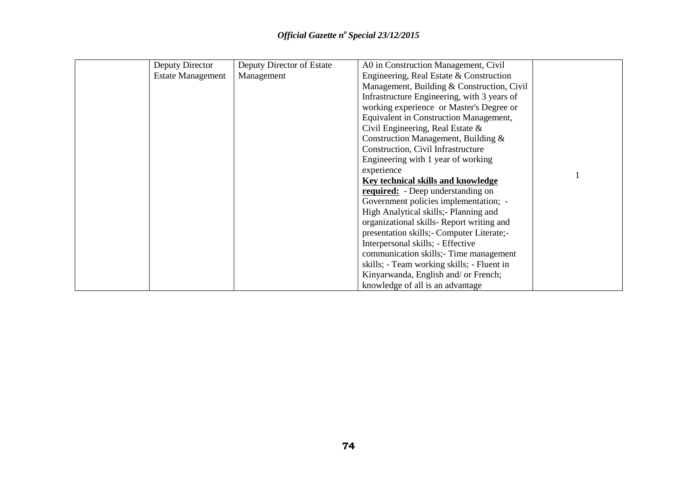| Deputy Director          | Deputy Director of Estate | A0 in Construction Management, Civil          |  |
|--------------------------|---------------------------|-----------------------------------------------|--|
| <b>Estate Management</b> | Management                | Engineering, Real Estate & Construction       |  |
|                          |                           | Management, Building & Construction, Civil    |  |
|                          |                           | Infrastructure Engineering, with 3 years of   |  |
|                          |                           | working experience or Master's Degree or      |  |
|                          |                           | <b>Equivalent in Construction Management,</b> |  |
|                          |                           | Civil Engineering, Real Estate &              |  |
|                          |                           | Construction Management, Building &           |  |
|                          |                           | Construction, Civil Infrastructure            |  |
|                          |                           | Engineering with 1 year of working            |  |
|                          |                           | experience                                    |  |
|                          |                           | Key technical skills and knowledge            |  |
|                          |                           | <b>required:</b> - Deep understanding on      |  |
|                          |                           | Government policies implementation; -         |  |
|                          |                           | High Analytical skills;- Planning and         |  |
|                          |                           | organizational skills-Report writing and      |  |
|                          |                           | presentation skills; Computer Literate;-      |  |
|                          |                           | Interpersonal skills; - Effective             |  |
|                          |                           | communication skills; Time management         |  |
|                          |                           | skills; - Team working skills; - Fluent in    |  |
|                          |                           | Kinyarwanda, English and/ or French;          |  |
|                          |                           | knowledge of all is an advantage              |  |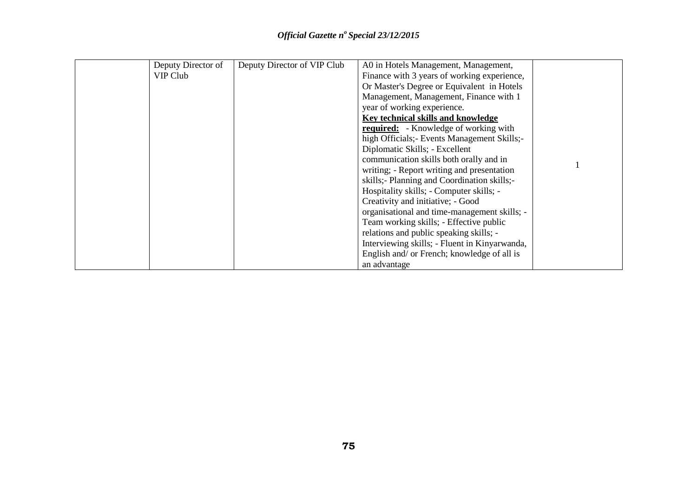| Deputy Director of | Deputy Director of VIP Club | A0 in Hotels Management, Management,          |  |
|--------------------|-----------------------------|-----------------------------------------------|--|
| VIP Club           |                             | Finance with 3 years of working experience,   |  |
|                    |                             | Or Master's Degree or Equivalent in Hotels    |  |
|                    |                             | Management, Management, Finance with 1        |  |
|                    |                             | year of working experience.                   |  |
|                    |                             | Key technical skills and knowledge            |  |
|                    |                             | <b>required:</b> - Knowledge of working with  |  |
|                    |                             | high Officials; - Events Management Skills;-  |  |
|                    |                             | Diplomatic Skills; - Excellent                |  |
|                    |                             | communication skills both orally and in       |  |
|                    |                             | writing; - Report writing and presentation    |  |
|                    |                             | skills;- Planning and Coordination skills;-   |  |
|                    |                             | Hospitality skills; - Computer skills; -      |  |
|                    |                             | Creativity and initiative; - Good             |  |
|                    |                             | organisational and time-management skills; -  |  |
|                    |                             | Team working skills; - Effective public       |  |
|                    |                             | relations and public speaking skills; -       |  |
|                    |                             | Interviewing skills; - Fluent in Kinyarwanda, |  |
|                    |                             | English and/ or French; knowledge of all is   |  |
|                    |                             | an advantage                                  |  |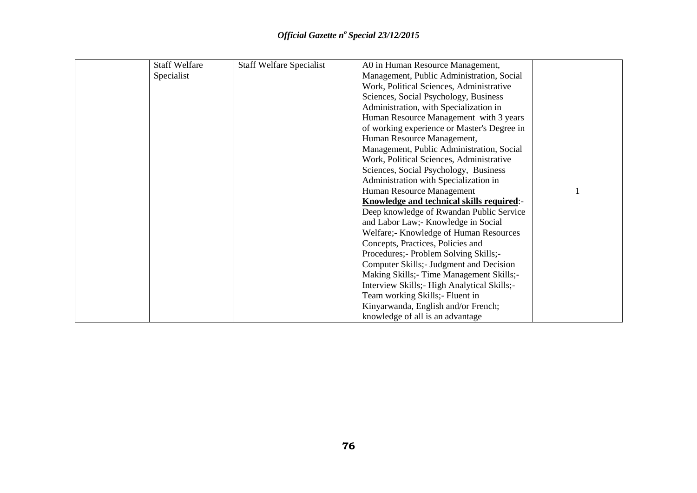| <b>Staff Welfare</b> | <b>Staff Welfare Specialist</b> | A0 in Human Resource Management,            |  |
|----------------------|---------------------------------|---------------------------------------------|--|
| Specialist           |                                 | Management, Public Administration, Social   |  |
|                      |                                 | Work, Political Sciences, Administrative    |  |
|                      |                                 | Sciences, Social Psychology, Business       |  |
|                      |                                 | Administration, with Specialization in      |  |
|                      |                                 | Human Resource Management with 3 years      |  |
|                      |                                 | of working experience or Master's Degree in |  |
|                      |                                 | Human Resource Management,                  |  |
|                      |                                 | Management, Public Administration, Social   |  |
|                      |                                 | Work, Political Sciences, Administrative    |  |
|                      |                                 | Sciences, Social Psychology, Business       |  |
|                      |                                 | Administration with Specialization in       |  |
|                      |                                 | Human Resource Management                   |  |
|                      |                                 | Knowledge and technical skills required:-   |  |
|                      |                                 | Deep knowledge of Rwandan Public Service    |  |
|                      |                                 | and Labor Law; Knowledge in Social          |  |
|                      |                                 | Welfare; Knowledge of Human Resources       |  |
|                      |                                 | Concepts, Practices, Policies and           |  |
|                      |                                 | Procedures; - Problem Solving Skills; -     |  |
|                      |                                 | Computer Skills; - Judgment and Decision    |  |
|                      |                                 | Making Skills; Time Management Skills;-     |  |
|                      |                                 | Interview Skills; High Analytical Skills;-  |  |
|                      |                                 | Team working Skills; - Fluent in            |  |
|                      |                                 | Kinyarwanda, English and/or French;         |  |
|                      |                                 | knowledge of all is an advantage            |  |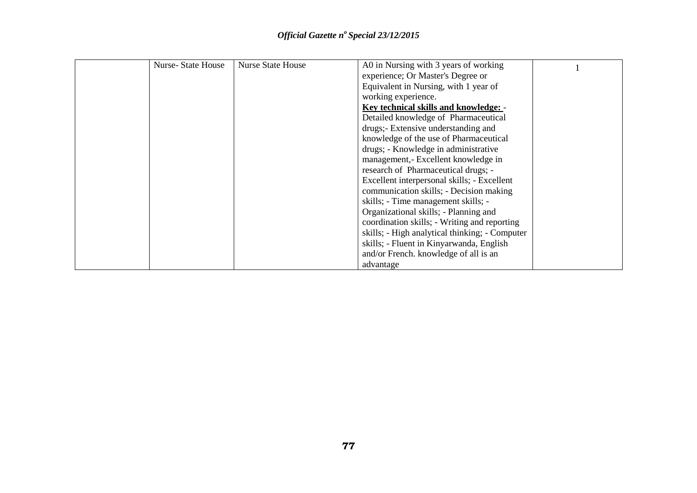| <b>Nurse-State House</b> | <b>Nurse State House</b> | A0 in Nursing with 3 years of working          |  |
|--------------------------|--------------------------|------------------------------------------------|--|
|                          |                          | experience; Or Master's Degree or              |  |
|                          |                          | Equivalent in Nursing, with 1 year of          |  |
|                          |                          | working experience.                            |  |
|                          |                          | Key technical skills and knowledge: -          |  |
|                          |                          | Detailed knowledge of Pharmaceutical           |  |
|                          |                          | drugs;- Extensive understanding and            |  |
|                          |                          | knowledge of the use of Pharmaceutical         |  |
|                          |                          | drugs; - Knowledge in administrative           |  |
|                          |                          | management,- Excellent knowledge in            |  |
|                          |                          | research of Pharmaceutical drugs; -            |  |
|                          |                          | Excellent interpersonal skills; - Excellent    |  |
|                          |                          | communication skills; - Decision making        |  |
|                          |                          | skills; - Time management skills; -            |  |
|                          |                          | Organizational skills; - Planning and          |  |
|                          |                          | coordination skills; - Writing and reporting   |  |
|                          |                          | skills; - High analytical thinking; - Computer |  |
|                          |                          | skills; - Fluent in Kinyarwanda, English       |  |
|                          |                          | and/or French. knowledge of all is an          |  |
|                          |                          | advantage                                      |  |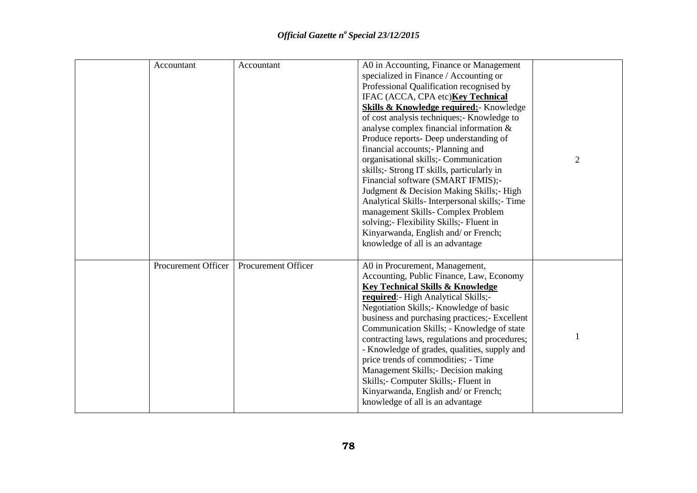| Accountant          | Accountant          | A0 in Accounting, Finance or Management<br>specialized in Finance / Accounting or<br>Professional Qualification recognised by<br>IFAC (ACCA, CPA etc) <b>Key Technical</b><br><b>Skills &amp; Knowledge required:</b> Knowledge<br>of cost analysis techniques;- Knowledge to<br>analyse complex financial information &<br>Produce reports- Deep understanding of<br>financial accounts;- Planning and<br>organisational skills;- Communication<br>skills;- Strong IT skills, particularly in<br>Financial software (SMART IFMIS);-<br>Judgment & Decision Making Skills;- High<br>Analytical Skills-Interpersonal skills; - Time<br>management Skills-Complex Problem<br>solving; Flexibility Skills; Fluent in<br>Kinyarwanda, English and/ or French;<br>knowledge of all is an advantage | $\overline{2}$ |
|---------------------|---------------------|-----------------------------------------------------------------------------------------------------------------------------------------------------------------------------------------------------------------------------------------------------------------------------------------------------------------------------------------------------------------------------------------------------------------------------------------------------------------------------------------------------------------------------------------------------------------------------------------------------------------------------------------------------------------------------------------------------------------------------------------------------------------------------------------------|----------------|
| Procurement Officer | Procurement Officer | A0 in Procurement, Management,<br>Accounting, Public Finance, Law, Economy<br><b>Key Technical Skills &amp; Knowledge</b><br>required: High Analytical Skills;-<br>Negotiation Skills;- Knowledge of basic<br>business and purchasing practices;- Excellent<br>Communication Skills; - Knowledge of state<br>contracting laws, regulations and procedures;<br>- Knowledge of grades, qualities, supply and<br>price trends of commodities; - Time<br>Management Skills; - Decision making<br>Skills; Computer Skills; Fluent in<br>Kinyarwanda, English and/ or French;<br>knowledge of all is an advantage                                                                                                                                                                                   |                |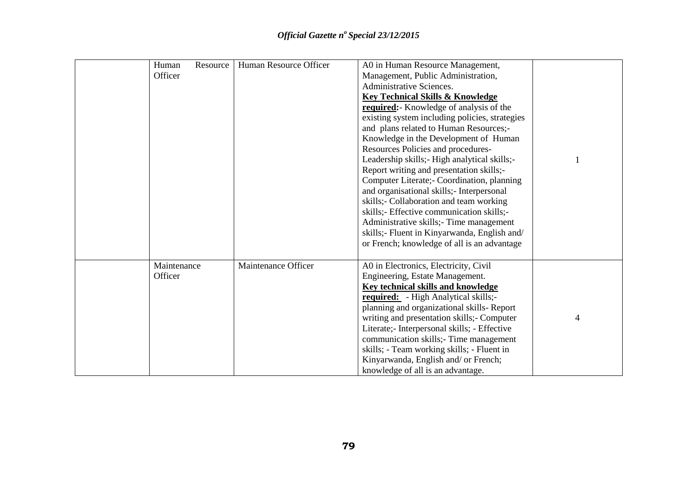| Human<br>Resource | Human Resource Officer | A0 in Human Resource Management,               |   |
|-------------------|------------------------|------------------------------------------------|---|
| Officer           |                        | Management, Public Administration,             |   |
|                   |                        | Administrative Sciences.                       |   |
|                   |                        | <b>Key Technical Skills &amp; Knowledge</b>    |   |
|                   |                        | required: Knowledge of analysis of the         |   |
|                   |                        | existing system including policies, strategies |   |
|                   |                        | and plans related to Human Resources;-         |   |
|                   |                        | Knowledge in the Development of Human          |   |
|                   |                        | Resources Policies and procedures-             |   |
|                   |                        | Leadership skills; High analytical skills;-    |   |
|                   |                        | Report writing and presentation skills;-       |   |
|                   |                        | Computer Literate; Coordination, planning      |   |
|                   |                        | and organisational skills;- Interpersonal      |   |
|                   |                        | skills;- Collaboration and team working        |   |
|                   |                        | skills;- Effective communication skills;-      |   |
|                   |                        | Administrative skills; Time management         |   |
|                   |                        | skills;- Fluent in Kinyarwanda, English and/   |   |
|                   |                        | or French; knowledge of all is an advantage    |   |
|                   |                        |                                                |   |
| Maintenance       | Maintenance Officer    | A0 in Electronics, Electricity, Civil          |   |
| Officer           |                        | Engineering, Estate Management.                |   |
|                   |                        | <b>Key technical skills and knowledge</b>      |   |
|                   |                        | required: - High Analytical skills;-           |   |
|                   |                        | planning and organizational skills-Report      |   |
|                   |                        | writing and presentation skills; - Computer    | 4 |
|                   |                        | Literate;- Interpersonal skills; - Effective   |   |
|                   |                        | communication skills;- Time management         |   |
|                   |                        | skills; - Team working skills; - Fluent in     |   |
|                   |                        | Kinyarwanda, English and/ or French;           |   |
|                   |                        | knowledge of all is an advantage.              |   |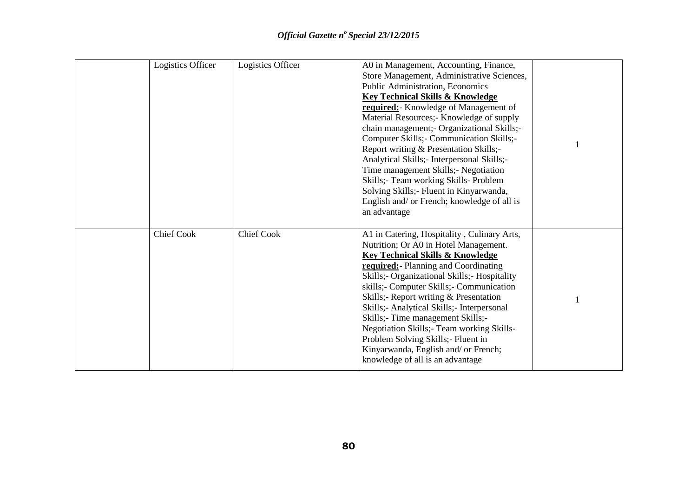| Logistics Officer | Logistics Officer | A0 in Management, Accounting, Finance,<br>Store Management, Administrative Sciences,<br>Public Administration, Economics<br><b>Key Technical Skills &amp; Knowledge</b><br>required: Knowledge of Management of<br>Material Resources;- Knowledge of supply<br>chain management;- Organizational Skills;-<br>Computer Skills; - Communication Skills; -<br>Report writing & Presentation Skills;-<br>Analytical Skills; - Interpersonal Skills; -<br>Time management Skills;- Negotiation<br>Skills;- Team working Skills- Problem<br>Solving Skills;- Fluent in Kinyarwanda,<br>English and/ or French; knowledge of all is<br>an advantage |  |
|-------------------|-------------------|----------------------------------------------------------------------------------------------------------------------------------------------------------------------------------------------------------------------------------------------------------------------------------------------------------------------------------------------------------------------------------------------------------------------------------------------------------------------------------------------------------------------------------------------------------------------------------------------------------------------------------------------|--|
| <b>Chief Cook</b> | <b>Chief Cook</b> | A1 in Catering, Hospitality, Culinary Arts,<br>Nutrition; Or A0 in Hotel Management.<br><b>Key Technical Skills &amp; Knowledge</b><br>required: Planning and Coordinating<br>Skills;- Organizational Skills;- Hospitality<br>skills;- Computer Skills;- Communication<br>Skills;- Report writing & Presentation<br>Skills;- Analytical Skills;- Interpersonal<br>Skills;- Time management Skills;-<br>Negotiation Skills; Team working Skills-<br>Problem Solving Skills;- Fluent in<br>Kinyarwanda, English and/ or French;<br>knowledge of all is an advantage                                                                            |  |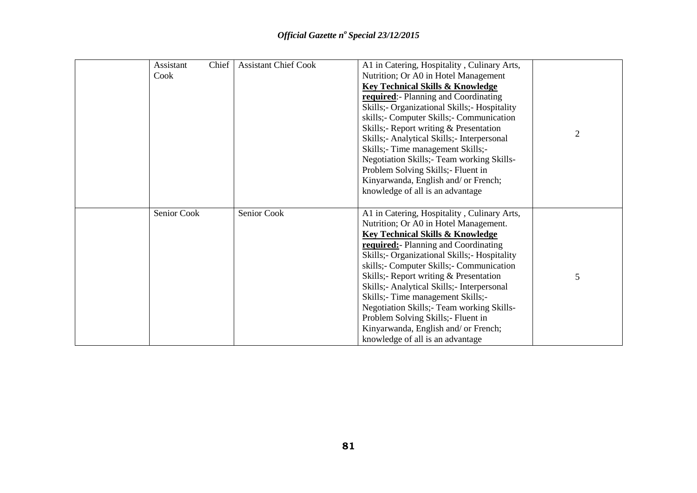| Assistant<br>Cook | Chief | <b>Assistant Chief Cook</b> | A1 in Catering, Hospitality, Culinary Arts,<br>Nutrition; Or A0 in Hotel Management<br><b>Key Technical Skills &amp; Knowledge</b><br>required: Planning and Coordinating<br>Skills;- Organizational Skills;- Hospitality<br>skills;- Computer Skills;- Communication<br>Skills;- Report writing & Presentation<br>Skills;- Analytical Skills;- Interpersonal<br>Skills;- Time management Skills;-<br>Negotiation Skills; Team working Skills-<br>Problem Solving Skills; - Fluent in<br>Kinyarwanda, English and/ or French;<br>knowledge of all is an advantage        | $\overline{2}$ |
|-------------------|-------|-----------------------------|--------------------------------------------------------------------------------------------------------------------------------------------------------------------------------------------------------------------------------------------------------------------------------------------------------------------------------------------------------------------------------------------------------------------------------------------------------------------------------------------------------------------------------------------------------------------------|----------------|
| Senior Cook       |       | Senior Cook                 | A1 in Catering, Hospitality, Culinary Arts,<br>Nutrition; Or A0 in Hotel Management.<br><b>Key Technical Skills &amp; Knowledge</b><br><b>required:</b> Planning and Coordinating<br>Skills;- Organizational Skills;- Hospitality<br>skills;- Computer Skills;- Communication<br>Skills;- Report writing & Presentation<br>Skills;- Analytical Skills;- Interpersonal<br>Skills;- Time management Skills;-<br>Negotiation Skills; Team working Skills-<br>Problem Solving Skills;- Fluent in<br>Kinyarwanda, English and/ or French;<br>knowledge of all is an advantage | 5              |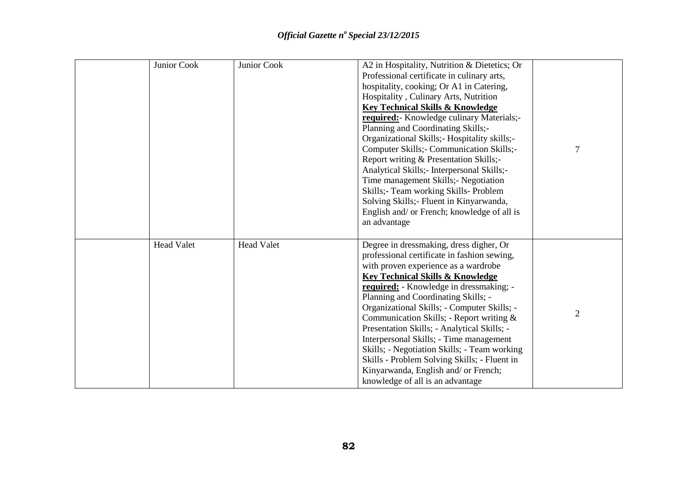| Junior Cook       | Junior Cook       | A2 in Hospitality, Nutrition & Dietetics; Or<br>Professional certificate in culinary arts,<br>hospitality, cooking; Or A1 in Catering,<br>Hospitality, Culinary Arts, Nutrition<br><b>Key Technical Skills &amp; Knowledge</b><br>required: Knowledge culinary Materials;-<br>Planning and Coordinating Skills;-<br>Organizational Skills; Hospitality skills;-<br>Computer Skills; - Communication Skills;-<br>Report writing & Presentation Skills;-<br>Analytical Skills;- Interpersonal Skills;-<br>Time management Skills;- Negotiation<br>Skills;- Team working Skills- Problem<br>Solving Skills;- Fluent in Kinyarwanda,<br>English and/ or French; knowledge of all is<br>an advantage | 7              |
|-------------------|-------------------|-------------------------------------------------------------------------------------------------------------------------------------------------------------------------------------------------------------------------------------------------------------------------------------------------------------------------------------------------------------------------------------------------------------------------------------------------------------------------------------------------------------------------------------------------------------------------------------------------------------------------------------------------------------------------------------------------|----------------|
| <b>Head Valet</b> | <b>Head Valet</b> | Degree in dressmaking, dress digher, Or<br>professional certificate in fashion sewing,<br>with proven experience as a wardrobe<br><b>Key Technical Skills &amp; Knowledge</b><br>required: - Knowledge in dressmaking; -<br>Planning and Coordinating Skills; -<br>Organizational Skills; - Computer Skills; -<br>Communication Skills; - Report writing &<br>Presentation Skills; - Analytical Skills; -<br>Interpersonal Skills; - Time management<br>Skills; - Negotiation Skills; - Team working<br>Skills - Problem Solving Skills; - Fluent in<br>Kinyarwanda, English and/ or French;<br>knowledge of all is an advantage                                                                | $\overline{2}$ |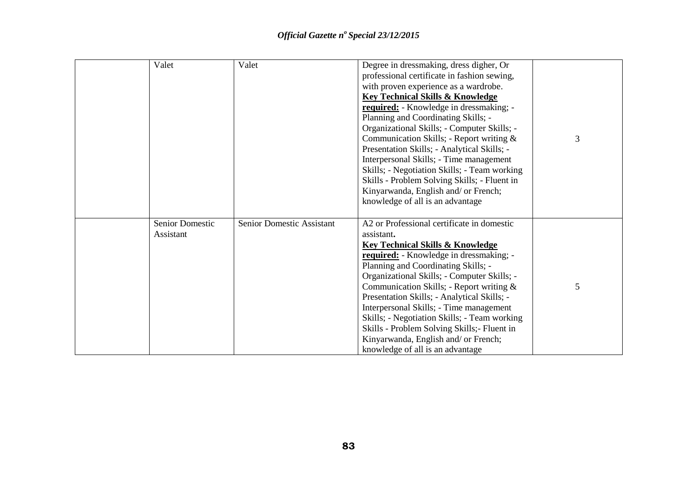| Valet                               | Valet                     | Degree in dressmaking, dress digher, Or<br>professional certificate in fashion sewing,<br>with proven experience as a wardrobe.<br><b>Key Technical Skills &amp; Knowledge</b><br>required: - Knowledge in dressmaking; -<br>Planning and Coordinating Skills; -<br>Organizational Skills; - Computer Skills; -<br>Communication Skills; - Report writing &<br>Presentation Skills; - Analytical Skills; -<br>Interpersonal Skills; - Time management<br>Skills; - Negotiation Skills; - Team working<br>Skills - Problem Solving Skills; - Fluent in<br>Kinyarwanda, English and/ or French;<br>knowledge of all is an advantage | 3 |
|-------------------------------------|---------------------------|-----------------------------------------------------------------------------------------------------------------------------------------------------------------------------------------------------------------------------------------------------------------------------------------------------------------------------------------------------------------------------------------------------------------------------------------------------------------------------------------------------------------------------------------------------------------------------------------------------------------------------------|---|
| <b>Senior Domestic</b><br>Assistant | Senior Domestic Assistant | A2 or Professional certificate in domestic<br>assistant.<br><b>Key Technical Skills &amp; Knowledge</b><br>required: - Knowledge in dressmaking; -<br>Planning and Coordinating Skills; -<br>Organizational Skills; - Computer Skills; -<br>Communication Skills; - Report writing &<br>Presentation Skills; - Analytical Skills; -<br>Interpersonal Skills; - Time management<br>Skills; - Negotiation Skills; - Team working<br>Skills - Problem Solving Skills; - Fluent in<br>Kinyarwanda, English and/ or French;<br>knowledge of all is an advantage                                                                        | 5 |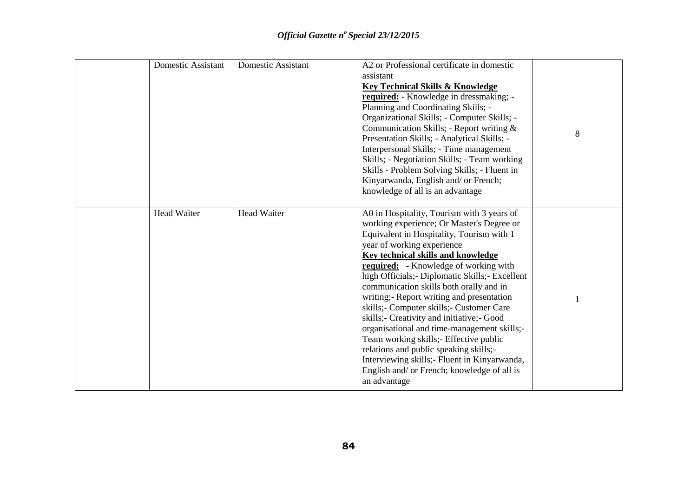| <b>Domestic Assistant</b> | <b>Domestic Assistant</b> | A2 or Professional certificate in domestic<br>assistant<br><b>Key Technical Skills &amp; Knowledge</b><br>required: - Knowledge in dressmaking; -<br>Planning and Coordinating Skills; -<br>Organizational Skills; - Computer Skills; -<br>Communication Skills; - Report writing &<br>Presentation Skills; - Analytical Skills; -<br>Interpersonal Skills; - Time management<br>Skills; - Negotiation Skills; - Team working<br>Skills - Problem Solving Skills; - Fluent in<br>Kinyarwanda, English and/ or French;<br>knowledge of all is an advantage                                                                                                                                                                                             | 8 |
|---------------------------|---------------------------|-------------------------------------------------------------------------------------------------------------------------------------------------------------------------------------------------------------------------------------------------------------------------------------------------------------------------------------------------------------------------------------------------------------------------------------------------------------------------------------------------------------------------------------------------------------------------------------------------------------------------------------------------------------------------------------------------------------------------------------------------------|---|
| <b>Head Waiter</b>        | <b>Head Waiter</b>        | A0 in Hospitality, Tourism with 3 years of<br>working experience; Or Master's Degree or<br>Equivalent in Hospitality, Tourism with 1<br>year of working experience<br><b>Key technical skills and knowledge</b><br><b>required:</b> - Knowledge of working with<br>high Officials; - Diplomatic Skills; - Excellent<br>communication skills both orally and in<br>writing;- Report writing and presentation<br>skills;- Computer skills;- Customer Care<br>skills;- Creativity and initiative;- Good<br>organisational and time-management skills;-<br>Team working skills;- Effective public<br>relations and public speaking skills;-<br>Interviewing skills; Fluent in Kinyarwanda,<br>English and/ or French; knowledge of all is<br>an advantage |   |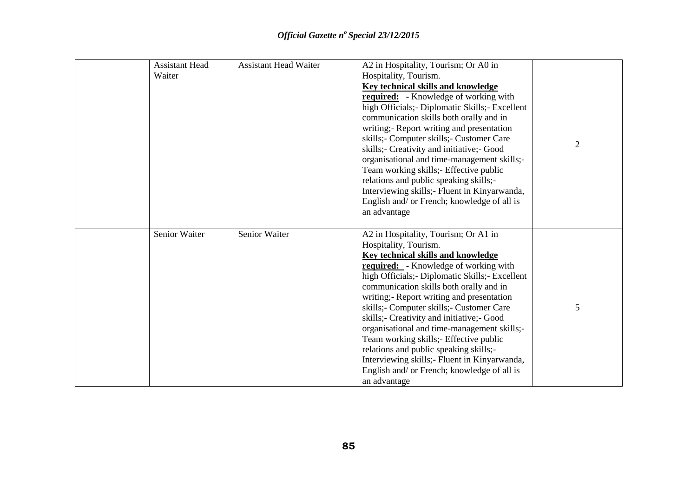| <b>Assistant Head</b> | <b>Assistant Head Waiter</b> | A2 in Hospitality, Tourism; Or A0 in             |                |
|-----------------------|------------------------------|--------------------------------------------------|----------------|
| Waiter                |                              | Hospitality, Tourism.                            |                |
|                       |                              | <b>Key technical skills and knowledge</b>        |                |
|                       |                              | <b>required:</b> - Knowledge of working with     |                |
|                       |                              | high Officials; - Diplomatic Skills; - Excellent |                |
|                       |                              | communication skills both orally and in          |                |
|                       |                              | writing;- Report writing and presentation        |                |
|                       |                              | skills;- Computer skills;- Customer Care         |                |
|                       |                              | skills;- Creativity and initiative;- Good        | $\overline{2}$ |
|                       |                              | organisational and time-management skills;-      |                |
|                       |                              | Team working skills; Effective public            |                |
|                       |                              | relations and public speaking skills;-           |                |
|                       |                              | Interviewing skills;- Fluent in Kinyarwanda,     |                |
|                       |                              | English and/ or French; knowledge of all is      |                |
|                       |                              | an advantage                                     |                |
|                       |                              |                                                  |                |
| Senior Waiter         | Senior Waiter                | A2 in Hospitality, Tourism; Or A1 in             |                |
|                       |                              | Hospitality, Tourism.                            |                |
|                       |                              | Key technical skills and knowledge               |                |
|                       |                              | <b>required:</b> - Knowledge of working with     |                |
|                       |                              | high Officials; - Diplomatic Skills; - Excellent |                |
|                       |                              | communication skills both orally and in          |                |
|                       |                              | writing;- Report writing and presentation        |                |
|                       |                              | skills; - Computer skills; - Customer Care       | 5              |
|                       |                              | skills;- Creativity and initiative;- Good        |                |
|                       |                              | organisational and time-management skills;-      |                |
|                       |                              | Team working skills; Effective public            |                |
|                       |                              | relations and public speaking skills;-           |                |
|                       |                              | Interviewing skills; - Fluent in Kinyarwanda,    |                |
|                       |                              | English and/ or French; knowledge of all is      |                |
|                       |                              | an advantage                                     |                |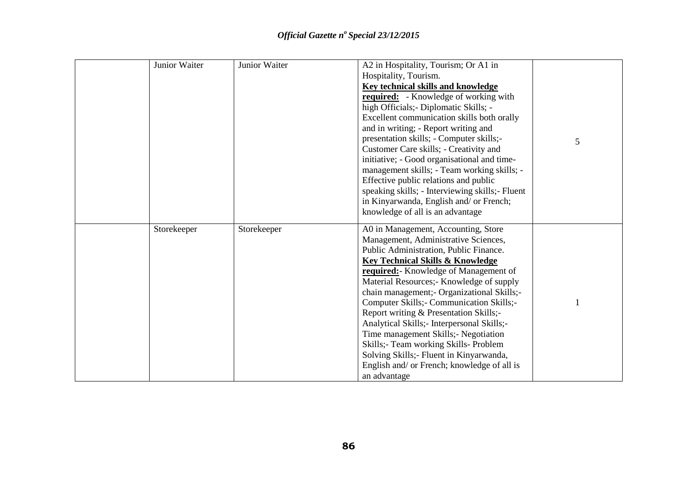| Junior Waiter | Junior Waiter | A2 in Hospitality, Tourism; Or A1 in             |   |
|---------------|---------------|--------------------------------------------------|---|
|               |               | Hospitality, Tourism.                            |   |
|               |               | <b>Key technical skills and knowledge</b>        |   |
|               |               | <b>required:</b> - Knowledge of working with     |   |
|               |               | high Officials; - Diplomatic Skills; -           |   |
|               |               | Excellent communication skills both orally       |   |
|               |               | and in writing; - Report writing and             |   |
|               |               | presentation skills; - Computer skills;-         | 5 |
|               |               | Customer Care skills; - Creativity and           |   |
|               |               | initiative; - Good organisational and time-      |   |
|               |               | management skills; - Team working skills; -      |   |
|               |               | Effective public relations and public            |   |
|               |               | speaking skills; - Interviewing skills; - Fluent |   |
|               |               | in Kinyarwanda, English and/ or French;          |   |
|               |               | knowledge of all is an advantage                 |   |
| Storekeeper   | Storekeeper   | A0 in Management, Accounting, Store              |   |
|               |               | Management, Administrative Sciences,             |   |
|               |               | Public Administration, Public Finance.           |   |
|               |               | <b>Key Technical Skills &amp; Knowledge</b>      |   |
|               |               | required: Knowledge of Management of             |   |
|               |               | Material Resources;- Knowledge of supply         |   |
|               |               | chain management;- Organizational Skills;-       |   |
|               |               | Computer Skills; - Communication Skills; -       |   |
|               |               | Report writing & Presentation Skills;-           |   |
|               |               | Analytical Skills; - Interpersonal Skills; -     |   |
|               |               | Time management Skills; - Negotiation            |   |
|               |               | Skills;- Team working Skills- Problem            |   |
|               |               | Solving Skills;- Fluent in Kinyarwanda,          |   |
|               |               | English and/ or French; knowledge of all is      |   |
|               |               | an advantage                                     |   |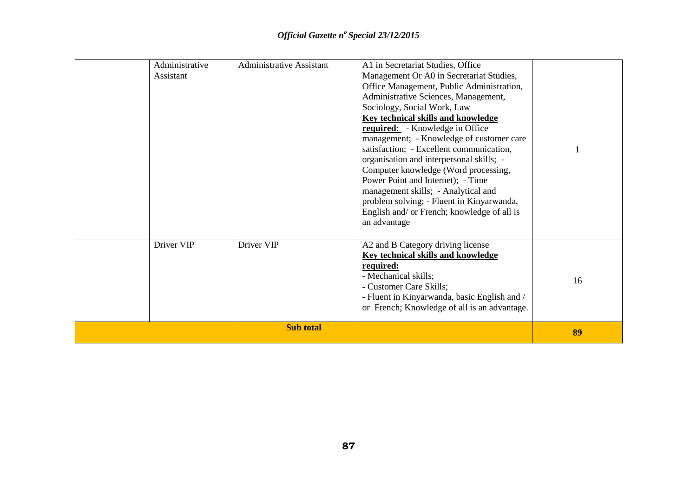|  | Administrative<br>Assistant | <b>Administrative Assistant</b> | A1 in Secretariat Studies, Office<br>Management Or A0 in Secretariat Studies,<br>Office Management, Public Administration,<br>Administrative Sciences, Management,<br>Sociology, Social Work, Law<br><b>Key technical skills and knowledge</b><br><b>required:</b> - Knowledge in Office<br>management; - Knowledge of customer care<br>satisfaction; - Excellent communication,<br>organisation and interpersonal skills; -<br>Computer knowledge (Word processing,<br>Power Point and Internet); - Time<br>management skills; - Analytical and<br>problem solving; - Fluent in Kinyarwanda,<br>English and/ or French; knowledge of all is<br>an advantage |    |
|--|-----------------------------|---------------------------------|--------------------------------------------------------------------------------------------------------------------------------------------------------------------------------------------------------------------------------------------------------------------------------------------------------------------------------------------------------------------------------------------------------------------------------------------------------------------------------------------------------------------------------------------------------------------------------------------------------------------------------------------------------------|----|
|  | Driver VIP                  | Driver VIP                      | A2 and B Category driving license<br>Key technical skills and knowledge<br>required:<br>- Mechanical skills;<br>- Customer Care Skills;<br>- Fluent in Kinyarwanda, basic English and /<br>or French; Knowledge of all is an advantage.                                                                                                                                                                                                                                                                                                                                                                                                                      | 16 |
|  | 89                          |                                 |                                                                                                                                                                                                                                                                                                                                                                                                                                                                                                                                                                                                                                                              |    |